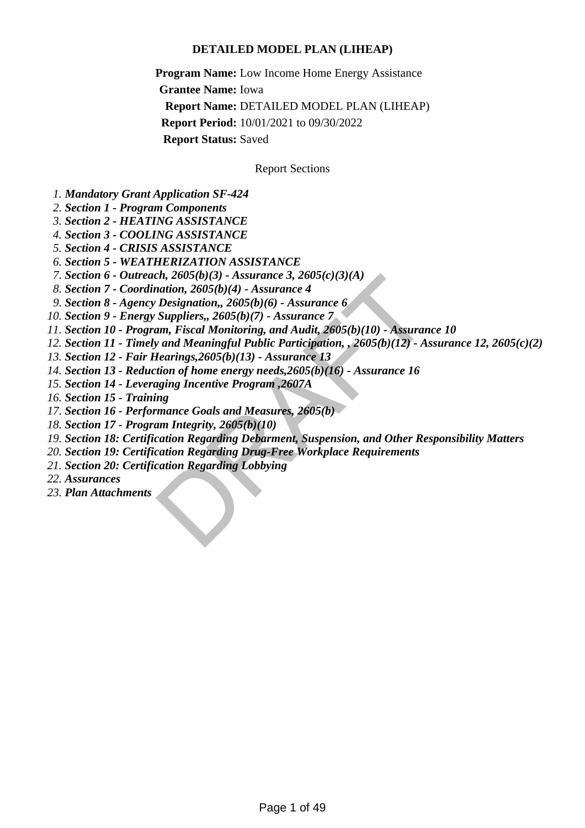#### **DETAILED MODEL PLAN (LIHEAP)**

**Program Name:** Low Income Home Energy Assistance **Grantee Name:** Iowa **Report Name:** DETAILED MODEL PLAN (LIHEAP) **Report Period:** 10/01/2021 to 09/30/2022 **Report Status:** Saved

#### Report Sections

- *1. [Mandatory Grant Application SF-424](#page-1-0)*
- *2. [Section 1 Program Components](#page-3-0)*
- *3. [Section 2 HEATING ASSISTANCE](#page-7-0)*
- *4. [Section 3 COOLING ASSISTANCE](#page-9-0)*
- *5. [Section 4 CRISIS ASSISTANCE](#page-11-0)*
- *6. [Section 5 WEATHERIZATION ASSISTANCE](#page-14-0)*
- *7. [Section 6 Outreach, 2605\(b\)\(3\) Assurance 3, 2605\(c\)\(3\)\(A\)](#page-16-0)*
- *8. [Section 7 Coordination, 2605\(b\)\(4\) Assurance 4](#page-17-0)*
- *9. [Section 8 Agency Designation,, 2605\(b\)\(6\) Assurance 6](#page-18-0)*
- *10. [Section 9 Energy Suppliers,, 2605\(b\)\(7\) Assurance 7](#page-20-0)*
- *11. [Section 10 Program, Fiscal Monitoring, and Audit, 2605\(b\)\(10\) Assurance 10](#page-21-0)*
- *12. [Section 11 Timely and Meaningful Public Participation, , 2605\(b\)\(12\) Assurance 12, 2605\(c\)\(2\)](#page-23-0)*
- *13. [Section 12 Fair Hearings,2605\(b\)\(13\) Assurance 13](#page-24-0)*
- *14. [Section 13 Reduction of home energy needs,2605\(b\)\(16\) Assurance 16](#page-26-0)*
- *15. [Section 14 Leveraging Incentive Program ,2607A](#page-28-0)*
- *16. [Section 15 Training](#page-29-0)*
- *17. [Section 16 Performance Goals and Measures, 2605\(b\)](#page-31-0)*
- *18. [Section 17 Program Integrity, 2605\(b\)\(10\)](#page-32-0)*
- *19. [Section 18: Certification Regarding Debarment, Suspension, and Other Responsibility Matters](#page-36-0)* ch, 2005(b)(3) - Assurance 3, 2005(c)(3)(A)<br>
nation, 2005(b)(4) - Assurance 4<br>
Designation, 2005(b)(6) - Assurance 4<br>
Designation, 2005(b)(6) - Assurance 6<br>
Suppliers,, 2005(b)(7) - Assurance 7<br>
nm, Fiscal Monitoring, and
- *20. [Section 19: Certification Regarding Drug-Free Workplace Requirements](#page-40-0)*
- *21. [Section 20: Certification Regarding Lobbying](#page-43-0)*
- *22. [Assurances](#page-44-0)*
- *23. [Plan Attachments](#page-48-0)*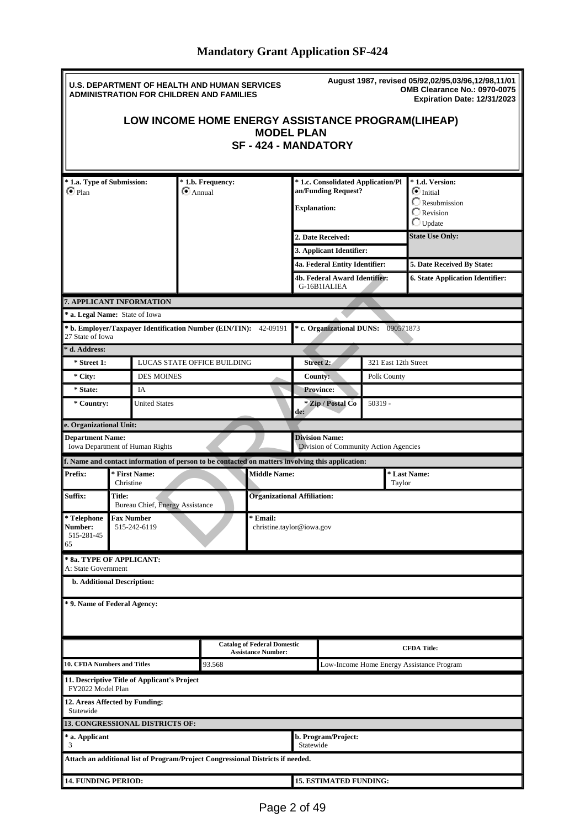<span id="page-1-0"></span>

|  |  | <b>Mandatory Grant Application SF-424</b> |  |
|--|--|-------------------------------------------|--|
|--|--|-------------------------------------------|--|

|                                                                                                   | August 1987, revised 05/92,02/95,03/96,12/98,11/01<br><b>U.S. DEPARTMENT OF HEALTH AND HUMAN SERVICES</b><br><b>OMB Clearance No.: 0970-0075</b><br>ADMINISTRATION FOR CHILDREN AND FAMILIES<br><b>Expiration Date: 12/31/2023</b> |                                 |                  |                             |                                                                                 |                                           |                                                                |                      |                                                                                              |  |
|---------------------------------------------------------------------------------------------------|------------------------------------------------------------------------------------------------------------------------------------------------------------------------------------------------------------------------------------|---------------------------------|------------------|-----------------------------|---------------------------------------------------------------------------------|-------------------------------------------|----------------------------------------------------------------|----------------------|----------------------------------------------------------------------------------------------|--|
| LOW INCOME HOME ENERGY ASSISTANCE PROGRAM(LIHEAP)<br><b>MODEL PLAN</b><br><b>SF-424-MANDATORY</b> |                                                                                                                                                                                                                                    |                                 |                  |                             |                                                                                 |                                           |                                                                |                      |                                                                                              |  |
| * 1.a. Type of Submission:<br>$\odot$ Plan                                                        |                                                                                                                                                                                                                                    |                                 | $\bullet$ Annual | * 1.b. Frequency:           |                                                                                 | <b>Explanation:</b>                       | * 1.c. Consolidated Application/Pl<br>an/Funding Request?      |                      | * 1.d. Version:<br>$\odot$ Initial<br>$\Box$ Resubmission<br>C Revision<br>$\bigcirc$ Update |  |
|                                                                                                   |                                                                                                                                                                                                                                    |                                 |                  |                             |                                                                                 |                                           | 2. Date Received:                                              |                      | <b>State Use Only:</b>                                                                       |  |
|                                                                                                   |                                                                                                                                                                                                                                    |                                 |                  |                             |                                                                                 |                                           | 3. Applicant Identifier:                                       |                      |                                                                                              |  |
|                                                                                                   |                                                                                                                                                                                                                                    |                                 |                  |                             |                                                                                 |                                           | 4a. Federal Entity Identifier:                                 |                      | 5. Date Received By State:                                                                   |  |
|                                                                                                   |                                                                                                                                                                                                                                    |                                 |                  |                             |                                                                                 |                                           | 4b. Federal Award Identifier:<br>G-16B1IALIEA                  |                      | <b>6. State Application Identifier:</b>                                                      |  |
| <b>7. APPLICANT INFORMATION</b>                                                                   |                                                                                                                                                                                                                                    |                                 |                  |                             |                                                                                 |                                           |                                                                |                      |                                                                                              |  |
| * a. Legal Name: State of Iowa                                                                    |                                                                                                                                                                                                                                    |                                 |                  |                             |                                                                                 |                                           |                                                                |                      |                                                                                              |  |
| * b. Employer/Taxpayer Identification Number (EIN/TIN): 42-09191<br>27 State of Iowa              |                                                                                                                                                                                                                                    |                                 |                  |                             |                                                                                 |                                           | * c. Organizational DUNS: 090571873                            |                      |                                                                                              |  |
| * d. Address:                                                                                     |                                                                                                                                                                                                                                    |                                 |                  |                             |                                                                                 |                                           |                                                                |                      |                                                                                              |  |
| * Street 1:                                                                                       |                                                                                                                                                                                                                                    |                                 |                  | LUCAS STATE OFFICE BUILDING |                                                                                 | <b>Street 2:</b>                          |                                                                | 321 East 12th Street |                                                                                              |  |
| $*$ City:                                                                                         |                                                                                                                                                                                                                                    | <b>DES MOINES</b>               |                  |                             |                                                                                 | County:                                   |                                                                | Polk County          |                                                                                              |  |
| * State:                                                                                          |                                                                                                                                                                                                                                    | IA                              |                  |                             |                                                                                 |                                           | <b>Province:</b>                                               |                      |                                                                                              |  |
| * Country:                                                                                        |                                                                                                                                                                                                                                    | <b>United States</b>            |                  |                             |                                                                                 | * Zip / Postal Co<br>$50319 -$<br>de:     |                                                                |                      |                                                                                              |  |
| e. Organizational Unit:                                                                           |                                                                                                                                                                                                                                    |                                 |                  |                             |                                                                                 |                                           |                                                                |                      |                                                                                              |  |
| <b>Department Name:</b><br>Iowa Department of Human Rights                                        |                                                                                                                                                                                                                                    |                                 |                  |                             |                                                                                 |                                           | <b>Division Name:</b><br>Division of Community Action Agencies |                      |                                                                                              |  |
| f. Name and contact information of person to be contacted on matters involving this application:  |                                                                                                                                                                                                                                    |                                 |                  |                             |                                                                                 |                                           |                                                                |                      |                                                                                              |  |
| Prefix:                                                                                           | * First Name:<br>Christine                                                                                                                                                                                                         |                                 |                  |                             | <b>Middle Name:</b>                                                             |                                           |                                                                | Taylor               | * Last Name:                                                                                 |  |
| Suffix:                                                                                           | <b>Title:</b>                                                                                                                                                                                                                      | Bureau Chief, Energy Assistance |                  |                             | <b>Organizational Affiliation:</b>                                              |                                           |                                                                |                      |                                                                                              |  |
| * Telephone<br>Number:<br>515-281-45<br>65                                                        | <b>Fax Number</b>                                                                                                                                                                                                                  | 515-242-6119                    |                  |                             | * Email:<br>christine.taylor@iowa.gov                                           |                                           |                                                                |                      |                                                                                              |  |
| * 8a. TYPE OF APPLICANT:<br>A: State Government                                                   |                                                                                                                                                                                                                                    |                                 |                  |                             |                                                                                 |                                           |                                                                |                      |                                                                                              |  |
| <b>b.</b> Additional Description:                                                                 |                                                                                                                                                                                                                                    |                                 |                  |                             |                                                                                 |                                           |                                                                |                      |                                                                                              |  |
| * 9. Name of Federal Agency:                                                                      |                                                                                                                                                                                                                                    |                                 |                  |                             |                                                                                 |                                           |                                                                |                      |                                                                                              |  |
|                                                                                                   |                                                                                                                                                                                                                                    |                                 |                  | <b>Assistance Number:</b>   | <b>Catalog of Federal Domestic</b><br><b>CFDA Title:</b>                        |                                           |                                                                |                      |                                                                                              |  |
| <b>10. CFDA Numbers and Titles</b>                                                                |                                                                                                                                                                                                                                    |                                 |                  | 93.568                      |                                                                                 | Low-Income Home Energy Assistance Program |                                                                |                      |                                                                                              |  |
| 11. Descriptive Title of Applicant's Project<br>FY2022 Model Plan                                 |                                                                                                                                                                                                                                    |                                 |                  |                             |                                                                                 |                                           |                                                                |                      |                                                                                              |  |
| 12. Areas Affected by Funding:<br>Statewide                                                       |                                                                                                                                                                                                                                    |                                 |                  |                             |                                                                                 |                                           |                                                                |                      |                                                                                              |  |
| <b>13. CONGRESSIONAL DISTRICTS OF:</b>                                                            |                                                                                                                                                                                                                                    |                                 |                  |                             |                                                                                 |                                           |                                                                |                      |                                                                                              |  |
| * a. Applicant<br>3                                                                               |                                                                                                                                                                                                                                    |                                 |                  |                             |                                                                                 | Statewide                                 | b. Program/Project:                                            |                      |                                                                                              |  |
|                                                                                                   |                                                                                                                                                                                                                                    |                                 |                  |                             | Attach an additional list of Program/Project Congressional Districts if needed. |                                           |                                                                |                      |                                                                                              |  |
|                                                                                                   | <b>14. FUNDING PERIOD:</b><br><b>15. ESTIMATED FUNDING:</b>                                                                                                                                                                        |                                 |                  |                             |                                                                                 |                                           |                                                                |                      |                                                                                              |  |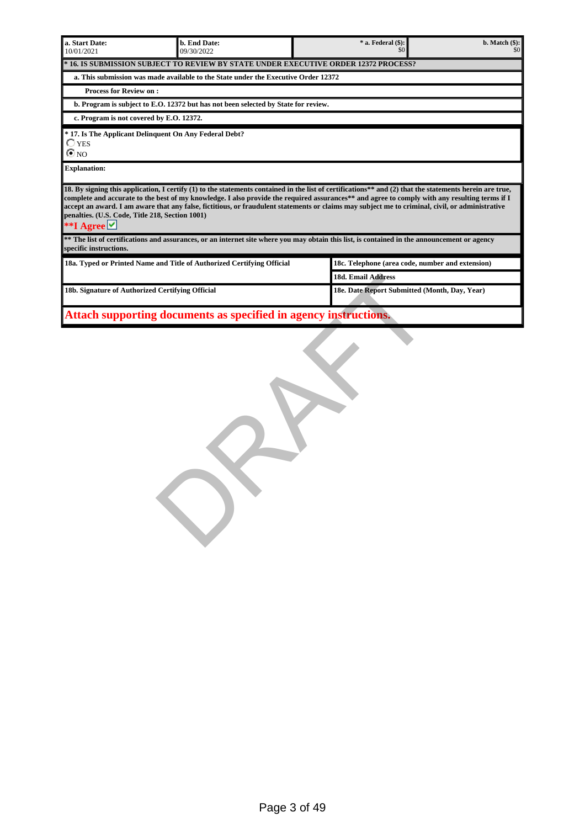| a. Start Date:<br>b. End Date:                                                                                                                                                                                                                                                                                                                                                                                                                                                                                              | $b. Match($ \$):<br>* a. Federal (\$):           |
|-----------------------------------------------------------------------------------------------------------------------------------------------------------------------------------------------------------------------------------------------------------------------------------------------------------------------------------------------------------------------------------------------------------------------------------------------------------------------------------------------------------------------------|--------------------------------------------------|
| 10/01/2021<br>09/30/2022                                                                                                                                                                                                                                                                                                                                                                                                                                                                                                    | \$C<br>\$0                                       |
| * 16. IS SUBMISSION SUBJECT TO REVIEW BY STATE UNDER EXECUTIVE ORDER 12372 PROCESS?                                                                                                                                                                                                                                                                                                                                                                                                                                         |                                                  |
| a. This submission was made available to the State under the Executive Order 12372                                                                                                                                                                                                                                                                                                                                                                                                                                          |                                                  |
| <b>Process for Review on:</b>                                                                                                                                                                                                                                                                                                                                                                                                                                                                                               |                                                  |
| b. Program is subject to E.O. 12372 but has not been selected by State for review.                                                                                                                                                                                                                                                                                                                                                                                                                                          |                                                  |
| c. Program is not covered by E.O. 12372.                                                                                                                                                                                                                                                                                                                                                                                                                                                                                    |                                                  |
| * 17. Is The Applicant Delinquent On Any Federal Debt?                                                                                                                                                                                                                                                                                                                                                                                                                                                                      |                                                  |
| $\Box$ yes<br>© NO                                                                                                                                                                                                                                                                                                                                                                                                                                                                                                          |                                                  |
|                                                                                                                                                                                                                                                                                                                                                                                                                                                                                                                             |                                                  |
| <b>Explanation:</b>                                                                                                                                                                                                                                                                                                                                                                                                                                                                                                         |                                                  |
| 18. By signing this application, I certify (1) to the statements contained in the list of certifications** and (2) that the statements herein are true,<br>complete and accurate to the best of my knowledge. I also provide the required assurances** and agree to comply with any resulting terms if I<br>accept an award. I am aware that any false, fictitious, or fraudulent statements or claims may subject me to criminal, civil, or administrative<br>penalties. (U.S. Code, Title 218, Section 1001)<br>**I Agree |                                                  |
| ** The list of certifications and assurances, or an internet site where you may obtain this list, is contained in the announcement or agency<br>specific instructions.                                                                                                                                                                                                                                                                                                                                                      |                                                  |
| 18a. Typed or Printed Name and Title of Authorized Certifying Official                                                                                                                                                                                                                                                                                                                                                                                                                                                      | 18c. Telephone (area code, number and extension) |
|                                                                                                                                                                                                                                                                                                                                                                                                                                                                                                                             | 18d. Email Address                               |
| 18b. Signature of Authorized Certifying Official                                                                                                                                                                                                                                                                                                                                                                                                                                                                            | 18e. Date Report Submitted (Month, Day, Year)    |
| Attach supporting documents as specified in agency instructions.                                                                                                                                                                                                                                                                                                                                                                                                                                                            |                                                  |
|                                                                                                                                                                                                                                                                                                                                                                                                                                                                                                                             |                                                  |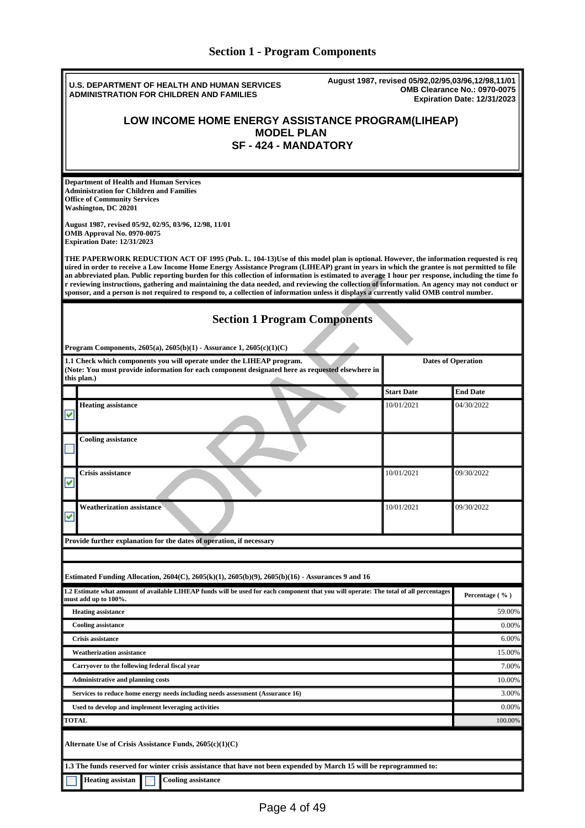| $\alpha$ and $\alpha$ is a region of $\alpha$                                                                                                                                                                                                                                                                                                                                                                                                                                                                                                                                                                                                                                                                                         |                                                    |                                                                    |  |  |  |
|---------------------------------------------------------------------------------------------------------------------------------------------------------------------------------------------------------------------------------------------------------------------------------------------------------------------------------------------------------------------------------------------------------------------------------------------------------------------------------------------------------------------------------------------------------------------------------------------------------------------------------------------------------------------------------------------------------------------------------------|----------------------------------------------------|--------------------------------------------------------------------|--|--|--|
| <b>U.S. DEPARTMENT OF HEALTH AND HUMAN SERVICES</b><br><b>ADMINISTRATION FOR CHILDREN AND FAMILIES</b>                                                                                                                                                                                                                                                                                                                                                                                                                                                                                                                                                                                                                                | August 1987, revised 05/92,02/95,03/96,12/98,11/01 | <b>OMB Clearance No.: 0970-0075</b><br>Expiration Date: 12/31/2023 |  |  |  |
| LOW INCOME HOME ENERGY ASSISTANCE PROGRAM(LIHEAP)                                                                                                                                                                                                                                                                                                                                                                                                                                                                                                                                                                                                                                                                                     |                                                    |                                                                    |  |  |  |
| <b>MODEL PLAN</b><br><b>SF-424-MANDATORY</b>                                                                                                                                                                                                                                                                                                                                                                                                                                                                                                                                                                                                                                                                                          |                                                    |                                                                    |  |  |  |
|                                                                                                                                                                                                                                                                                                                                                                                                                                                                                                                                                                                                                                                                                                                                       |                                                    |                                                                    |  |  |  |
|                                                                                                                                                                                                                                                                                                                                                                                                                                                                                                                                                                                                                                                                                                                                       |                                                    |                                                                    |  |  |  |
| <b>Department of Health and Human Services</b><br><b>Administration for Children and Families</b><br><b>Office of Community Services</b><br>Washington, DC 20201                                                                                                                                                                                                                                                                                                                                                                                                                                                                                                                                                                      |                                                    |                                                                    |  |  |  |
| August 1987, revised 05/92, 02/95, 03/96, 12/98, 11/01<br>OMB Approval No. 0970-0075<br>Expiration Date: 12/31/2023                                                                                                                                                                                                                                                                                                                                                                                                                                                                                                                                                                                                                   |                                                    |                                                                    |  |  |  |
| THE PAPERWORK REDUCTION ACT OF 1995 (Pub. L. 104-13)Use of this model plan is optional. However, the information requested is req<br>uired in order to receive a Low Income Home Energy Assistance Program (LIHEAP) grant in years in which the grantee is not permitted to file<br>an abbreviated plan. Public reporting burden for this collection of information is estimated to average 1 hour per response, including the time fo<br>r reviewing instructions, gathering and maintaining the data needed, and reviewing the collection of information. An agency may not conduct or<br>sponsor, and a person is not required to respond to, a collection of information unless it displays a currently valid OMB control number. |                                                    |                                                                    |  |  |  |
| <b>Section 1 Program Components</b>                                                                                                                                                                                                                                                                                                                                                                                                                                                                                                                                                                                                                                                                                                   |                                                    |                                                                    |  |  |  |
| Program Components, 2605(a), 2605(b)(1) - Assurance 1, 2605(c)(1)(C)                                                                                                                                                                                                                                                                                                                                                                                                                                                                                                                                                                                                                                                                  |                                                    |                                                                    |  |  |  |
| 1.1 Check which components you will operate under the LIHEAP program.<br>(Note: You must provide information for each component designated here as requested elsewhere in<br>this plan.)                                                                                                                                                                                                                                                                                                                                                                                                                                                                                                                                              | <b>Dates of Operation</b>                          |                                                                    |  |  |  |
|                                                                                                                                                                                                                                                                                                                                                                                                                                                                                                                                                                                                                                                                                                                                       | <b>Start Date</b>                                  | <b>End Date</b>                                                    |  |  |  |
| <b>Heating assistance</b><br>v                                                                                                                                                                                                                                                                                                                                                                                                                                                                                                                                                                                                                                                                                                        | 10/01/2021                                         | 04/30/2022                                                         |  |  |  |
| <b>Cooling assistance</b>                                                                                                                                                                                                                                                                                                                                                                                                                                                                                                                                                                                                                                                                                                             |                                                    |                                                                    |  |  |  |
| Crisis assistance                                                                                                                                                                                                                                                                                                                                                                                                                                                                                                                                                                                                                                                                                                                     | 10/01/2021                                         | 09/30/2022                                                         |  |  |  |
| <b>Weatherization assistance</b>                                                                                                                                                                                                                                                                                                                                                                                                                                                                                                                                                                                                                                                                                                      | 10/01/2021                                         | 09/30/2022                                                         |  |  |  |
| Provide further explanation for the dates of operation, if necessary                                                                                                                                                                                                                                                                                                                                                                                                                                                                                                                                                                                                                                                                  |                                                    |                                                                    |  |  |  |
|                                                                                                                                                                                                                                                                                                                                                                                                                                                                                                                                                                                                                                                                                                                                       |                                                    |                                                                    |  |  |  |
| Estimated Funding Allocation, 2604(C), 2605(k)(1), 2605(b)(9), 2605(b)(16) - Assurances 9 and 16                                                                                                                                                                                                                                                                                                                                                                                                                                                                                                                                                                                                                                      |                                                    |                                                                    |  |  |  |
| 1.2 Estimate what amount of available LIHEAP funds will be used for each component that you will operate: The total of all percentages<br>Percentage (%)<br>must add up to 100%.                                                                                                                                                                                                                                                                                                                                                                                                                                                                                                                                                      |                                                    |                                                                    |  |  |  |
| <b>Heating assistance</b><br>59.00%                                                                                                                                                                                                                                                                                                                                                                                                                                                                                                                                                                                                                                                                                                   |                                                    |                                                                    |  |  |  |
| <b>Cooling assistance</b><br>$0.00\%$                                                                                                                                                                                                                                                                                                                                                                                                                                                                                                                                                                                                                                                                                                 |                                                    |                                                                    |  |  |  |
| Crisis assistance<br>6.00%                                                                                                                                                                                                                                                                                                                                                                                                                                                                                                                                                                                                                                                                                                            |                                                    |                                                                    |  |  |  |
| <b>Weatherization assistance</b><br>15.00%                                                                                                                                                                                                                                                                                                                                                                                                                                                                                                                                                                                                                                                                                            |                                                    |                                                                    |  |  |  |
| Carryover to the following federal fiscal year<br>7.00%<br><b>Administrative and planning costs</b>                                                                                                                                                                                                                                                                                                                                                                                                                                                                                                                                                                                                                                   |                                                    |                                                                    |  |  |  |
| 10.00%<br>Services to reduce home energy needs including needs assessment (Assurance 16)<br>3.00%                                                                                                                                                                                                                                                                                                                                                                                                                                                                                                                                                                                                                                     |                                                    |                                                                    |  |  |  |
| Used to develop and implement leveraging activities<br>0.00%                                                                                                                                                                                                                                                                                                                                                                                                                                                                                                                                                                                                                                                                          |                                                    |                                                                    |  |  |  |
| <b>TOTAL</b><br>100.00%                                                                                                                                                                                                                                                                                                                                                                                                                                                                                                                                                                                                                                                                                                               |                                                    |                                                                    |  |  |  |
| Alternate Use of Crisis Assistance Funds, 2605(c)(1)(C)                                                                                                                                                                                                                                                                                                                                                                                                                                                                                                                                                                                                                                                                               |                                                    |                                                                    |  |  |  |
| 1.3 The funds reserved for winter crisis assistance that have not been expended by March 15 will be reprogrammed to:                                                                                                                                                                                                                                                                                                                                                                                                                                                                                                                                                                                                                  |                                                    |                                                                    |  |  |  |
| <b>Heating assistan</b><br><b>Cooling assistance</b>                                                                                                                                                                                                                                                                                                                                                                                                                                                                                                                                                                                                                                                                                  |                                                    |                                                                    |  |  |  |

## <span id="page-3-0"></span>**Section 1 - Program Components**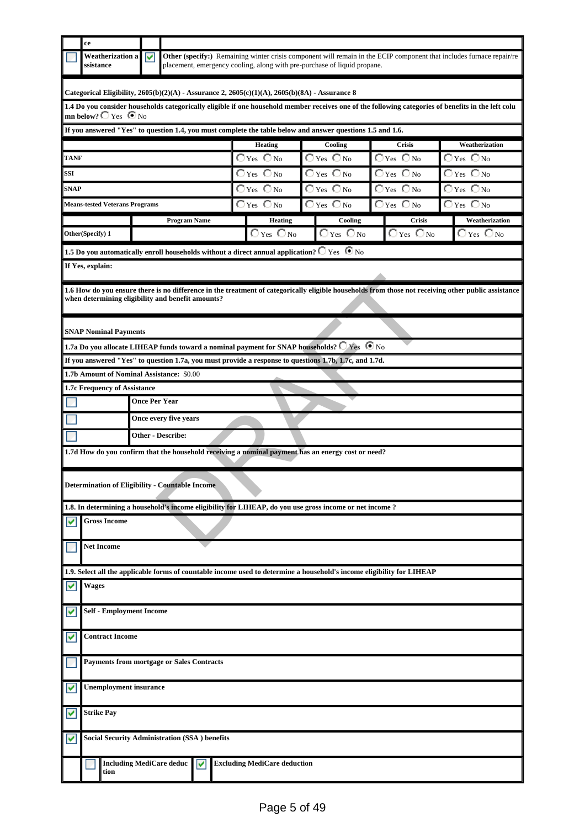|                                                  | ce                            |                                                        |                      |                          |   |  |                                                                                                                        |  |                              |                              |                                                                                                                                                     |
|--------------------------------------------------|-------------------------------|--------------------------------------------------------|----------------------|--------------------------|---|--|------------------------------------------------------------------------------------------------------------------------|--|------------------------------|------------------------------|-----------------------------------------------------------------------------------------------------------------------------------------------------|
|                                                  |                               | Weatherization a                                       | V                    |                          |   |  |                                                                                                                        |  |                              |                              | <b>Other (specify:)</b> Remaining winter crisis component will remain in the ECIP component that includes furnace repair/re                         |
|                                                  | ssistance                     |                                                        |                      |                          |   |  | placement, emergency cooling, along with pre-purchase of liquid propane.                                               |  |                              |                              |                                                                                                                                                     |
|                                                  |                               |                                                        |                      |                          |   |  | Categorical Eligibility, $2605(b)(2)(A)$ - Assurance 2, $2605(c)(1)(A)$ , $2605(b)(8A)$ - Assurance 8                  |  |                              |                              |                                                                                                                                                     |
|                                                  |                               |                                                        |                      |                          |   |  |                                                                                                                        |  |                              |                              | 1.4 Do vou consider households categorically eligible if one household member receives one of the following categories of benefits in the left colu |
|                                                  |                               | mn below? $\bigcirc$ Yes $\bigcirc$ No                 |                      |                          |   |  |                                                                                                                        |  |                              |                              |                                                                                                                                                     |
|                                                  |                               |                                                        |                      |                          |   |  | If you answered "Yes" to question 1.4, you must complete the table below and answer questions 1.5 and 1.6.             |  |                              |                              |                                                                                                                                                     |
|                                                  |                               |                                                        |                      |                          |   |  | Heating                                                                                                                |  | Cooling                      | <b>Crisis</b>                | Weatherization                                                                                                                                      |
| <b>TANF</b>                                      |                               |                                                        |                      |                          |   |  | $C$ Yes $C$ No                                                                                                         |  | $\bigcirc$ Yes $\bigcirc$ No | $\bigcirc$ Yes $\bigcirc$ No | $\bigcirc$ Yes $\bigcirc$ No                                                                                                                        |
| SSI                                              |                               |                                                        |                      |                          |   |  | $\bigcirc$ Yes $\bigcirc$ No                                                                                           |  | $\bigcirc$ Yes $\bigcirc$ No | $\bigcirc$ Yes $\bigcirc$ No | $C_{Yes}$ $C_{No}$                                                                                                                                  |
| <b>SNAP</b>                                      |                               |                                                        |                      |                          |   |  | $C$ Yes $C$ No                                                                                                         |  | $C$ Yes $C$ No               | $C$ Yes $C$ No               | $C$ Yes $C$ No                                                                                                                                      |
|                                                  |                               | <b>Means-tested Veterans Programs</b>                  |                      |                          |   |  | $\bigcirc$ Yes $\bigcirc$ No                                                                                           |  | $\bigcirc$ Yes $\bigcirc$ No | $\bigcirc$ Yes $\bigcirc$ No | $C$ Yes $C$ No                                                                                                                                      |
|                                                  |                               |                                                        |                      | <b>Program Name</b>      |   |  | <b>Heating</b>                                                                                                         |  | Cooling                      | <b>Crisis</b>                | Weatherization                                                                                                                                      |
|                                                  | Other(Specify) 1              |                                                        |                      |                          |   |  | $C$ Yes $C$ No                                                                                                         |  | $Q_{Yes}$ $Q_{No}$           | $C$ Yes $C$ No               | $C$ Yes $C$ No                                                                                                                                      |
|                                                  |                               |                                                        |                      |                          |   |  |                                                                                                                        |  |                              |                              |                                                                                                                                                     |
|                                                  |                               |                                                        |                      |                          |   |  | 1.5 Do you automatically enroll households without a direct annual application? $\Box$ Yes $\Box$ No                   |  |                              |                              |                                                                                                                                                     |
|                                                  | If Yes, explain:              |                                                        |                      |                          |   |  |                                                                                                                        |  |                              |                              |                                                                                                                                                     |
|                                                  |                               |                                                        |                      |                          |   |  |                                                                                                                        |  |                              |                              | 1.6 How do you ensure there is no difference in the treatment of categorically eligible households from those not receiving other public assistance |
|                                                  |                               | when determining eligibility and benefit amounts?      |                      |                          |   |  |                                                                                                                        |  |                              |                              |                                                                                                                                                     |
|                                                  |                               |                                                        |                      |                          |   |  |                                                                                                                        |  |                              |                              |                                                                                                                                                     |
|                                                  |                               | <b>SNAP Nominal Payments</b>                           |                      |                          |   |  |                                                                                                                        |  |                              |                              |                                                                                                                                                     |
|                                                  |                               |                                                        |                      |                          |   |  | 1.7a Do you allocate LIHEAP funds toward a nominal payment for SNAP households? $\bigcirc$ Yes $\bigcirc$ No           |  |                              |                              |                                                                                                                                                     |
|                                                  |                               |                                                        |                      |                          |   |  | If you answered "Yes" to question 1.7a, you must provide a response to questions 1.7b, 1.7c, and 1.7d.                 |  |                              |                              |                                                                                                                                                     |
|                                                  |                               | 1.7b Amount of Nominal Assistance: \$0.00              |                      |                          |   |  |                                                                                                                        |  |                              |                              |                                                                                                                                                     |
|                                                  |                               |                                                        |                      |                          |   |  |                                                                                                                        |  |                              |                              |                                                                                                                                                     |
|                                                  |                               | 1.7c Frequency of Assistance                           | <b>Once Per Year</b> |                          |   |  |                                                                                                                        |  |                              |                              |                                                                                                                                                     |
|                                                  |                               |                                                        |                      |                          |   |  |                                                                                                                        |  |                              |                              |                                                                                                                                                     |
|                                                  |                               |                                                        |                      | Once every five years    |   |  |                                                                                                                        |  |                              |                              |                                                                                                                                                     |
|                                                  |                               |                                                        |                      | <b>Other - Describe:</b> |   |  |                                                                                                                        |  |                              |                              |                                                                                                                                                     |
|                                                  |                               |                                                        |                      |                          |   |  | 1.7d How do you confirm that the household receiving a nominal payment has an energy cost or need?                     |  |                              |                              |                                                                                                                                                     |
|                                                  |                               |                                                        |                      |                          |   |  |                                                                                                                        |  |                              |                              |                                                                                                                                                     |
|                                                  |                               | <b>Determination of Eligibility - Countable Income</b> |                      |                          |   |  |                                                                                                                        |  |                              |                              |                                                                                                                                                     |
|                                                  |                               |                                                        |                      |                          |   |  |                                                                                                                        |  |                              |                              |                                                                                                                                                     |
|                                                  |                               |                                                        |                      |                          |   |  | 1.8. In determining a household's income eligibility for LIHEAP, do you use gross income or net income ?               |  |                              |                              |                                                                                                                                                     |
| v                                                |                               | <b>Gross Income</b>                                    |                      |                          |   |  |                                                                                                                        |  |                              |                              |                                                                                                                                                     |
|                                                  |                               |                                                        |                      |                          |   |  |                                                                                                                        |  |                              |                              |                                                                                                                                                     |
|                                                  | <b>Net Income</b>             |                                                        |                      |                          |   |  |                                                                                                                        |  |                              |                              |                                                                                                                                                     |
|                                                  |                               |                                                        |                      |                          |   |  |                                                                                                                        |  |                              |                              |                                                                                                                                                     |
|                                                  |                               |                                                        |                      |                          |   |  | 1.9. Select all the applicable forms of countable income used to determine a household's income eligibility for LIHEAP |  |                              |                              |                                                                                                                                                     |
|                                                  | Wages                         |                                                        |                      |                          |   |  |                                                                                                                        |  |                              |                              |                                                                                                                                                     |
| v                                                |                               | <b>Self - Employment Income</b>                        |                      |                          |   |  |                                                                                                                        |  |                              |                              |                                                                                                                                                     |
|                                                  |                               |                                                        |                      |                          |   |  |                                                                                                                        |  |                              |                              |                                                                                                                                                     |
|                                                  | <b>Contract Income</b><br>v   |                                                        |                      |                          |   |  |                                                                                                                        |  |                              |                              |                                                                                                                                                     |
| <b>Payments from mortgage or Sales Contracts</b> |                               |                                                        |                      |                          |   |  |                                                                                                                        |  |                              |                              |                                                                                                                                                     |
| v                                                | <b>Unemployment insurance</b> |                                                        |                      |                          |   |  |                                                                                                                        |  |                              |                              |                                                                                                                                                     |
| v                                                | <b>Strike Pay</b>             |                                                        |                      |                          |   |  |                                                                                                                        |  |                              |                              |                                                                                                                                                     |
|                                                  |                               | <b>Social Security Administration (SSA) benefits</b>   |                      |                          |   |  |                                                                                                                        |  |                              |                              |                                                                                                                                                     |
| v                                                |                               |                                                        |                      |                          |   |  |                                                                                                                        |  |                              |                              |                                                                                                                                                     |
|                                                  |                               | <b>Including MediCare deduc</b><br>tion                |                      |                          | v |  | <b>Excluding MediCare deduction</b>                                                                                    |  |                              |                              |                                                                                                                                                     |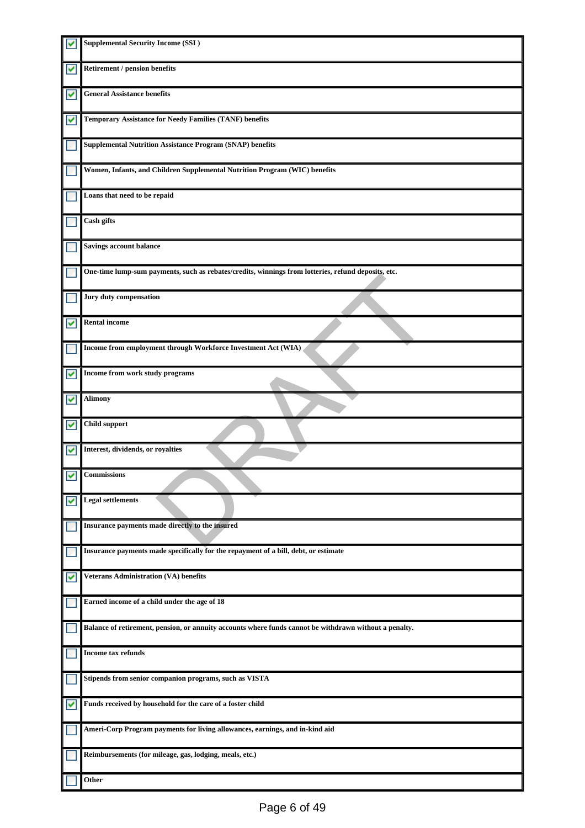| v | <b>Supplemental Security Income (SSI)</b>                                                              |
|---|--------------------------------------------------------------------------------------------------------|
| M | Retirement / pension benefits                                                                          |
| v | <b>General Assistance benefits</b>                                                                     |
| M | Temporary Assistance for Needy Families (TANF) benefits                                                |
|   | <b>Supplemental Nutrition Assistance Program (SNAP) benefits</b>                                       |
|   | Women, Infants, and Children Supplemental Nutrition Program (WIC) benefits                             |
|   | Loans that need to be repaid                                                                           |
|   | Cash gifts                                                                                             |
|   | <b>Savings account balance</b>                                                                         |
|   | One-time lump-sum payments, such as rebates/credits, winnings from lotteries, refund deposits, etc.    |
|   | <b>Jury duty compensation</b>                                                                          |
| v | <b>Rental income</b>                                                                                   |
|   | Income from employment through Workforce Investment Act (WIA)                                          |
| M | Income from work study programs                                                                        |
| v | <b>Alimony</b>                                                                                         |
| v | <b>Child support</b>                                                                                   |
| M | Interest, dividends, or royalties                                                                      |
|   | $\sqrt{\phantom{a}}$ Commissions                                                                       |
| v | <b>Legal settlements</b>                                                                               |
|   | Insurance payments made directly to the insured                                                        |
|   | Insurance payments made specifically for the repayment of a bill, debt, or estimate                    |
| M | <b>Veterans Administration (VA) benefits</b>                                                           |
|   | Earned income of a child under the age of 18                                                           |
|   | Balance of retirement, pension, or annuity accounts where funds cannot be withdrawn without a penalty. |
|   | <b>Income tax refunds</b>                                                                              |
|   | Stipends from senior companion programs, such as VISTA                                                 |
| M | Funds received by household for the care of a foster child                                             |
|   | Ameri-Corp Program payments for living allowances, earnings, and in-kind aid                           |
|   | Reimbursements (for mileage, gas, lodging, meals, etc.)                                                |
|   | Other                                                                                                  |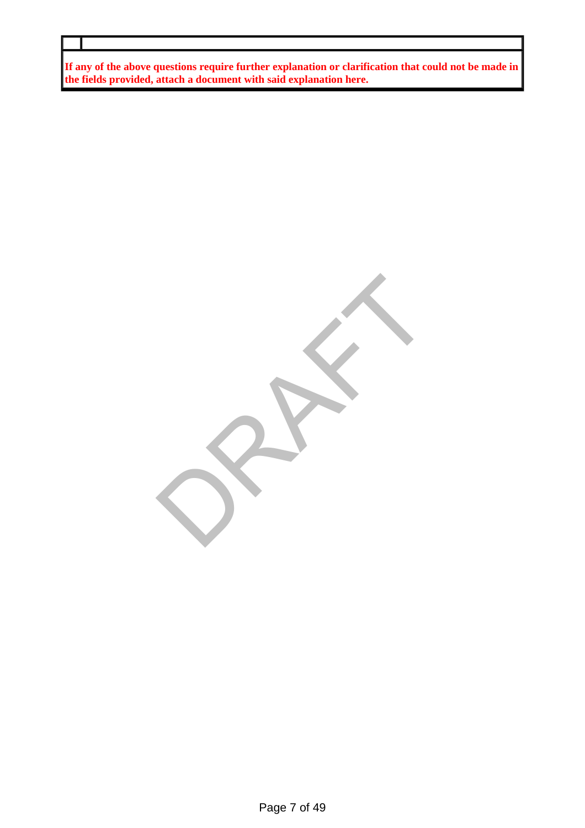**If any of the above questions require further explanation or clarification that could not be made in the fields provided, attach a document with said explanation here.**

RAFT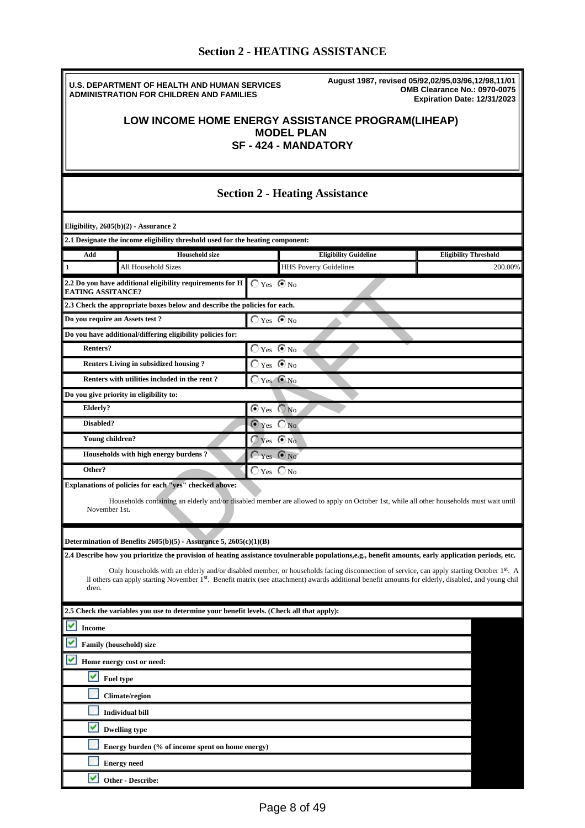<span id="page-7-0"></span>

| August 1987, revised 05/92,02/95,03/96,12/98,11/01<br><b>U.S. DEPARTMENT OF HEALTH AND HUMAN SERVICES</b><br><b>OMB Clearance No.: 0970-0075</b><br><b>ADMINISTRATION FOR CHILDREN AND FAMILIES</b><br><b>Expiration Date: 12/31/2023</b><br>LOW INCOME HOME ENERGY ASSISTANCE PROGRAM(LIHEAP)<br><b>MODEL PLAN</b><br><b>SF-424-MANDATORY</b> |                                                    |                                                                                                                                                       |                              |  |  |
|------------------------------------------------------------------------------------------------------------------------------------------------------------------------------------------------------------------------------------------------------------------------------------------------------------------------------------------------|----------------------------------------------------|-------------------------------------------------------------------------------------------------------------------------------------------------------|------------------------------|--|--|
|                                                                                                                                                                                                                                                                                                                                                |                                                    | <b>Section 2 - Heating Assistance</b>                                                                                                                 |                              |  |  |
| Eligibility, $2605(b)(2)$ - Assurance 2                                                                                                                                                                                                                                                                                                        |                                                    |                                                                                                                                                       |                              |  |  |
| 2.1 Designate the income eligibility threshold used for the heating component:                                                                                                                                                                                                                                                                 |                                                    |                                                                                                                                                       |                              |  |  |
| <b>Household size</b><br>Add                                                                                                                                                                                                                                                                                                                   |                                                    | <b>Eligibility Guideline</b>                                                                                                                          | <b>Eligibility Threshold</b> |  |  |
| All Household Sizes<br>1                                                                                                                                                                                                                                                                                                                       |                                                    | <b>HHS Poverty Guidelines</b>                                                                                                                         | 200.00%                      |  |  |
| 2.2 Do you have additional eligibility requirements for H<br><b>EATING ASSITANCE?</b>                                                                                                                                                                                                                                                          | $\bigcirc$ Yes $\bigcirc$ No                       |                                                                                                                                                       |                              |  |  |
| 2.3 Check the appropriate boxes below and describe the policies for each.                                                                                                                                                                                                                                                                      |                                                    |                                                                                                                                                       |                              |  |  |
| Do you require an Assets test?                                                                                                                                                                                                                                                                                                                 | $C$ Yes $C$ No                                     |                                                                                                                                                       |                              |  |  |
| Do you have additional/differing eligibility policies for:                                                                                                                                                                                                                                                                                     |                                                    |                                                                                                                                                       |                              |  |  |
| Renters?                                                                                                                                                                                                                                                                                                                                       | $\bigcirc$ Yes $\bigcirc$ No                       |                                                                                                                                                       |                              |  |  |
| <b>Renters Living in subsidized housing?</b>                                                                                                                                                                                                                                                                                                   | $\mathbb{C}_{\text{Yes}}$ $\mathbb{C}_{\text{No}}$ |                                                                                                                                                       |                              |  |  |
| Renters with utilities included in the rent?                                                                                                                                                                                                                                                                                                   | $y_{es}$ $\bullet$ <sub>No</sub>                   |                                                                                                                                                       |                              |  |  |
| Do you give priority in eligibility to:                                                                                                                                                                                                                                                                                                        |                                                    |                                                                                                                                                       |                              |  |  |
| Elderly?                                                                                                                                                                                                                                                                                                                                       | $\odot$ Yes $\odot$ No                             |                                                                                                                                                       |                              |  |  |
| Disabled?                                                                                                                                                                                                                                                                                                                                      | $\bullet$ Yes $\circ$ No                           |                                                                                                                                                       |                              |  |  |
| Young children?                                                                                                                                                                                                                                                                                                                                | $\mathbb{C}$ Yes $\mathbb{C}$ No                   |                                                                                                                                                       |                              |  |  |
| Households with high energy burdens?                                                                                                                                                                                                                                                                                                           | $\bigcap$ Yes $\bigcirc$ No                        |                                                                                                                                                       |                              |  |  |
| Other?                                                                                                                                                                                                                                                                                                                                         | $\bigcirc$ Yes $\bigcirc$ No                       |                                                                                                                                                       |                              |  |  |
| Explanations of policies for each "yes" checked above:<br>November 1st.                                                                                                                                                                                                                                                                        |                                                    | Households containing an elderly and/or disabled member are allowed to apply on October 1st, while all other households must wait until               |                              |  |  |
| Determination of Benefits $2605(b)(5)$ - Assurance 5, $2605(c)(1)(B)$                                                                                                                                                                                                                                                                          |                                                    |                                                                                                                                                       |                              |  |  |
| 2.4 Describe how you prioritize the provision of heating assistance tovulnerable populations, e.g., benefit amounts, early application periods, etc.                                                                                                                                                                                           |                                                    |                                                                                                                                                       |                              |  |  |
| Il others can apply starting November 1 <sup>st</sup> . Benefit matrix (see attachment) awards additional benefit amounts for elderly, disabled, and young chil<br>dren.                                                                                                                                                                       |                                                    | Only households with an elderly and/or disabled member, or households facing disconnection of service, can apply starting October 1 <sup>st</sup> . A |                              |  |  |
| 2.5 Check the variables you use to determine your benefit levels. (Check all that apply):                                                                                                                                                                                                                                                      |                                                    |                                                                                                                                                       |                              |  |  |
| M<br><b>Income</b>                                                                                                                                                                                                                                                                                                                             |                                                    |                                                                                                                                                       |                              |  |  |
| Family (household) size                                                                                                                                                                                                                                                                                                                        |                                                    |                                                                                                                                                       |                              |  |  |
| v<br>Home energy cost or need:                                                                                                                                                                                                                                                                                                                 |                                                    |                                                                                                                                                       |                              |  |  |
| M<br><b>Fuel type</b>                                                                                                                                                                                                                                                                                                                          |                                                    |                                                                                                                                                       |                              |  |  |
| Climate/region                                                                                                                                                                                                                                                                                                                                 |                                                    |                                                                                                                                                       |                              |  |  |
|                                                                                                                                                                                                                                                                                                                                                |                                                    |                                                                                                                                                       |                              |  |  |
| <b>Individual bill</b>                                                                                                                                                                                                                                                                                                                         |                                                    |                                                                                                                                                       |                              |  |  |
| ⊻<br><b>Dwelling type</b>                                                                                                                                                                                                                                                                                                                      |                                                    |                                                                                                                                                       |                              |  |  |
| Energy burden (% of income spent on home energy)                                                                                                                                                                                                                                                                                               |                                                    |                                                                                                                                                       |                              |  |  |
| <b>Energy need</b>                                                                                                                                                                                                                                                                                                                             |                                                    |                                                                                                                                                       |                              |  |  |
| v<br>Other - Describe:                                                                                                                                                                                                                                                                                                                         |                                                    |                                                                                                                                                       |                              |  |  |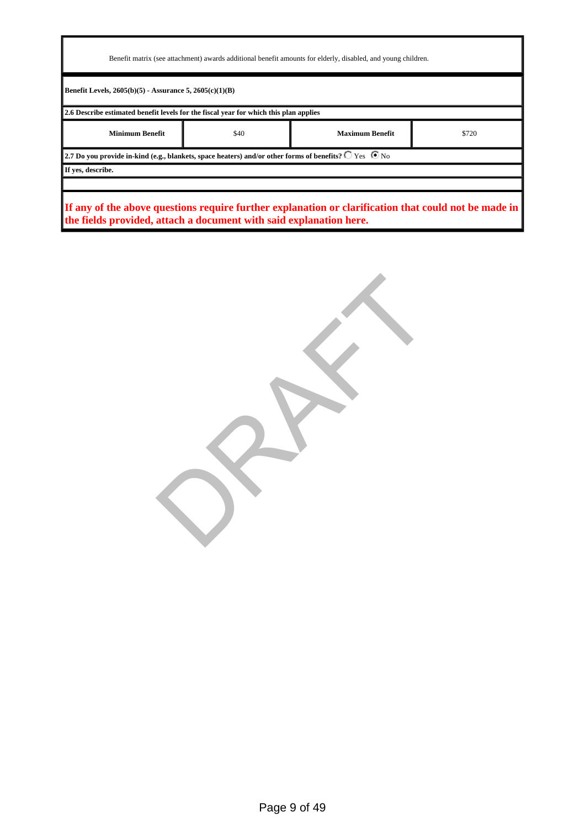| Benefit matrix (see attachment) awards additional benefit amounts for elderly, disabled, and young children.                                                               |                                         |  |  |  |  |  |  |  |
|----------------------------------------------------------------------------------------------------------------------------------------------------------------------------|-----------------------------------------|--|--|--|--|--|--|--|
| <b>Benefit Levels, 2605(b)(5) - Assurance 5, 2605(c)(1)(B)</b>                                                                                                             |                                         |  |  |  |  |  |  |  |
| 2.6 Describe estimated benefit levels for the fiscal year for which this plan applies                                                                                      |                                         |  |  |  |  |  |  |  |
| <b>Minimum Benefit</b>                                                                                                                                                     | <b>Maximum Benefit</b><br>\$40<br>\$720 |  |  |  |  |  |  |  |
| 2.7 Do you provide in-kind (e.g., blankets, space heaters) and/or other forms of benefits? $\Box$ Yes $\Box$ No                                                            |                                         |  |  |  |  |  |  |  |
| If yes, describe.                                                                                                                                                          |                                         |  |  |  |  |  |  |  |
|                                                                                                                                                                            |                                         |  |  |  |  |  |  |  |
| If any of the above questions require further explanation or clarification that could not be made in<br>the fields provided, attach a document with said explanation here. |                                         |  |  |  |  |  |  |  |

RAFT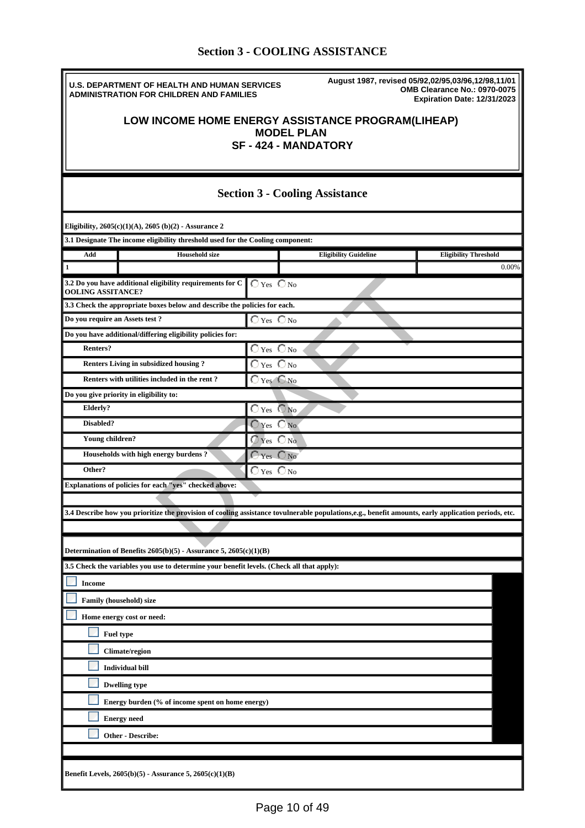| <b>U.S. DEPARTMENT OF HEALTH AND HUMAN SERVICES</b><br>ADMINISTRATION FOR CHILDREN AND FAMILIES                                                      |                                                  |                              | August 1987, revised 05/92,02/95,03/96,12/98,11/01<br><b>OMB Clearance No.: 0970-0075</b><br><b>Expiration Date: 12/31/2023</b> |  |  |  |
|------------------------------------------------------------------------------------------------------------------------------------------------------|--------------------------------------------------|------------------------------|---------------------------------------------------------------------------------------------------------------------------------|--|--|--|
| LOW INCOME HOME ENERGY ASSISTANCE PROGRAM(LIHEAP)<br><b>MODEL PLAN</b><br><b>SF-424-MANDATORY</b>                                                    |                                                  |                              |                                                                                                                                 |  |  |  |
|                                                                                                                                                      | <b>Section 3 - Cooling Assistance</b>            |                              |                                                                                                                                 |  |  |  |
| Eligibility, $2605(c)(1)(A)$ , $2605(b)(2)$ - Assurance 2                                                                                            |                                                  |                              |                                                                                                                                 |  |  |  |
| 3.1 Designate The income eligibility threshold used for the Cooling component:                                                                       |                                                  |                              |                                                                                                                                 |  |  |  |
| Add<br><b>Household size</b>                                                                                                                         |                                                  | <b>Eligibility Guideline</b> | <b>Eligibility Threshold</b>                                                                                                    |  |  |  |
| 1<br>3.2 Do you have additional eligibility requirements for C<br><b>OOLING ASSITANCE?</b>                                                           | $C$ Yes $C$ No                                   |                              | 0.00%                                                                                                                           |  |  |  |
| 3.3 Check the appropriate boxes below and describe the policies for each.                                                                            |                                                  |                              |                                                                                                                                 |  |  |  |
| Do you require an Assets test?                                                                                                                       | $\bigcirc$ Yes $\bigcirc$ No                     |                              |                                                                                                                                 |  |  |  |
| Do you have additional/differing eligibility policies for:                                                                                           |                                                  |                              |                                                                                                                                 |  |  |  |
| Renters?                                                                                                                                             | $\bigcirc$ Yes $\bigcirc$ No                     |                              |                                                                                                                                 |  |  |  |
| <b>Renters Living in subsidized housing?</b>                                                                                                         | $\bigcirc$ Yes $\bigcirc$ No                     |                              |                                                                                                                                 |  |  |  |
| Renters with utilities included in the rent?                                                                                                         | $C$ Yes $C_{N0}$                                 |                              |                                                                                                                                 |  |  |  |
| Do you give priority in eligibility to:                                                                                                              |                                                  |                              |                                                                                                                                 |  |  |  |
| Elderly?                                                                                                                                             | $C$ Yes $C$ No                                   |                              |                                                                                                                                 |  |  |  |
| Disabled?                                                                                                                                            | $\mathbb{C}_{\text{Yes}} \mathbb{C}_{\text{No}}$ |                              |                                                                                                                                 |  |  |  |
| Young children?                                                                                                                                      | $\mathbb{C}$ Yes $\mathbb{C}$ No                 |                              |                                                                                                                                 |  |  |  |
| Households with high energy burdens?                                                                                                                 | $\bigcap$ Yes $\bigcap$ No                       |                              |                                                                                                                                 |  |  |  |
| Other?                                                                                                                                               | $C$ Yes $C$ No                                   |                              |                                                                                                                                 |  |  |  |
| Explanations of policies for each "ves" checked above:                                                                                               |                                                  |                              |                                                                                                                                 |  |  |  |
|                                                                                                                                                      |                                                  |                              |                                                                                                                                 |  |  |  |
| 3.4 Describe how you prioritize the provision of cooling assistance tovulnerable populations, e.g., benefit amounts, early application periods, etc. |                                                  |                              |                                                                                                                                 |  |  |  |
|                                                                                                                                                      |                                                  |                              |                                                                                                                                 |  |  |  |
| Determination of Benefits $2605(b)(5)$ - Assurance 5, $2605(c)(1)(B)$                                                                                |                                                  |                              |                                                                                                                                 |  |  |  |
| 3.5 Check the variables you use to determine your benefit levels. (Check all that apply):                                                            |                                                  |                              |                                                                                                                                 |  |  |  |
|                                                                                                                                                      |                                                  |                              |                                                                                                                                 |  |  |  |
| <b>Income</b>                                                                                                                                        |                                                  |                              |                                                                                                                                 |  |  |  |
| Family (household) size                                                                                                                              |                                                  |                              |                                                                                                                                 |  |  |  |
| Home energy cost or need:                                                                                                                            |                                                  |                              |                                                                                                                                 |  |  |  |
| <b>Fuel type</b>                                                                                                                                     |                                                  |                              |                                                                                                                                 |  |  |  |
| Climate/region                                                                                                                                       |                                                  |                              |                                                                                                                                 |  |  |  |
| <b>Individual bill</b>                                                                                                                               |                                                  |                              |                                                                                                                                 |  |  |  |
| <b>Dwelling type</b>                                                                                                                                 |                                                  |                              |                                                                                                                                 |  |  |  |
| Energy burden (% of income spent on home energy)                                                                                                     |                                                  |                              |                                                                                                                                 |  |  |  |
| <b>Energy</b> need                                                                                                                                   |                                                  |                              |                                                                                                                                 |  |  |  |
| Other - Describe:                                                                                                                                    |                                                  |                              |                                                                                                                                 |  |  |  |
|                                                                                                                                                      |                                                  |                              |                                                                                                                                 |  |  |  |
|                                                                                                                                                      |                                                  |                              |                                                                                                                                 |  |  |  |
| Benefit Levels, $2605(b)(5)$ - Assurance 5, $2605(c)(1)(B)$                                                                                          |                                                  |                              |                                                                                                                                 |  |  |  |

# <span id="page-9-0"></span>**Section 3 - COOLING ASSISTANCE**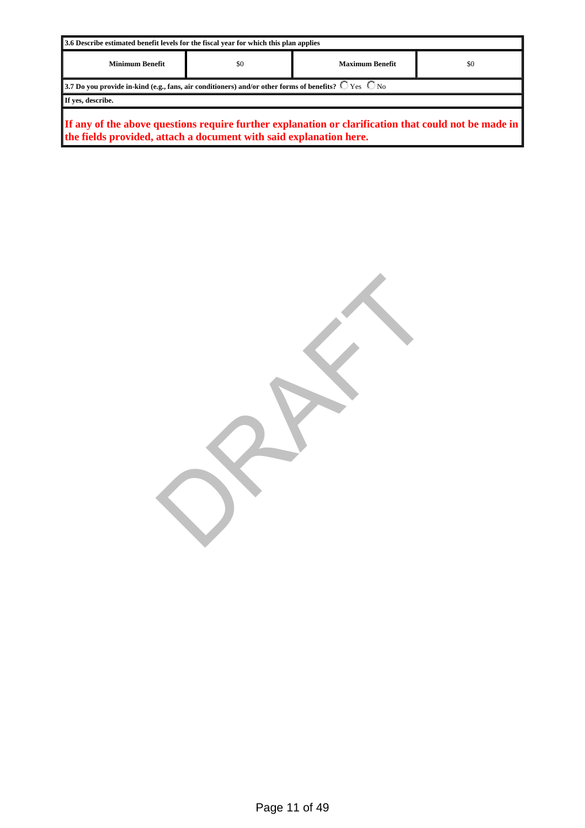| 3.6 Describe estimated benefit levels for the fiscal year for which this plan applies                                                                                      |     |                        |     |  |  |  |
|----------------------------------------------------------------------------------------------------------------------------------------------------------------------------|-----|------------------------|-----|--|--|--|
| <b>Minimum Benefit</b>                                                                                                                                                     | \$0 | <b>Maximum Benefit</b> | \$0 |  |  |  |
| 3.7 Do you provide in-kind (e.g., fans, air conditioners) and/or other forms of benefits? $\bigcirc$ Yes $\bigcirc$ No                                                     |     |                        |     |  |  |  |
| If yes, describe.                                                                                                                                                          |     |                        |     |  |  |  |
| If any of the above questions require further explanation or clarification that could not be made in<br>the fields provided, attach a document with said explanation here. |     |                        |     |  |  |  |

RAFT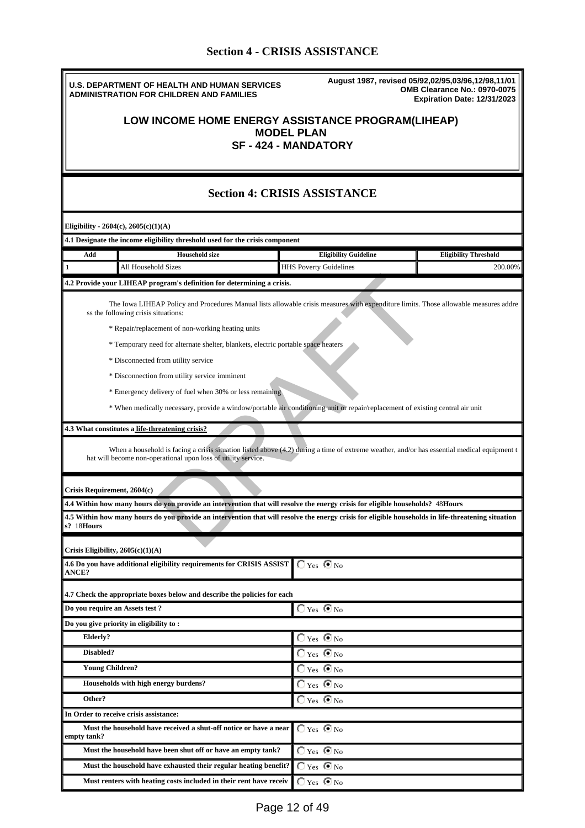<span id="page-11-0"></span>

| <b>Section 4 - CRISIS ASSISTANCE</b> |  |  |  |
|--------------------------------------|--|--|--|
|--------------------------------------|--|--|--|

| August 1987, revised 05/92,02/95,03/96,12/98,11/01<br><b>U.S. DEPARTMENT OF HEALTH AND HUMAN SERVICES</b><br><b>OMB Clearance No.: 0970-0075</b><br><b>ADMINISTRATION FOR CHILDREN AND FAMILIES</b><br><b>Expiration Date: 12/31/2023</b> |                                                                                                                                                                                                                |                                     |                              |  |  |  |  |
|-------------------------------------------------------------------------------------------------------------------------------------------------------------------------------------------------------------------------------------------|----------------------------------------------------------------------------------------------------------------------------------------------------------------------------------------------------------------|-------------------------------------|------------------------------|--|--|--|--|
|                                                                                                                                                                                                                                           | LOW INCOME HOME ENERGY ASSISTANCE PROGRAM(LIHEAP)<br><b>MODEL PLAN</b><br><b>SF-424-MANDATORY</b>                                                                                                              |                                     |                              |  |  |  |  |
|                                                                                                                                                                                                                                           |                                                                                                                                                                                                                | <b>Section 4: CRISIS ASSISTANCE</b> |                              |  |  |  |  |
|                                                                                                                                                                                                                                           | Eligibility - 2604(c), 2605(c)(1)(A)                                                                                                                                                                           |                                     |                              |  |  |  |  |
|                                                                                                                                                                                                                                           | 4.1 Designate the income eligibility threshold used for the crisis component                                                                                                                                   |                                     |                              |  |  |  |  |
| Add                                                                                                                                                                                                                                       | <b>Household size</b>                                                                                                                                                                                          | <b>Eligibility Guideline</b>        | <b>Eligibility Threshold</b> |  |  |  |  |
| $\mathbf{1}$                                                                                                                                                                                                                              | All Household Sizes                                                                                                                                                                                            | <b>HHS Poverty Guidelines</b>       | 200.00%                      |  |  |  |  |
|                                                                                                                                                                                                                                           | 4.2 Provide your LIHEAP program's definition for determining a crisis.                                                                                                                                         |                                     |                              |  |  |  |  |
|                                                                                                                                                                                                                                           | The Iowa LIHEAP Policy and Procedures Manual lists allowable crisis measures with expenditure limits. Those allowable measures addre<br>ss the following crisis situations:                                    |                                     |                              |  |  |  |  |
|                                                                                                                                                                                                                                           | * Repair/replacement of non-working heating units                                                                                                                                                              |                                     |                              |  |  |  |  |
|                                                                                                                                                                                                                                           | * Temporary need for alternate shelter, blankets, electric portable space heaters                                                                                                                              |                                     |                              |  |  |  |  |
|                                                                                                                                                                                                                                           | * Disconnected from utility service                                                                                                                                                                            |                                     |                              |  |  |  |  |
|                                                                                                                                                                                                                                           | * Disconnection from utility service imminent                                                                                                                                                                  |                                     |                              |  |  |  |  |
|                                                                                                                                                                                                                                           | * Emergency delivery of fuel when 30% or less remaining                                                                                                                                                        |                                     |                              |  |  |  |  |
|                                                                                                                                                                                                                                           | * When medically necessary, provide a window/portable air conditioning unit or repair/replacement of existing central air unit                                                                                 |                                     |                              |  |  |  |  |
|                                                                                                                                                                                                                                           |                                                                                                                                                                                                                |                                     |                              |  |  |  |  |
|                                                                                                                                                                                                                                           | 4.3 What constitutes a life-threatening crisis?                                                                                                                                                                |                                     |                              |  |  |  |  |
|                                                                                                                                                                                                                                           | When a household is facing a crisis situation listed above $(4.2)$ during a time of extreme weather, and/or has essential medical equipment t<br>hat will become non-operational upon loss of utility service. |                                     |                              |  |  |  |  |
|                                                                                                                                                                                                                                           | Crisis Requirement, 2604(c)                                                                                                                                                                                    |                                     |                              |  |  |  |  |
|                                                                                                                                                                                                                                           | 4.4 Within how many hours do you provide an intervention that will resolve the energy crisis for eligible households? 48Hours                                                                                  |                                     |                              |  |  |  |  |
| s? 18Hours                                                                                                                                                                                                                                | 4.5 Within how many hours do you provide an intervention that will resolve the energy crisis for eligible households in life-threatening situation                                                             |                                     |                              |  |  |  |  |
|                                                                                                                                                                                                                                           | Crisis Eligibility, $2605(c)(1)(A)$                                                                                                                                                                            |                                     |                              |  |  |  |  |
| <b>ANCE?</b>                                                                                                                                                                                                                              | 4.6 Do you have additional eligibility requirements for CRISIS ASSIST $\ $ ( $\ $ $\gamma_{\rm es}$ ) ( $\bullet$ $\ $ $\gamma_{\rm 0}$                                                                        |                                     |                              |  |  |  |  |
|                                                                                                                                                                                                                                           | 4.7 Check the appropriate boxes below and describe the policies for each                                                                                                                                       |                                     |                              |  |  |  |  |
|                                                                                                                                                                                                                                           | Do you require an Assets test?                                                                                                                                                                                 | $C$ Yes $C$ No                      |                              |  |  |  |  |
|                                                                                                                                                                                                                                           | Do you give priority in eligibility to:                                                                                                                                                                        |                                     |                              |  |  |  |  |
| Elderly?                                                                                                                                                                                                                                  |                                                                                                                                                                                                                | $C$ Yes $C$ No                      |                              |  |  |  |  |
| Disabled?                                                                                                                                                                                                                                 |                                                                                                                                                                                                                | $C$ Yes $C$ No                      |                              |  |  |  |  |
|                                                                                                                                                                                                                                           | <b>Young Children?</b>                                                                                                                                                                                         | $\bigcirc$ Yes $\bigcirc$ No        |                              |  |  |  |  |
|                                                                                                                                                                                                                                           | Households with high energy burdens?                                                                                                                                                                           | $\bigcirc$ Yes $\bigcirc$ No        |                              |  |  |  |  |
| Other?                                                                                                                                                                                                                                    |                                                                                                                                                                                                                | $C_{\text{Yes}}$ $C_{\text{No}}$    |                              |  |  |  |  |
|                                                                                                                                                                                                                                           | In Order to receive crisis assistance:                                                                                                                                                                         |                                     |                              |  |  |  |  |
| empty tank?                                                                                                                                                                                                                               | Must the household have received a shut-off notice or have a near                                                                                                                                              | $C$ Yes $\,\circledast$ No          |                              |  |  |  |  |
|                                                                                                                                                                                                                                           | Must the household have been shut off or have an empty tank?                                                                                                                                                   | $\bigcirc$ Yes $\bigcirc$ No        |                              |  |  |  |  |
|                                                                                                                                                                                                                                           | Must the household have exhausted their regular heating benefit?                                                                                                                                               | $\bigcirc$ Yes $\bigcirc$ No        |                              |  |  |  |  |
| $\bigcirc$ Yes $\bigcirc$ No<br>Must renters with heating costs included in their rent have receiv                                                                                                                                        |                                                                                                                                                                                                                |                                     |                              |  |  |  |  |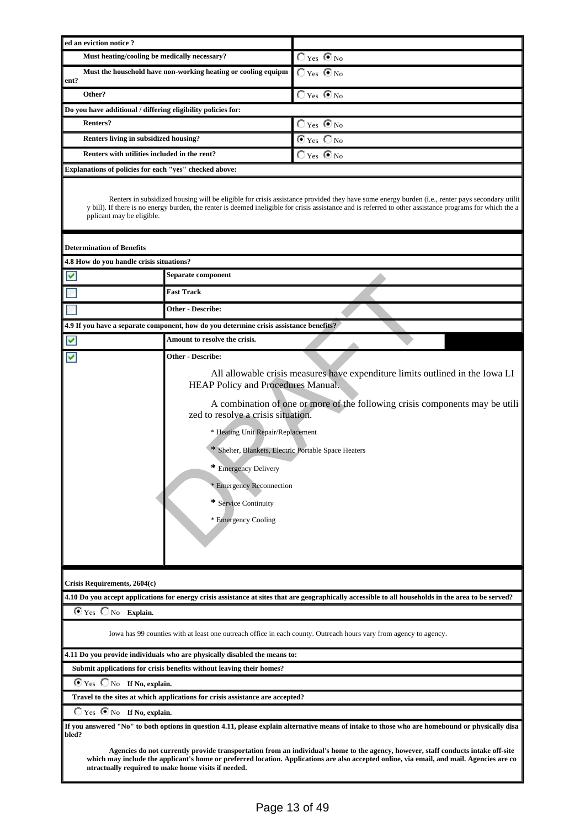| ed an eviction notice?                                                                                                                                                                                                                                                                                                                                                                             |                                                                                                                                                                                                                                                                          |                                                                                                                                                               |  |  |
|----------------------------------------------------------------------------------------------------------------------------------------------------------------------------------------------------------------------------------------------------------------------------------------------------------------------------------------------------------------------------------------------------|--------------------------------------------------------------------------------------------------------------------------------------------------------------------------------------------------------------------------------------------------------------------------|---------------------------------------------------------------------------------------------------------------------------------------------------------------|--|--|
| Must heating/cooling be medically necessary?                                                                                                                                                                                                                                                                                                                                                       | $C$ Yes $C$ No                                                                                                                                                                                                                                                           |                                                                                                                                                               |  |  |
| ent?                                                                                                                                                                                                                                                                                                                                                                                               | $\bigcirc$ Yes $\bigcirc$ No<br>Must the household have non-working heating or cooling equipm                                                                                                                                                                            |                                                                                                                                                               |  |  |
| Other?                                                                                                                                                                                                                                                                                                                                                                                             |                                                                                                                                                                                                                                                                          | $\mathbb{C}_{\text{Yes}}$ $\mathbb{C}_{\text{No}}$                                                                                                            |  |  |
| Do you have additional / differing eligibility policies for:                                                                                                                                                                                                                                                                                                                                       |                                                                                                                                                                                                                                                                          |                                                                                                                                                               |  |  |
| Renters?                                                                                                                                                                                                                                                                                                                                                                                           |                                                                                                                                                                                                                                                                          | $\bigcirc$ Yes $\bigcirc$ No                                                                                                                                  |  |  |
| Renters living in subsidized housing?                                                                                                                                                                                                                                                                                                                                                              |                                                                                                                                                                                                                                                                          | $\odot$ Yes $\odot$ No                                                                                                                                        |  |  |
| Renters with utilities included in the rent?                                                                                                                                                                                                                                                                                                                                                       |                                                                                                                                                                                                                                                                          | $C$ Yes $\circledcirc$ No                                                                                                                                     |  |  |
|                                                                                                                                                                                                                                                                                                                                                                                                    |                                                                                                                                                                                                                                                                          |                                                                                                                                                               |  |  |
| Explanations of policies for each "yes" checked above:<br>Renters in subsidized housing will be eligible for crisis assistance provided they have some energy burden (i.e., renter pays secondary utilit<br>y bill). If there is no energy burden, the renter is deemed ineligible for crisis assistance and is referred to other assistance programs for which the a<br>pplicant may be eligible. |                                                                                                                                                                                                                                                                          |                                                                                                                                                               |  |  |
| <b>Determination of Benefits</b>                                                                                                                                                                                                                                                                                                                                                                   |                                                                                                                                                                                                                                                                          |                                                                                                                                                               |  |  |
| 4.8 How do you handle crisis situations?                                                                                                                                                                                                                                                                                                                                                           |                                                                                                                                                                                                                                                                          |                                                                                                                                                               |  |  |
| M                                                                                                                                                                                                                                                                                                                                                                                                  | Separate component                                                                                                                                                                                                                                                       |                                                                                                                                                               |  |  |
|                                                                                                                                                                                                                                                                                                                                                                                                    | <b>Fast Track</b>                                                                                                                                                                                                                                                        |                                                                                                                                                               |  |  |
|                                                                                                                                                                                                                                                                                                                                                                                                    | <b>Other - Describe:</b>                                                                                                                                                                                                                                                 |                                                                                                                                                               |  |  |
|                                                                                                                                                                                                                                                                                                                                                                                                    | 4.9 If you have a separate component, how do you determine crisis assistance benefits?                                                                                                                                                                                   |                                                                                                                                                               |  |  |
| ⊻                                                                                                                                                                                                                                                                                                                                                                                                  | Amount to resolve the crisis.                                                                                                                                                                                                                                            |                                                                                                                                                               |  |  |
| ⊻                                                                                                                                                                                                                                                                                                                                                                                                  | Other - Describe:                                                                                                                                                                                                                                                        |                                                                                                                                                               |  |  |
|                                                                                                                                                                                                                                                                                                                                                                                                    | HEAP Policy and Procedures Manual.<br>zed to resolve a crisis situation.<br>* Heating Unit Repair/Replacement<br>* Shelter, Blankets, Electric Portable Space Heaters<br>* Emergency Delivery<br>* Emergency Reconnection<br>* Service Continuity<br>* Emergency Cooling | All allowable crisis measures have expenditure limits outlined in the Iowa LI<br>A combination of one or more of the following crisis components may be utili |  |  |
| Crisis Requirements, 2604(c)                                                                                                                                                                                                                                                                                                                                                                       |                                                                                                                                                                                                                                                                          |                                                                                                                                                               |  |  |
|                                                                                                                                                                                                                                                                                                                                                                                                    |                                                                                                                                                                                                                                                                          | 4.10 Do you accept applications for energy crisis assistance at sites that are geographically accessible to all households in the area to be served?          |  |  |
| Tes ONo Explain.                                                                                                                                                                                                                                                                                                                                                                                   |                                                                                                                                                                                                                                                                          |                                                                                                                                                               |  |  |
| Iowa has 99 counties with at least one outreach office in each county. Outreach hours vary from agency to agency.                                                                                                                                                                                                                                                                                  |                                                                                                                                                                                                                                                                          |                                                                                                                                                               |  |  |
| 4.11 Do you provide individuals who are physically disabled the means to:                                                                                                                                                                                                                                                                                                                          |                                                                                                                                                                                                                                                                          |                                                                                                                                                               |  |  |
|                                                                                                                                                                                                                                                                                                                                                                                                    | Submit applications for crisis benefits without leaving their homes?                                                                                                                                                                                                     |                                                                                                                                                               |  |  |
| $\bullet$ Yes $\bullet$ No If No, explain.                                                                                                                                                                                                                                                                                                                                                         |                                                                                                                                                                                                                                                                          |                                                                                                                                                               |  |  |
|                                                                                                                                                                                                                                                                                                                                                                                                    | Travel to the sites at which applications for crisis assistance are accepted?                                                                                                                                                                                            |                                                                                                                                                               |  |  |
| $\Box$ Yes $\bigcirc$ No If No, explain.                                                                                                                                                                                                                                                                                                                                                           |                                                                                                                                                                                                                                                                          |                                                                                                                                                               |  |  |
| bled?                                                                                                                                                                                                                                                                                                                                                                                              |                                                                                                                                                                                                                                                                          | If you answered "No" to both options in question 4.11, please explain alternative means of intake to those who are homebound or physically disa               |  |  |
| Agencies do not currently provide transportation from an individual's home to the agency, however, staff conducts intake off-site<br>which may include the applicant's home or preferred location. Applications are also accepted online, via email, and mail. Agencies are co<br>ntractually required to make home visits if needed.                                                              |                                                                                                                                                                                                                                                                          |                                                                                                                                                               |  |  |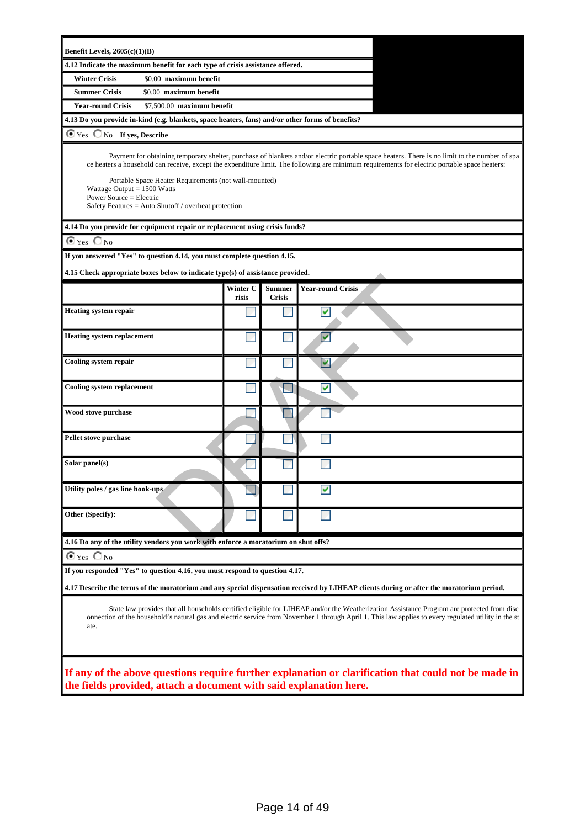| Benefit Levels, $2605(c)(1)(B)$                                                                                                                                                                                                                                                                                                                                                                                                                       |                   |                                |                          |                                                                                                                                              |
|-------------------------------------------------------------------------------------------------------------------------------------------------------------------------------------------------------------------------------------------------------------------------------------------------------------------------------------------------------------------------------------------------------------------------------------------------------|-------------------|--------------------------------|--------------------------|----------------------------------------------------------------------------------------------------------------------------------------------|
| 4.12 Indicate the maximum benefit for each type of crisis assistance offered.                                                                                                                                                                                                                                                                                                                                                                         |                   |                                |                          |                                                                                                                                              |
| <b>Winter Crisis</b><br>\$0.00 maximum benefit                                                                                                                                                                                                                                                                                                                                                                                                        |                   |                                |                          |                                                                                                                                              |
| <b>Summer Crisis</b><br>\$0.00 maximum benefit                                                                                                                                                                                                                                                                                                                                                                                                        |                   |                                |                          |                                                                                                                                              |
| <b>Year-round Crisis</b><br>\$7,500.00 maximum benefit                                                                                                                                                                                                                                                                                                                                                                                                |                   |                                |                          |                                                                                                                                              |
| 4.13 Do you provide in-kind (e.g. blankets, space heaters, fans) and/or other forms of benefits?                                                                                                                                                                                                                                                                                                                                                      |                   |                                |                          |                                                                                                                                              |
| $\bullet$ Yes $\bullet$ No If yes, Describe                                                                                                                                                                                                                                                                                                                                                                                                           |                   |                                |                          |                                                                                                                                              |
| ce heaters a household can receive, except the expenditure limit. The following are minimum requirements for electric portable space heaters:<br>Portable Space Heater Requirements (not wall-mounted)<br>Wattage Output $= 1500$ Watts<br>Power Source = Electric<br>Safety Features = Auto Shutoff / overheat protection                                                                                                                            |                   |                                |                          | Payment for obtaining temporary shelter, purchase of blankets and/or electric portable space heaters. There is no limit to the number of spa |
| 4.14 Do you provide for equipment repair or replacement using crisis funds?                                                                                                                                                                                                                                                                                                                                                                           |                   |                                |                          |                                                                                                                                              |
| $\odot$ Yes $\bigcirc$ No                                                                                                                                                                                                                                                                                                                                                                                                                             |                   |                                |                          |                                                                                                                                              |
| If you answered "Yes" to question 4.14, you must complete question 4.15.                                                                                                                                                                                                                                                                                                                                                                              |                   |                                |                          |                                                                                                                                              |
| 4.15 Check appropriate boxes below to indicate type(s) of assistance provided.                                                                                                                                                                                                                                                                                                                                                                        |                   |                                |                          |                                                                                                                                              |
|                                                                                                                                                                                                                                                                                                                                                                                                                                                       | Winter C<br>risis | <b>Summer</b><br><b>Crisis</b> | <b>Year-round Crisis</b> |                                                                                                                                              |
| <b>Heating system repair</b>                                                                                                                                                                                                                                                                                                                                                                                                                          |                   |                                | v                        |                                                                                                                                              |
| <b>Heating system replacement</b>                                                                                                                                                                                                                                                                                                                                                                                                                     |                   |                                | M                        |                                                                                                                                              |
| <b>Cooling system repair</b>                                                                                                                                                                                                                                                                                                                                                                                                                          |                   |                                | M                        |                                                                                                                                              |
| <b>Cooling system replacement</b>                                                                                                                                                                                                                                                                                                                                                                                                                     |                   |                                | v                        |                                                                                                                                              |
| Wood stove purchase                                                                                                                                                                                                                                                                                                                                                                                                                                   |                   |                                |                          |                                                                                                                                              |
| Pellet stove purchase                                                                                                                                                                                                                                                                                                                                                                                                                                 |                   |                                |                          |                                                                                                                                              |
| Solar panel(s)                                                                                                                                                                                                                                                                                                                                                                                                                                        |                   |                                |                          |                                                                                                                                              |
| Utility poles / gas line hook-ups                                                                                                                                                                                                                                                                                                                                                                                                                     |                   |                                | ▽                        |                                                                                                                                              |
| Other (Specify):                                                                                                                                                                                                                                                                                                                                                                                                                                      |                   |                                |                          |                                                                                                                                              |
| 4.16 Do any of the utility vendors you work with enforce a moratorium on shut offs?                                                                                                                                                                                                                                                                                                                                                                   |                   |                                |                          |                                                                                                                                              |
| $\odot$ Yes $\odot$ No                                                                                                                                                                                                                                                                                                                                                                                                                                |                   |                                |                          |                                                                                                                                              |
| If you responded "Yes" to question 4.16, you must respond to question 4.17.                                                                                                                                                                                                                                                                                                                                                                           |                   |                                |                          |                                                                                                                                              |
|                                                                                                                                                                                                                                                                                                                                                                                                                                                       |                   |                                |                          |                                                                                                                                              |
| 4.17 Describe the terms of the moratorium and any special dispensation received by LIHEAP clients during or after the moratorium period.<br>State law provides that all households certified eligible for LIHEAP and/or the Weatherization Assistance Program are protected from disc<br>onnection of the household's natural gas and electric service from November 1 through April 1. This law applies to every regulated utility in the st<br>ate. |                   |                                |                          |                                                                                                                                              |
| If any of the above questions require further explanation or clarification that could not be made in<br>the fields provided, attach a document with said explanation here.                                                                                                                                                                                                                                                                            |                   |                                |                          |                                                                                                                                              |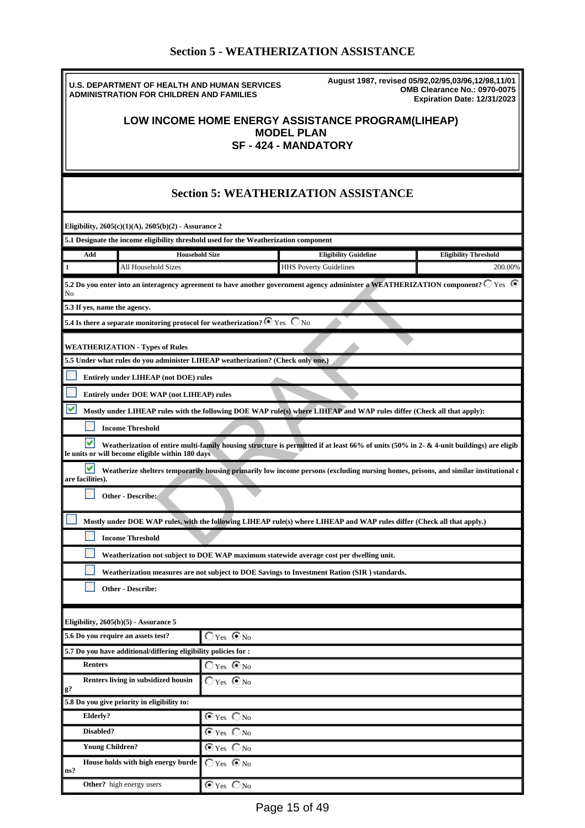|                                                                                                                                                                                                  | U.S. DEPARTMENT OF HEALTH AND HUMAN SERVICES<br>ADMINISTRATION FOR CHILDREN AND FAMILIES |                              |                                                                                                                        | August 1987, revised 05/92,02/95,03/96,12/98,11/01<br><b>OMB Clearance No.: 0970-0075</b><br>Expiration Date: 12/31/2023                        |
|--------------------------------------------------------------------------------------------------------------------------------------------------------------------------------------------------|------------------------------------------------------------------------------------------|------------------------------|------------------------------------------------------------------------------------------------------------------------|-------------------------------------------------------------------------------------------------------------------------------------------------|
| LOW INCOME HOME ENERGY ASSISTANCE PROGRAM(LIHEAP)<br><b>MODEL PLAN</b><br><b>SF-424-MANDATORY</b>                                                                                                |                                                                                          |                              |                                                                                                                        |                                                                                                                                                 |
|                                                                                                                                                                                                  |                                                                                          |                              | <b>Section 5: WEATHERIZATION ASSISTANCE</b>                                                                            |                                                                                                                                                 |
|                                                                                                                                                                                                  | Eligibility, $2605(c)(1)(A)$ , $2605(b)(2)$ - Assurance 2                                |                              |                                                                                                                        |                                                                                                                                                 |
|                                                                                                                                                                                                  | 5.1 Designate the income eligibility threshold used for the Weatherization component     |                              |                                                                                                                        |                                                                                                                                                 |
| Add                                                                                                                                                                                              | <b>Household Size</b>                                                                    |                              | <b>Eligibility Guideline</b>                                                                                           | <b>Eligibility Threshold</b>                                                                                                                    |
| 1                                                                                                                                                                                                | All Household Sizes                                                                      |                              | <b>HHS Poverty Guidelines</b>                                                                                          | 200.00%                                                                                                                                         |
| No                                                                                                                                                                                               |                                                                                          |                              |                                                                                                                        | $\bullet$<br>5.2 Do you enter into an interagency agreement to have another government agency administer a WEATHERIZATION component? $\Box$ Yes |
| 5.3 If yes, name the agency.                                                                                                                                                                     |                                                                                          |                              |                                                                                                                        |                                                                                                                                                 |
|                                                                                                                                                                                                  | 5.4 Is there a separate monitoring protocol for weatherization? $\bullet$ Yes $\circ$ No |                              |                                                                                                                        |                                                                                                                                                 |
|                                                                                                                                                                                                  | <b>WEATHERIZATION - Types of Rules</b>                                                   |                              |                                                                                                                        |                                                                                                                                                 |
|                                                                                                                                                                                                  | 5.5 Under what rules do you administer LIHEAP weatherization? (Check only one.)          |                              |                                                                                                                        |                                                                                                                                                 |
|                                                                                                                                                                                                  | <b>Entirely under LIHEAP (not DOE) rules</b>                                             |                              |                                                                                                                        |                                                                                                                                                 |
|                                                                                                                                                                                                  |                                                                                          |                              |                                                                                                                        |                                                                                                                                                 |
| M                                                                                                                                                                                                | Entirely under DOE WAP (not LIHEAP) rules                                                |                              |                                                                                                                        |                                                                                                                                                 |
|                                                                                                                                                                                                  |                                                                                          |                              | Mostly under LIHEAP rules with the following DOE WAP rule(s) where LIHEAP and WAP rules differ (Check all that apply): |                                                                                                                                                 |
|                                                                                                                                                                                                  | <b>Income Threshold</b>                                                                  |                              |                                                                                                                        |                                                                                                                                                 |
| v<br>Weatherization of entire multi-family housing structure is permitted if at least 66% of units (50% in 2- & 4-unit buildings) are eligib<br>le units or will become eligible within 180 days |                                                                                          |                              |                                                                                                                        |                                                                                                                                                 |
| v<br>Weatherize shelters temporarily housing primarily low income persons (excluding nursing homes, prisons, and similar institutional c<br>are facilities).                                     |                                                                                          |                              |                                                                                                                        |                                                                                                                                                 |
| <b>Other - Describe:</b>                                                                                                                                                                         |                                                                                          |                              |                                                                                                                        |                                                                                                                                                 |
| Mostly under DOE WAP rules, with the following LIHEAP rule(s) where LIHEAP and WAP rules differ (Check all that apply.)                                                                          |                                                                                          |                              |                                                                                                                        |                                                                                                                                                 |
|                                                                                                                                                                                                  | <b>Income Threshold</b>                                                                  |                              |                                                                                                                        |                                                                                                                                                 |
|                                                                                                                                                                                                  |                                                                                          |                              | Weatherization not subject to DOE WAP maximum statewide average cost per dwelling unit.                                |                                                                                                                                                 |
|                                                                                                                                                                                                  |                                                                                          |                              | Weatherization measures are not subject to DOE Savings to Investment Ration (SIR) standards.                           |                                                                                                                                                 |
| Other - Describe:                                                                                                                                                                                |                                                                                          |                              |                                                                                                                        |                                                                                                                                                 |
| Eligibility, $2605(b)(5)$ - Assurance 5                                                                                                                                                          |                                                                                          |                              |                                                                                                                        |                                                                                                                                                 |
| 5.6 Do you require an assets test?                                                                                                                                                               |                                                                                          | $\bigcirc$ Yes $\bigcirc$ No |                                                                                                                        |                                                                                                                                                 |
|                                                                                                                                                                                                  | 5.7 Do you have additional/differing eligibility policies for :                          |                              |                                                                                                                        |                                                                                                                                                 |
| Renters                                                                                                                                                                                          |                                                                                          | $\bigcirc$ Yes $\bigcirc$ No |                                                                                                                        |                                                                                                                                                 |
| $g$ ?                                                                                                                                                                                            | Renters living in subsidized housin                                                      | $\bigcirc$ Yes $\bigcirc$ No |                                                                                                                        |                                                                                                                                                 |
|                                                                                                                                                                                                  | 5.8 Do you give priority in eligibility to:                                              |                              |                                                                                                                        |                                                                                                                                                 |
| Elderly?                                                                                                                                                                                         |                                                                                          | $\odot$ Yes $\odot$ No       |                                                                                                                        |                                                                                                                                                 |
| Disabled?                                                                                                                                                                                        |                                                                                          | $\odot$ Yes $\odot$ No       |                                                                                                                        |                                                                                                                                                 |
| <b>Young Children?</b>                                                                                                                                                                           |                                                                                          | $\odot$ Yes $\odot$ No       |                                                                                                                        |                                                                                                                                                 |
| $\lfloor ns? \rfloor$                                                                                                                                                                            | House holds with high energy burde                                                       | $\bigcirc$ Yes $\bigcirc$ No |                                                                                                                        |                                                                                                                                                 |
|                                                                                                                                                                                                  | Other? high energy users                                                                 | $\odot$ Yes $\odot$ No       |                                                                                                                        |                                                                                                                                                 |

# <span id="page-14-0"></span>**Section 5 - WEATHERIZATION ASSISTANCE**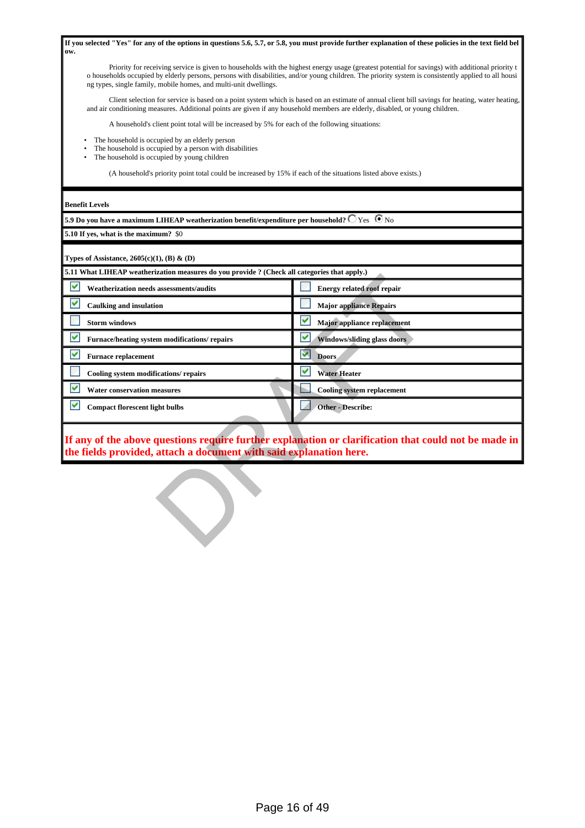| ow.                                                                                                                                                      | If you selected "Yes" for any of the options in questions 5.6, 5.7, or 5.8, you must provide further explanation of these policies in the text field bel                                                                                                                                                |
|----------------------------------------------------------------------------------------------------------------------------------------------------------|---------------------------------------------------------------------------------------------------------------------------------------------------------------------------------------------------------------------------------------------------------------------------------------------------------|
| ng types, single family, mobile homes, and multi-unit dwellings.                                                                                         | Priority for receiving service is given to households with the highest energy usage (greatest potential for savings) with additional priority t<br>o households occupied by elderly persons, persons with disabilities, and/or young children. The priority system is consistently applied to all housi |
| and air conditioning measures. Additional points are given if any household members are elderly, disabled, or young children.                            | Client selection for service is based on a point system which is based on an estimate of annual client bill savings for heating, water heating,                                                                                                                                                         |
| A household's client point total will be increased by 5% for each of the following situations:                                                           |                                                                                                                                                                                                                                                                                                         |
| The household is occupied by an elderly person<br>The household is occupied by a person with disabilities<br>The household is occupied by young children |                                                                                                                                                                                                                                                                                                         |
| (A household's priority point total could be increased by 15% if each of the situations listed above exists.)                                            |                                                                                                                                                                                                                                                                                                         |
| <b>Benefit Levels</b>                                                                                                                                    |                                                                                                                                                                                                                                                                                                         |
| 5.9 Do you have a maximum LIHEAP weatherization benefit/expenditure per household? $\Box$ Yes $\ \odot$ No                                               |                                                                                                                                                                                                                                                                                                         |
| 5.10 If yes, what is the maximum? \$0                                                                                                                    |                                                                                                                                                                                                                                                                                                         |
| Types of Assistance, $2605(c)(1)$ , (B) & (D)                                                                                                            |                                                                                                                                                                                                                                                                                                         |
| 5.11 What LIHEAP weatherization measures do you provide? (Check all categories that apply.)                                                              |                                                                                                                                                                                                                                                                                                         |
| ▽<br>Weatherization needs assessments/audits                                                                                                             | <b>Energy related roof repair</b>                                                                                                                                                                                                                                                                       |
| ٧<br><b>Caulking and insulation</b>                                                                                                                      | <b>Major appliance Repairs</b>                                                                                                                                                                                                                                                                          |
| <b>Storm windows</b>                                                                                                                                     | ٧<br>Major appliance replacement                                                                                                                                                                                                                                                                        |
| ٧<br>Furnace/heating system modifications/repairs                                                                                                        | v<br>Windows/sliding glass doors                                                                                                                                                                                                                                                                        |
| ٧<br><b>Furnace replacement</b>                                                                                                                          | v<br><b>Doors</b>                                                                                                                                                                                                                                                                                       |
| Cooling system modifications/repairs                                                                                                                     | v<br><b>Water Heater</b>                                                                                                                                                                                                                                                                                |
| ٧<br><b>Water conservation measures</b>                                                                                                                  | <b>Cooling system replacement</b>                                                                                                                                                                                                                                                                       |
| v<br><b>Compact florescent light bulbs</b>                                                                                                               | <b>Other - Describe:</b>                                                                                                                                                                                                                                                                                |
| the fields provided, attach a document with said explanation here.                                                                                       | If any of the above questions require further explanation or clarification that could not be made in                                                                                                                                                                                                    |
|                                                                                                                                                          |                                                                                                                                                                                                                                                                                                         |

#### **If any of the above questions require further explanation or clarification that could not be made in the fields provided, attach a document with said explanation here.**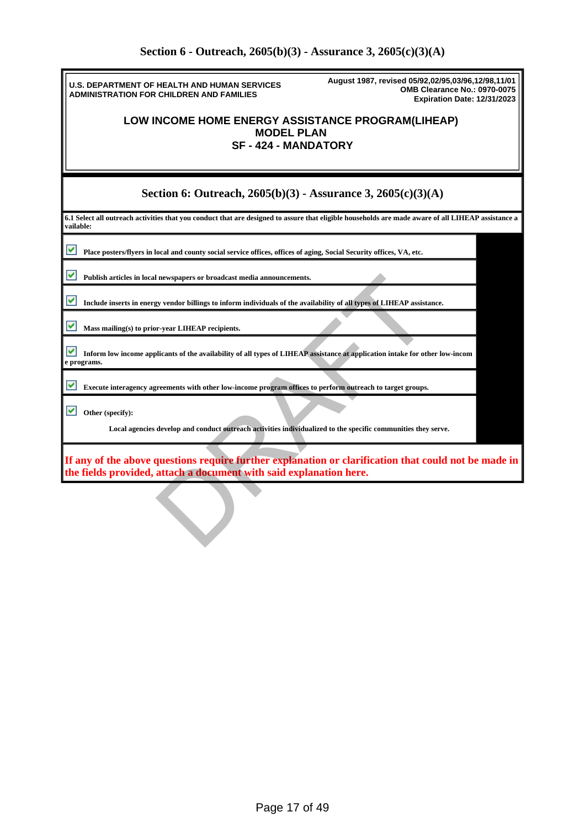<span id="page-16-0"></span>

| U.S. DEPARTMENT OF HEALTH AND HUMAN SERVICES<br>ADMINISTRATION FOR CHILDREN AND FAMILIES                                                                                   | August 1987, revised 05/92,02/95,03/96,12/98,11/01<br><b>OMB Clearance No.: 0970-0075</b><br><b>Expiration Date: 12/31/2023</b> |
|----------------------------------------------------------------------------------------------------------------------------------------------------------------------------|---------------------------------------------------------------------------------------------------------------------------------|
| LOW INCOME HOME ENERGY ASSISTANCE PROGRAM(LIHEAP)<br><b>MODEL PLAN</b><br><b>SF-424-MANDATORY</b>                                                                          |                                                                                                                                 |
| Section 6: Outreach, 2605(b)(3) - Assurance 3, 2605(c)(3)(A)                                                                                                               |                                                                                                                                 |
| 6.1 Select all outreach activities that you conduct that are designed to assure that eligible households are made aware of all LIHEAP assistance a<br>vailable:            |                                                                                                                                 |
| Place posters/flyers in local and county social service offices, offices of aging, Social Security offices, VA, etc.                                                       |                                                                                                                                 |
| Publish articles in local newspapers or broadcast media announcements.                                                                                                     |                                                                                                                                 |
| Include inserts in energy vendor billings to inform individuals of the availability of all types of LIHEAP assistance.                                                     |                                                                                                                                 |
| Mass mailing(s) to prior-year LIHEAP recipients.                                                                                                                           |                                                                                                                                 |
| Inform low income applicants of the availability of all types of LIHEAP assistance at application intake for other low-incom<br>e programs.                                |                                                                                                                                 |
| Execute interagency agreements with other low-income program offices to perform outreach to target groups.                                                                 |                                                                                                                                 |
| Other (specify):                                                                                                                                                           |                                                                                                                                 |
| Local agencies develop and conduct outreach activities individualized to the specific communities they serve.                                                              |                                                                                                                                 |
| If any of the above questions require further explanation or clarification that could not be made in<br>the fields provided, attach a document with said explanation here. |                                                                                                                                 |
|                                                                                                                                                                            |                                                                                                                                 |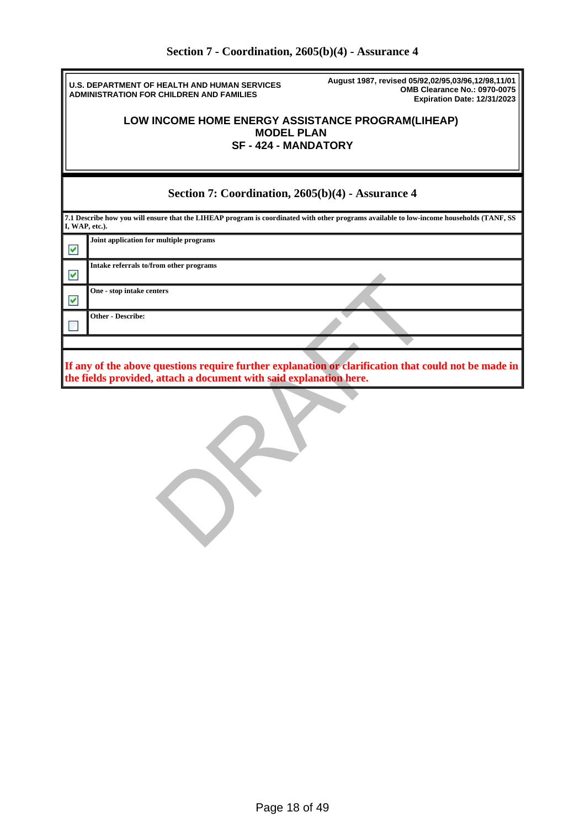<span id="page-17-0"></span>

|                | August 1987, revised 05/92,02/95,03/96,12/98,11/01<br>U.S. DEPARTMENT OF HEALTH AND HUMAN SERVICES<br>OMB Clearance No.: 0970-0075<br><b>ADMINISTRATION FOR CHILDREN AND FAMILIES</b><br>Expiration Date: 12/31/2023 |
|----------------|----------------------------------------------------------------------------------------------------------------------------------------------------------------------------------------------------------------------|
|                | LOW INCOME HOME ENERGY ASSISTANCE PROGRAM(LIHEAP)<br><b>MODEL PLAN</b><br><b>SF-424-MANDATORY</b>                                                                                                                    |
|                | Section 7: Coordination, 2605(b)(4) - Assurance 4                                                                                                                                                                    |
| I, WAP, etc.). | 7.1 Describe how you will ensure that the LIHEAP program is coordinated with other programs available to low-income households (TANF, SS                                                                             |
| M              | Joint application for multiple programs                                                                                                                                                                              |
| ⊽              | Intake referrals to/from other programs                                                                                                                                                                              |
| ⊽              | One - stop intake centers                                                                                                                                                                                            |
|                | <b>Other - Describe:</b>                                                                                                                                                                                             |
|                | If any of the above questions require further explanation or clarification that could not be made in<br>the fields provided, attach a document with said explanation here.                                           |
|                |                                                                                                                                                                                                                      |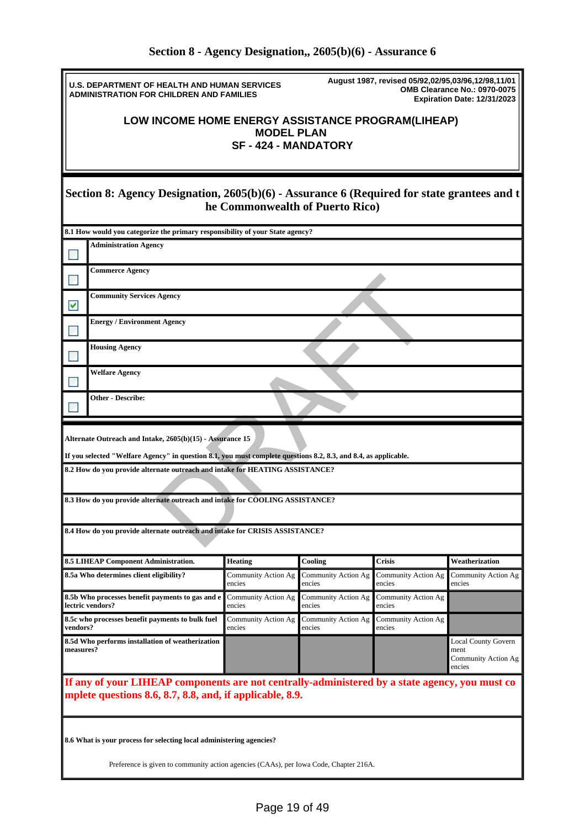<span id="page-18-0"></span>

| <b>U.S. DEPARTMENT OF HEALTH AND HUMAN SERVICES</b><br>ADMINISTRATION FOR CHILDREN AND FAMILIES                                                                                                                                                              |                               |                                 | August 1987, revised 05/92,02/95,03/96,12/98,11/01 | <b>OMB Clearance No.: 0970-0075</b><br>Expiration Date: 12/31/2023 |  |
|--------------------------------------------------------------------------------------------------------------------------------------------------------------------------------------------------------------------------------------------------------------|-------------------------------|---------------------------------|----------------------------------------------------|--------------------------------------------------------------------|--|
| LOW INCOME HOME ENERGY ASSISTANCE PROGRAM(LIHEAP)<br><b>MODEL PLAN</b><br><b>SF-424-MANDATORY</b>                                                                                                                                                            |                               |                                 |                                                    |                                                                    |  |
| Section 8: Agency Designation, 2605(b)(6) - Assurance 6 (Required for state grantees and t                                                                                                                                                                   |                               | he Commonwealth of Puerto Rico) |                                                    |                                                                    |  |
| 8.1 How would you categorize the primary responsibility of your State agency?                                                                                                                                                                                |                               |                                 |                                                    |                                                                    |  |
| <b>Administration Agency</b>                                                                                                                                                                                                                                 |                               |                                 |                                                    |                                                                    |  |
| <b>Commerce Agency</b>                                                                                                                                                                                                                                       |                               |                                 |                                                    |                                                                    |  |
| <b>Community Services Agency</b>                                                                                                                                                                                                                             |                               |                                 |                                                    |                                                                    |  |
| ᢦ                                                                                                                                                                                                                                                            |                               |                                 |                                                    |                                                                    |  |
| <b>Energy / Environment Agency</b>                                                                                                                                                                                                                           |                               |                                 |                                                    |                                                                    |  |
| <b>Housing Agency</b>                                                                                                                                                                                                                                        |                               |                                 |                                                    |                                                                    |  |
| <b>Welfare Agency</b>                                                                                                                                                                                                                                        |                               |                                 |                                                    |                                                                    |  |
| Other - Describe:                                                                                                                                                                                                                                            |                               |                                 |                                                    |                                                                    |  |
| Alternate Outreach and Intake, 2605(b)(15) - Assurance 15<br>If you selected "Welfare Agency" in question 8.1, you must complete questions 8.2, 8.3, and 8.4, as applicable.<br>8.2 How do you provide alternate outreach and intake for HEATING ASSISTANCE? |                               |                                 |                                                    |                                                                    |  |
| 8.3 How do you provide alternate outreach and intake for COOLING ASSISTANCE?                                                                                                                                                                                 |                               |                                 |                                                    |                                                                    |  |
|                                                                                                                                                                                                                                                              |                               |                                 |                                                    |                                                                    |  |
| 8.4 How do you provide alternate outreach and intake for CRISIS ASSISTANCE?                                                                                                                                                                                  |                               |                                 |                                                    |                                                                    |  |
| 8.5 LIHEAP Component Administration.                                                                                                                                                                                                                         | <b>Heating</b>                | Cooling                         | <b>Crisis</b>                                      | Weatherization                                                     |  |
| 8.5a Who determines client eligibility?                                                                                                                                                                                                                      | Community Action Ag<br>encies | Community Action Ag<br>encies   | Community Action Ag<br>encies                      | Community Action Ag<br>encies                                      |  |
| 8.5b Who processes benefit payments to gas and e<br>lectric vendors?                                                                                                                                                                                         | Community Action Ag<br>encies | Community Action Ag<br>encies   | Community Action Ag<br>encies                      |                                                                    |  |
| 8.5c who processes benefit payments to bulk fuel<br>vendors?                                                                                                                                                                                                 | Community Action Ag<br>encies | Community Action Ag<br>encies   | Community Action Ag<br>encies                      |                                                                    |  |
| 8.5d Who performs installation of weatherization<br>measures?<br>ment<br>encies                                                                                                                                                                              |                               |                                 |                                                    | <b>Local County Govern</b><br>Community Action Ag                  |  |
| If any of your LIHEAP components are not centrally-administered by a state agency, you must co<br>mplete questions 8.6, 8.7, 8.8, and, if applicable, 8.9.                                                                                                   |                               |                                 |                                                    |                                                                    |  |
| 8.6 What is your process for selecting local administering agencies?                                                                                                                                                                                         |                               |                                 |                                                    |                                                                    |  |
| Preference is given to community action agencies (CAAs), per Iowa Code, Chapter 216A.                                                                                                                                                                        |                               |                                 |                                                    |                                                                    |  |

Page 19 of 49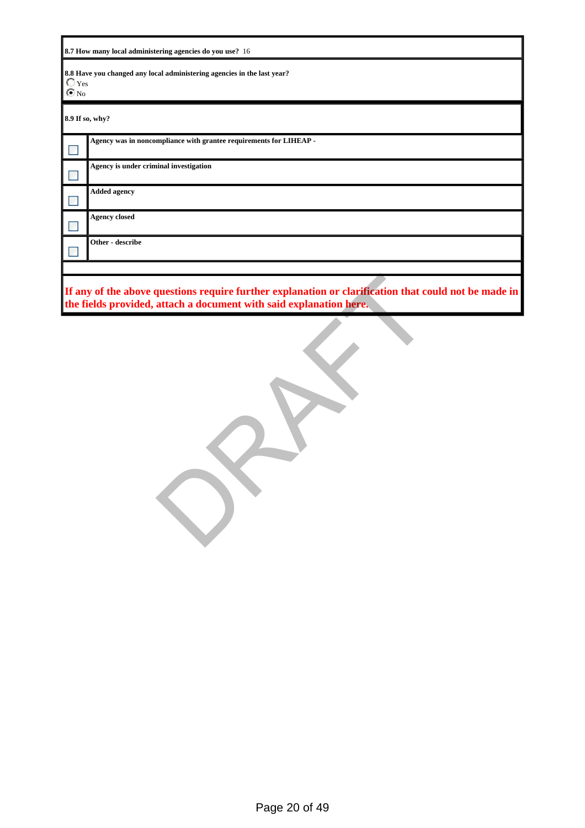|                                                                              | 8.7 How many local administering agencies do you use? 16                                                                                                                   |
|------------------------------------------------------------------------------|----------------------------------------------------------------------------------------------------------------------------------------------------------------------------|
| $\bigcirc$ Yes<br>$\textcircled{\scriptsize{\textsf{P}}}\xspace_{\text{No}}$ | 8.8 Have you changed any local administering agencies in the last year?                                                                                                    |
|                                                                              | 8.9 If so, why?                                                                                                                                                            |
|                                                                              | Agency was in noncompliance with grantee requirements for LIHEAP -                                                                                                         |
|                                                                              | Agency is under criminal investigation                                                                                                                                     |
|                                                                              | <b>Added agency</b>                                                                                                                                                        |
|                                                                              | <b>Agency closed</b>                                                                                                                                                       |
|                                                                              | Other - describe                                                                                                                                                           |
|                                                                              |                                                                                                                                                                            |
|                                                                              | If any of the above questions require further explanation or clarification that could not be made in<br>the fields provided, attach a document with said explanation here. |
|                                                                              |                                                                                                                                                                            |
|                                                                              |                                                                                                                                                                            |
|                                                                              |                                                                                                                                                                            |

Page 20 of 49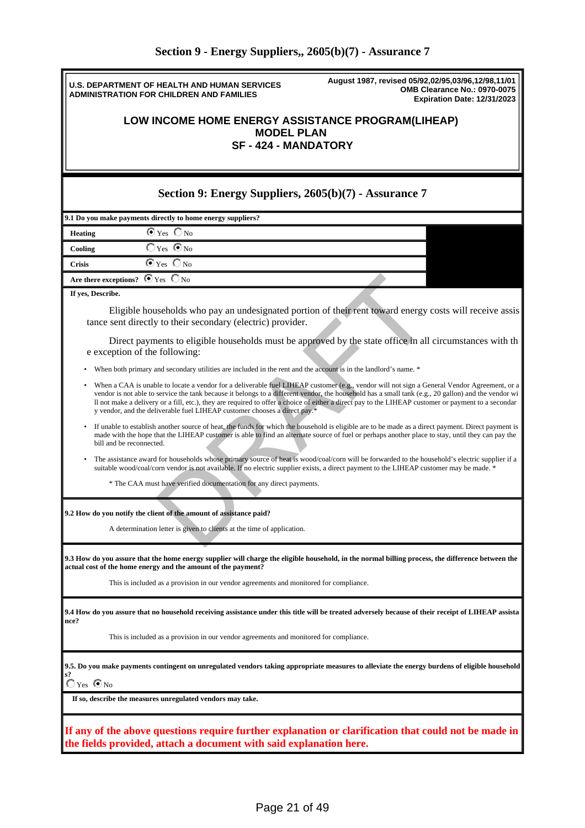<span id="page-20-0"></span>

| Section 9 - Energy Suppliers,, 2605(b)(7) - Assurance 7                                                                                                                                                                                                                                                                                                                                                                                                                                                                                |  |
|----------------------------------------------------------------------------------------------------------------------------------------------------------------------------------------------------------------------------------------------------------------------------------------------------------------------------------------------------------------------------------------------------------------------------------------------------------------------------------------------------------------------------------------|--|
| August 1987, revised 05/92,02/95,03/96,12/98,11/01<br><b>U.S. DEPARTMENT OF HEALTH AND HUMAN SERVICES</b><br><b>OMB Clearance No.: 0970-0075</b><br><b>ADMINISTRATION FOR CHILDREN AND FAMILIES</b><br>Expiration Date: 12/31/2023                                                                                                                                                                                                                                                                                                     |  |
| LOW INCOME HOME ENERGY ASSISTANCE PROGRAM(LIHEAP)                                                                                                                                                                                                                                                                                                                                                                                                                                                                                      |  |
| <b>MODEL PLAN</b><br><b>SF-424-MANDATORY</b>                                                                                                                                                                                                                                                                                                                                                                                                                                                                                           |  |
|                                                                                                                                                                                                                                                                                                                                                                                                                                                                                                                                        |  |
|                                                                                                                                                                                                                                                                                                                                                                                                                                                                                                                                        |  |
| Section 9: Energy Suppliers, 2605(b)(7) - Assurance 7                                                                                                                                                                                                                                                                                                                                                                                                                                                                                  |  |
| 9.1 Do you make payments directly to home energy suppliers?                                                                                                                                                                                                                                                                                                                                                                                                                                                                            |  |
| $\odot$ Yes $\odot$ No<br><b>Heating</b>                                                                                                                                                                                                                                                                                                                                                                                                                                                                                               |  |
| $C$ Yes $C$ No<br>Cooling                                                                                                                                                                                                                                                                                                                                                                                                                                                                                                              |  |
| $\odot$ Yes $\odot$ No<br><b>Crisis</b>                                                                                                                                                                                                                                                                                                                                                                                                                                                                                                |  |
| Are there exceptions? $\bullet$ Yes $\bullet$ No                                                                                                                                                                                                                                                                                                                                                                                                                                                                                       |  |
| If yes, Describe.                                                                                                                                                                                                                                                                                                                                                                                                                                                                                                                      |  |
| Eligible households who pay an undesignated portion of their rent toward energy costs will receive assis<br>tance sent directly to their secondary (electric) provider.                                                                                                                                                                                                                                                                                                                                                                |  |
| Direct payments to eligible households must be approved by the state office in all circumstances with th<br>e exception of the following:                                                                                                                                                                                                                                                                                                                                                                                              |  |
| When both primary and secondary utilities are included in the rent and the account is in the landlord's name. *                                                                                                                                                                                                                                                                                                                                                                                                                        |  |
| When a CAA is unable to locate a vendor for a deliverable fuel LIHEAP customer (e.g., vendor will not sign a General Vendor Agreement, or a<br>vendor is not able to service the tank because it belongs to a different vendor, the household has a small tank (e.g., 20 gallon) and the vendor wi<br>Il not make a delivery or a fill, etc.), they are required to offer a choice of either a direct pay to the LIHEAP customer or payment to a secondar<br>y vendor, and the deliverable fuel LIHEAP customer chooses a direct pay.* |  |
| If unable to establish another source of heat, the funds for which the household is eligible are to be made as a direct payment. Direct payment is<br>made with the hope that the LIHEAP customer is able to find an alternate source of fuel or perhaps another place to stay, until they can pay the<br>bill and be reconnected.                                                                                                                                                                                                     |  |
| The assistance award for households whose primary source of heat is wood/coal/corn will be forwarded to the household's electric supplier if a<br>$\bullet$<br>suitable wood/coal/corn vendor is not available. If no electric supplier exists, a direct payment to the LIHEAP customer may be made. *                                                                                                                                                                                                                                 |  |
| * The CAA must have verified documentation for any direct payments.                                                                                                                                                                                                                                                                                                                                                                                                                                                                    |  |
| 9.2 How do you notify the client of the amount of assistance paid?                                                                                                                                                                                                                                                                                                                                                                                                                                                                     |  |
| A determination letter is given to clients at the time of application.                                                                                                                                                                                                                                                                                                                                                                                                                                                                 |  |
| 9.3 How do you assure that the home energy supplier will charge the eligible household, in the normal billing process, the difference between the<br>actual cost of the home energy and the amount of the payment?                                                                                                                                                                                                                                                                                                                     |  |
| This is included as a provision in our vendor agreements and monitored for compliance.                                                                                                                                                                                                                                                                                                                                                                                                                                                 |  |
| 9.4 How do you assure that no household receiving assistance under this title will be treated adversely because of their receipt of LIHEAP assista<br>nce?                                                                                                                                                                                                                                                                                                                                                                             |  |
| This is included as a provision in our vendor agreements and monitored for compliance.                                                                                                                                                                                                                                                                                                                                                                                                                                                 |  |
| 9.5. Do you make payments contingent on unregulated vendors taking appropriate measures to alleviate the energy burdens of eligible household<br>$\bigcirc$ Yes $\bigcirc$ No                                                                                                                                                                                                                                                                                                                                                          |  |
| If so, describe the measures unregulated vendors may take.                                                                                                                                                                                                                                                                                                                                                                                                                                                                             |  |
| If any of the above questions require further explanation or clarification that could not be made in<br>the fields provided, attach a document with said explanation here.                                                                                                                                                                                                                                                                                                                                                             |  |
|                                                                                                                                                                                                                                                                                                                                                                                                                                                                                                                                        |  |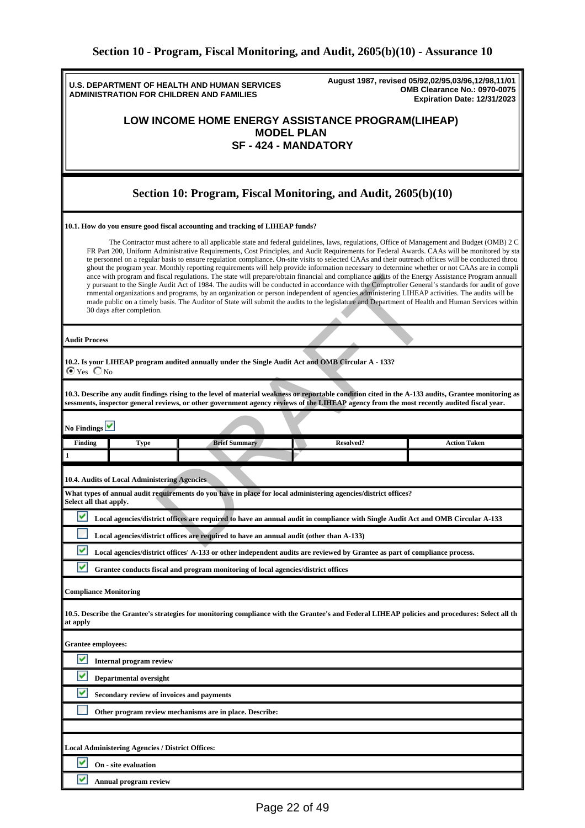<span id="page-21-0"></span>

| Section 10 - Program, Fiscal Monitoring, and Audit, 2605(b)(10) - Assurance 10 |
|--------------------------------------------------------------------------------|
|--------------------------------------------------------------------------------|

| <b>U.S. DEPARTMENT OF HEALTH AND HUMAN SERVICES</b><br><b>ADMINISTRATION FOR CHILDREN AND FAMILIES</b>                                                                                                                                                                                           | August 1987, revised 05/92,02/95,03/96,12/98,11/01<br><b>OMB Clearance No.: 0970-0075</b><br>Expiration Date: 12/31/2023                                                                                                                                                                                                                                                                                                                                                                                                                                                                                                                                                                                                                                                                                                                                                                                                                                                                                                                                    |
|--------------------------------------------------------------------------------------------------------------------------------------------------------------------------------------------------------------------------------------------------------------------------------------------------|-------------------------------------------------------------------------------------------------------------------------------------------------------------------------------------------------------------------------------------------------------------------------------------------------------------------------------------------------------------------------------------------------------------------------------------------------------------------------------------------------------------------------------------------------------------------------------------------------------------------------------------------------------------------------------------------------------------------------------------------------------------------------------------------------------------------------------------------------------------------------------------------------------------------------------------------------------------------------------------------------------------------------------------------------------------|
| LOW INCOME HOME ENERGY ASSISTANCE PROGRAM(LIHEAP)<br><b>MODEL PLAN</b><br><b>SF-424-MANDATORY</b>                                                                                                                                                                                                |                                                                                                                                                                                                                                                                                                                                                                                                                                                                                                                                                                                                                                                                                                                                                                                                                                                                                                                                                                                                                                                             |
| Section 10: Program, Fiscal Monitoring, and Audit, 2605(b)(10)                                                                                                                                                                                                                                   |                                                                                                                                                                                                                                                                                                                                                                                                                                                                                                                                                                                                                                                                                                                                                                                                                                                                                                                                                                                                                                                             |
| 10.1. How do you ensure good fiscal accounting and tracking of LIHEAP funds?<br>rnmental organizations and programs, by an organization or person independent of agencies administering LIHEAP activities. The audits will be<br>30 days after completion.                                       | The Contractor must adhere to all applicable state and federal guidelines, laws, regulations, Office of Management and Budget (OMB) 2 C<br>FR Part 200, Uniform Administrative Requirements, Cost Principles, and Audit Requirements for Federal Awards. CAAs will be monitored by sta<br>te personnel on a regular basis to ensure regulation compliance. On-site visits to selected CAAs and their outreach offices will be conducted throu<br>ghout the program year. Monthly reporting requirements will help provide information necessary to determine whether or not CAAs are in compli<br>ance with program and fiscal regulations. The state will prepare/obtain financial and compliance audits of the Energy Assistance Program annuall<br>y pursuant to the Single Audit Act of 1984. The audits will be conducted in accordance with the Comptroller General's standards for audit of gove<br>made public on a timely basis. The Auditor of State will submit the audits to the legislature and Department of Health and Human Services within |
| <b>Audit Process</b>                                                                                                                                                                                                                                                                             |                                                                                                                                                                                                                                                                                                                                                                                                                                                                                                                                                                                                                                                                                                                                                                                                                                                                                                                                                                                                                                                             |
| 10.2. Is your LIHEAP program audited annually under the Single Audit Act and OMB Circular A - 133?<br>$\bigcirc$ Yes $\bigcirc$ No                                                                                                                                                               |                                                                                                                                                                                                                                                                                                                                                                                                                                                                                                                                                                                                                                                                                                                                                                                                                                                                                                                                                                                                                                                             |
| 10.3. Describe any audit findings rising to the level of material weakness or reportable condition cited in the A-133 audits, Grantee monitoring as<br>sessments, inspector general reviews, or other government agency reviews of the LIHEAP agency from the most recently audited fiscal year. |                                                                                                                                                                                                                                                                                                                                                                                                                                                                                                                                                                                                                                                                                                                                                                                                                                                                                                                                                                                                                                                             |
| No Findings $\vee$                                                                                                                                                                                                                                                                               |                                                                                                                                                                                                                                                                                                                                                                                                                                                                                                                                                                                                                                                                                                                                                                                                                                                                                                                                                                                                                                                             |
| <b>Finding</b><br><b>Brief Summary</b><br>Type                                                                                                                                                                                                                                                   | <b>Resolved?</b><br><b>Action Taken</b>                                                                                                                                                                                                                                                                                                                                                                                                                                                                                                                                                                                                                                                                                                                                                                                                                                                                                                                                                                                                                     |
|                                                                                                                                                                                                                                                                                                  |                                                                                                                                                                                                                                                                                                                                                                                                                                                                                                                                                                                                                                                                                                                                                                                                                                                                                                                                                                                                                                                             |
| $\mathbf{1}$                                                                                                                                                                                                                                                                                     |                                                                                                                                                                                                                                                                                                                                                                                                                                                                                                                                                                                                                                                                                                                                                                                                                                                                                                                                                                                                                                                             |
| 10.4. Audits of Local Administering Agencies<br>What types of annual audit requirements do you have in place for local administering agencies/district offices?<br>Select all that apply.                                                                                                        |                                                                                                                                                                                                                                                                                                                                                                                                                                                                                                                                                                                                                                                                                                                                                                                                                                                                                                                                                                                                                                                             |
| M<br>Local agencies/district offices are required to have an annual audit in compliance with Single Audit Act and OMB Circular A-133                                                                                                                                                             |                                                                                                                                                                                                                                                                                                                                                                                                                                                                                                                                                                                                                                                                                                                                                                                                                                                                                                                                                                                                                                                             |
| Local agencies/district offices are required to have an annual audit (other than A-133)                                                                                                                                                                                                          |                                                                                                                                                                                                                                                                                                                                                                                                                                                                                                                                                                                                                                                                                                                                                                                                                                                                                                                                                                                                                                                             |
| M<br>Local agencies/district offices' A-133 or other independent audits are reviewed by Grantee as part of compliance process.                                                                                                                                                                   |                                                                                                                                                                                                                                                                                                                                                                                                                                                                                                                                                                                                                                                                                                                                                                                                                                                                                                                                                                                                                                                             |
| M<br>Grantee conducts fiscal and program monitoring of local agencies/district offices                                                                                                                                                                                                           |                                                                                                                                                                                                                                                                                                                                                                                                                                                                                                                                                                                                                                                                                                                                                                                                                                                                                                                                                                                                                                                             |
| <b>Compliance Monitoring</b>                                                                                                                                                                                                                                                                     |                                                                                                                                                                                                                                                                                                                                                                                                                                                                                                                                                                                                                                                                                                                                                                                                                                                                                                                                                                                                                                                             |
| 10.5. Describe the Grantee's strategies for monitoring compliance with the Grantee's and Federal LIHEAP policies and procedures: Select all the<br>at apply                                                                                                                                      |                                                                                                                                                                                                                                                                                                                                                                                                                                                                                                                                                                                                                                                                                                                                                                                                                                                                                                                                                                                                                                                             |
| <b>Grantee employees:</b>                                                                                                                                                                                                                                                                        |                                                                                                                                                                                                                                                                                                                                                                                                                                                                                                                                                                                                                                                                                                                                                                                                                                                                                                                                                                                                                                                             |
| M<br><b>Internal program review</b>                                                                                                                                                                                                                                                              |                                                                                                                                                                                                                                                                                                                                                                                                                                                                                                                                                                                                                                                                                                                                                                                                                                                                                                                                                                                                                                                             |
| M<br><b>Departmental oversight</b>                                                                                                                                                                                                                                                               |                                                                                                                                                                                                                                                                                                                                                                                                                                                                                                                                                                                                                                                                                                                                                                                                                                                                                                                                                                                                                                                             |
| v<br>Secondary review of invoices and payments                                                                                                                                                                                                                                                   |                                                                                                                                                                                                                                                                                                                                                                                                                                                                                                                                                                                                                                                                                                                                                                                                                                                                                                                                                                                                                                                             |
| Other program review mechanisms are in place. Describe:                                                                                                                                                                                                                                          |                                                                                                                                                                                                                                                                                                                                                                                                                                                                                                                                                                                                                                                                                                                                                                                                                                                                                                                                                                                                                                                             |
|                                                                                                                                                                                                                                                                                                  |                                                                                                                                                                                                                                                                                                                                                                                                                                                                                                                                                                                                                                                                                                                                                                                                                                                                                                                                                                                                                                                             |
| <b>Local Administering Agencies / District Offices:</b>                                                                                                                                                                                                                                          |                                                                                                                                                                                                                                                                                                                                                                                                                                                                                                                                                                                                                                                                                                                                                                                                                                                                                                                                                                                                                                                             |
| M<br>On - site evaluation                                                                                                                                                                                                                                                                        |                                                                                                                                                                                                                                                                                                                                                                                                                                                                                                                                                                                                                                                                                                                                                                                                                                                                                                                                                                                                                                                             |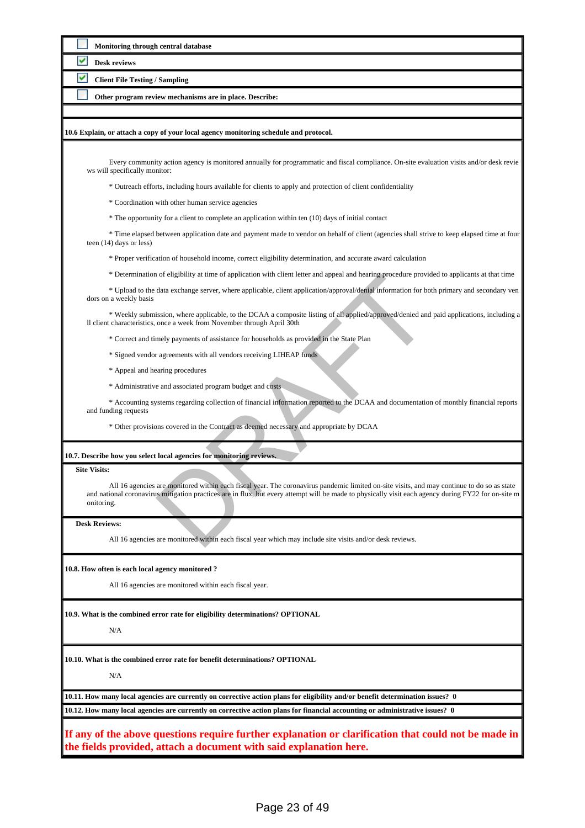| Monitoring through central database                                                                                                                                                                                                                                                                                                    |
|----------------------------------------------------------------------------------------------------------------------------------------------------------------------------------------------------------------------------------------------------------------------------------------------------------------------------------------|
| <b>Desk reviews</b>                                                                                                                                                                                                                                                                                                                    |
| v<br><b>Client File Testing / Sampling</b>                                                                                                                                                                                                                                                                                             |
| Other program review mechanisms are in place. Describe:                                                                                                                                                                                                                                                                                |
|                                                                                                                                                                                                                                                                                                                                        |
| 10.6 Explain, or attach a copy of your local agency monitoring schedule and protocol.                                                                                                                                                                                                                                                  |
| Every community action agency is monitored annually for programmatic and fiscal compliance. On-site evaluation visits and/or desk revie<br>ws will specifically monitor:                                                                                                                                                               |
| * Outreach efforts, including hours available for clients to apply and protection of client confidentiality                                                                                                                                                                                                                            |
| * Coordination with other human service agencies                                                                                                                                                                                                                                                                                       |
| * The opportunity for a client to complete an application within ten (10) days of initial contact                                                                                                                                                                                                                                      |
| * Time elapsed between application date and payment made to vendor on behalf of client (agencies shall strive to keep elapsed time at four<br>teen (14) days or less)                                                                                                                                                                  |
| * Proper verification of household income, correct eligibility determination, and accurate award calculation                                                                                                                                                                                                                           |
| * Determination of eligibility at time of application with client letter and appeal and hearing procedure provided to applicants at that time                                                                                                                                                                                          |
| * Upload to the data exchange server, where applicable, client application/approval/denial information for both primary and secondary ven<br>dors on a weekly basis                                                                                                                                                                    |
| * Weekly submission, where applicable, to the DCAA a composite listing of all applied/approved/denied and paid applications, including a<br>Il client characteristics, once a week from November through April 30th                                                                                                                    |
| * Correct and timely payments of assistance for households as provided in the State Plan                                                                                                                                                                                                                                               |
| * Signed vendor agreements with all vendors receiving LIHEAP funds                                                                                                                                                                                                                                                                     |
| * Appeal and hearing procedures                                                                                                                                                                                                                                                                                                        |
| * Administrative and associated program budget and costs                                                                                                                                                                                                                                                                               |
| * Accounting systems regarding collection of financial information reported to the DCAA and documentation of monthly financial reports<br>and funding requests                                                                                                                                                                         |
| * Other provisions covered in the Contract as deemed necessary and appropriate by DCAA                                                                                                                                                                                                                                                 |
|                                                                                                                                                                                                                                                                                                                                        |
| 10.7. Describe how you select local agencies for monitoring reviews.                                                                                                                                                                                                                                                                   |
| <b>Site Visits:</b><br>All 16 agencies are monitored within each fiscal year. The coronavirus pandemic limited on-site visits, and may continue to do so as state<br>and national coronavirus mitigation practices are in flux, but every attempt will be made to physically visit each agency during FY22 for on-site m<br>onitoring. |
| <b>Desk Reviews:</b>                                                                                                                                                                                                                                                                                                                   |
| All 16 agencies are monitored within each fiscal year which may include site visits and/or desk reviews.                                                                                                                                                                                                                               |
| 10.8. How often is each local agency monitored?                                                                                                                                                                                                                                                                                        |
| All 16 agencies are monitored within each fiscal year.                                                                                                                                                                                                                                                                                 |
| 10.9. What is the combined error rate for eligibility determinations? OPTIONAL                                                                                                                                                                                                                                                         |
| N/A                                                                                                                                                                                                                                                                                                                                    |
| 10.10. What is the combined error rate for benefit determinations? OPTIONAL                                                                                                                                                                                                                                                            |
| N/A                                                                                                                                                                                                                                                                                                                                    |
| 10.11. How many local agencies are currently on corrective action plans for eligibility and/or benefit determination issues? 0                                                                                                                                                                                                         |
| 10.12. How many local agencies are currently on corrective action plans for financial accounting or administrative issues? 0                                                                                                                                                                                                           |
| If any of the above questions require further explanation or clarification that could not be made in<br>the fields provided, attach a document with said explanation here.                                                                                                                                                             |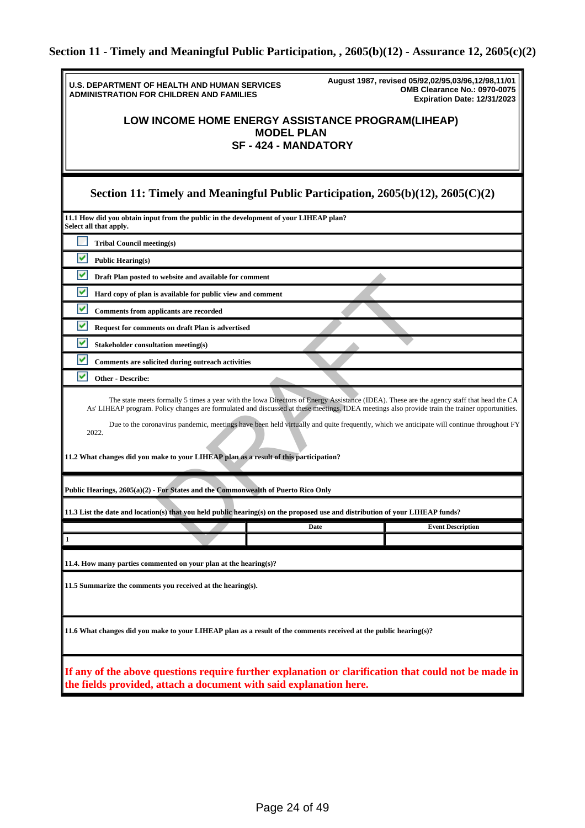# <span id="page-23-0"></span>**Section 11 - Timely and Meaningful Public Participation, , 2605(b)(12) - Assurance 12, 2605(c)(2)**

| <b>U.S. DEPARTMENT OF HEALTH AND HUMAN SERVICES</b><br><b>ADMINISTRATION FOR CHILDREN AND FAMILIES</b>                                                                                                                                                                                     | August 1987, revised 05/92,02/95,03/96,12/98,11/01<br><b>OMB Clearance No.: 0970-0075</b><br>Expiration Date: 12/31/2023 |  |  |  |  |  |  |
|--------------------------------------------------------------------------------------------------------------------------------------------------------------------------------------------------------------------------------------------------------------------------------------------|--------------------------------------------------------------------------------------------------------------------------|--|--|--|--|--|--|
| LOW INCOME HOME ENERGY ASSISTANCE PROGRAM(LIHEAP)                                                                                                                                                                                                                                          |                                                                                                                          |  |  |  |  |  |  |
| <b>MODEL PLAN</b>                                                                                                                                                                                                                                                                          |                                                                                                                          |  |  |  |  |  |  |
| <b>SF-424-MANDATORY</b>                                                                                                                                                                                                                                                                    |                                                                                                                          |  |  |  |  |  |  |
|                                                                                                                                                                                                                                                                                            |                                                                                                                          |  |  |  |  |  |  |
|                                                                                                                                                                                                                                                                                            |                                                                                                                          |  |  |  |  |  |  |
| Section 11: Timely and Meaningful Public Participation, 2605(b)(12), 2605(C)(2)                                                                                                                                                                                                            |                                                                                                                          |  |  |  |  |  |  |
| 11.1 How did you obtain input from the public in the development of your LIHEAP plan?<br>Select all that apply.                                                                                                                                                                            |                                                                                                                          |  |  |  |  |  |  |
| <b>Tribal Council meeting(s)</b>                                                                                                                                                                                                                                                           |                                                                                                                          |  |  |  |  |  |  |
| ᢦ<br><b>Public Hearing(s)</b>                                                                                                                                                                                                                                                              |                                                                                                                          |  |  |  |  |  |  |
| v<br>Draft Plan posted to website and available for comment                                                                                                                                                                                                                                |                                                                                                                          |  |  |  |  |  |  |
| v<br>Hard copy of plan is available for public view and comment                                                                                                                                                                                                                            |                                                                                                                          |  |  |  |  |  |  |
| v<br>Comments from applicants are recorded                                                                                                                                                                                                                                                 |                                                                                                                          |  |  |  |  |  |  |
| v<br><b>Request for comments on draft Plan is advertised</b>                                                                                                                                                                                                                               |                                                                                                                          |  |  |  |  |  |  |
| v<br>Stakeholder consultation meeting(s)                                                                                                                                                                                                                                                   |                                                                                                                          |  |  |  |  |  |  |
| ᢦ<br>Comments are solicited during outreach activities                                                                                                                                                                                                                                     |                                                                                                                          |  |  |  |  |  |  |
| v<br>Other - Describe:                                                                                                                                                                                                                                                                     |                                                                                                                          |  |  |  |  |  |  |
| The state meets formally 5 times a year with the Iowa Directors of Energy Assistance (IDEA). These are the agency staff that head the CA<br>As' LIHEAP program. Policy changes are formulated and discussed at these meetings. IDEA meetings also provide train the trainer opportunities. |                                                                                                                          |  |  |  |  |  |  |
| Due to the coronavirus pandemic, meetings have been held virtually and quite frequently, which we anticipate will continue throughout FY<br>2022.                                                                                                                                          |                                                                                                                          |  |  |  |  |  |  |
| 11.2 What changes did you make to your LIHEAP plan as a result of this participation?                                                                                                                                                                                                      |                                                                                                                          |  |  |  |  |  |  |
|                                                                                                                                                                                                                                                                                            |                                                                                                                          |  |  |  |  |  |  |
| Public Hearings, 2605(a)(2) - For States and the Commonwealth of Puerto Rico Only                                                                                                                                                                                                          |                                                                                                                          |  |  |  |  |  |  |
|                                                                                                                                                                                                                                                                                            |                                                                                                                          |  |  |  |  |  |  |
| 11.3 List the date and location(s) that you held public hearing(s) on the proposed use and distribution of your LIHEAP funds?                                                                                                                                                              |                                                                                                                          |  |  |  |  |  |  |
| Date                                                                                                                                                                                                                                                                                       | <b>Event Description</b>                                                                                                 |  |  |  |  |  |  |
| $\mathbf{1}$                                                                                                                                                                                                                                                                               |                                                                                                                          |  |  |  |  |  |  |
| 11.4. How many parties commented on your plan at the hearing(s)?                                                                                                                                                                                                                           |                                                                                                                          |  |  |  |  |  |  |
| 11.5 Summarize the comments you received at the hearing(s).                                                                                                                                                                                                                                |                                                                                                                          |  |  |  |  |  |  |
|                                                                                                                                                                                                                                                                                            |                                                                                                                          |  |  |  |  |  |  |
|                                                                                                                                                                                                                                                                                            |                                                                                                                          |  |  |  |  |  |  |
| 11.6 What changes did you make to your LIHEAP plan as a result of the comments received at the public hearing(s)?                                                                                                                                                                          |                                                                                                                          |  |  |  |  |  |  |
|                                                                                                                                                                                                                                                                                            |                                                                                                                          |  |  |  |  |  |  |
| If any of the above questions require further explanation or clarification that could not be made in                                                                                                                                                                                       |                                                                                                                          |  |  |  |  |  |  |
| the fields provided, attach a document with said explanation here.                                                                                                                                                                                                                         |                                                                                                                          |  |  |  |  |  |  |
|                                                                                                                                                                                                                                                                                            |                                                                                                                          |  |  |  |  |  |  |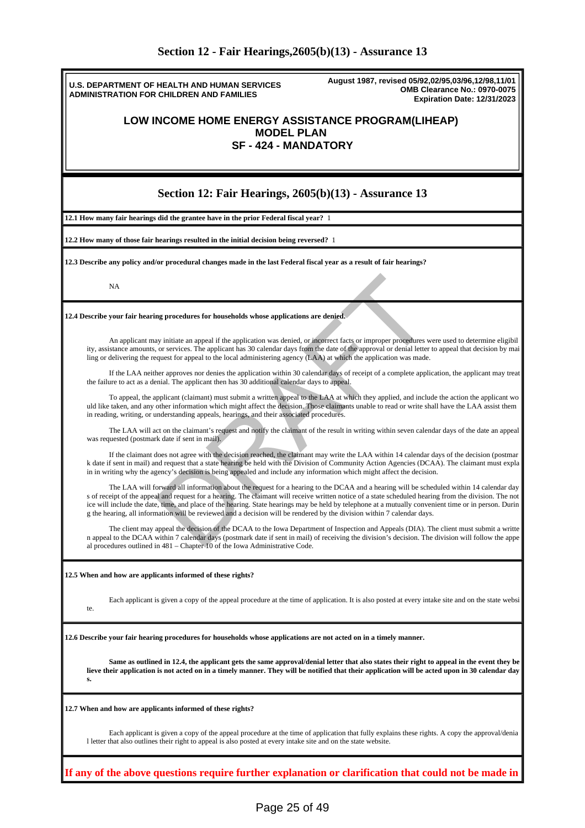<span id="page-24-0"></span>

| Section 12 - Fair Hearings, 2605(b)(13) - Assurance 13                                                                                                                                                                                                                                                                                                                                                                                                                                                                                                                               |  |  |  |  |  |  |
|--------------------------------------------------------------------------------------------------------------------------------------------------------------------------------------------------------------------------------------------------------------------------------------------------------------------------------------------------------------------------------------------------------------------------------------------------------------------------------------------------------------------------------------------------------------------------------------|--|--|--|--|--|--|
| August 1987, revised 05/92,02/95,03/96,12/98,11/01<br><b>U.S. DEPARTMENT OF HEALTH AND HUMAN SERVICES</b><br><b>OMB Clearance No.: 0970-0075</b><br><b>ADMINISTRATION FOR CHILDREN AND FAMILIES</b><br>Expiration Date: 12/31/2023                                                                                                                                                                                                                                                                                                                                                   |  |  |  |  |  |  |
| LOW INCOME HOME ENERGY ASSISTANCE PROGRAM(LIHEAP)                                                                                                                                                                                                                                                                                                                                                                                                                                                                                                                                    |  |  |  |  |  |  |
| <b>MODEL PLAN</b><br><b>SF-424-MANDATORY</b>                                                                                                                                                                                                                                                                                                                                                                                                                                                                                                                                         |  |  |  |  |  |  |
|                                                                                                                                                                                                                                                                                                                                                                                                                                                                                                                                                                                      |  |  |  |  |  |  |
| Section 12: Fair Hearings, 2605(b)(13) - Assurance 13                                                                                                                                                                                                                                                                                                                                                                                                                                                                                                                                |  |  |  |  |  |  |
| 12.1 How many fair hearings did the grantee have in the prior Federal fiscal year? 1                                                                                                                                                                                                                                                                                                                                                                                                                                                                                                 |  |  |  |  |  |  |
| 12.2 How many of those fair hearings resulted in the initial decision being reversed? 1                                                                                                                                                                                                                                                                                                                                                                                                                                                                                              |  |  |  |  |  |  |
| 12.3 Describe any policy and/or procedural changes made in the last Federal fiscal year as a result of fair hearings?                                                                                                                                                                                                                                                                                                                                                                                                                                                                |  |  |  |  |  |  |
| NA                                                                                                                                                                                                                                                                                                                                                                                                                                                                                                                                                                                   |  |  |  |  |  |  |
| 12.4 Describe your fair hearing procedures for households whose applications are denied.                                                                                                                                                                                                                                                                                                                                                                                                                                                                                             |  |  |  |  |  |  |
| An applicant may initiate an appeal if the application was denied, or incorrect facts or improper procedures were used to determine eligibil<br>ity, assistance amounts, or services. The applicant has 30 calendar days from the date of the approval or denial letter to appeal that decision by mai<br>ling or delivering the request for appeal to the local administering agency (LAA) at which the application was made.                                                                                                                                                       |  |  |  |  |  |  |
| If the LAA neither approves nor denies the application within 30 calendar days of receipt of a complete application, the applicant may treat<br>the failure to act as a denial. The applicant then has 30 additional calendar days to appeal.                                                                                                                                                                                                                                                                                                                                        |  |  |  |  |  |  |
| To appeal, the applicant (claimant) must submit a written appeal to the LAA at which they applied, and include the action the applicant wo<br>uld like taken, and any other information which might affect the decision. Those claimants unable to read or write shall have the LAA assist them<br>in reading, writing, or understanding appeals, hearings, and their associated procedures.                                                                                                                                                                                         |  |  |  |  |  |  |
| The LAA will act on the claimant's request and notify the claimant of the result in writing within seven calendar days of the date an appeal<br>was requested (postmark date if sent in mail).                                                                                                                                                                                                                                                                                                                                                                                       |  |  |  |  |  |  |
| If the claimant does not agree with the decision reached, the claimant may write the LAA within 14 calendar days of the decision (postmar<br>k date if sent in mail) and request that a state hearing be held with the Division of Community Action Agencies (DCAA). The claimant must expla<br>in in writing why the agency's decision is being appealed and include any information which might affect the decision.                                                                                                                                                               |  |  |  |  |  |  |
| The LAA will forward all information about the request for a hearing to the DCAA and a hearing will be scheduled within 14 calendar day<br>s of receipt of the appeal and request for a hearing. The claimant will receive written notice of a state scheduled hearing from the division. The not<br>ice will include the date, time, and place of the hearing. State hearings may be held by telephone at a mutually convenient time or in person. Durin<br>g the hearing, all information will be reviewed and a decision will be rendered by the division within 7 calendar days. |  |  |  |  |  |  |
| The client may appeal the decision of the DCAA to the Iowa Department of Inspection and Appeals (DIA). The client must submit a writte<br>n appeal to the DCAA within 7 calendar days (postmark date if sent in mail) of receiving the division's decision. The division will follow the appe<br>al procedures outlined in 481 – Chapter 10 of the Iowa Administrative Code.                                                                                                                                                                                                         |  |  |  |  |  |  |
| 12.5 When and how are applicants informed of these rights?                                                                                                                                                                                                                                                                                                                                                                                                                                                                                                                           |  |  |  |  |  |  |
| Each applicant is given a copy of the appeal procedure at the time of application. It is also posted at every intake site and on the state websi<br>te.                                                                                                                                                                                                                                                                                                                                                                                                                              |  |  |  |  |  |  |
| 12.6 Describe your fair hearing procedures for households whose applications are not acted on in a timely manner.                                                                                                                                                                                                                                                                                                                                                                                                                                                                    |  |  |  |  |  |  |
| Same as outlined in 12.4, the applicant gets the same approval/denial letter that also states their right to appeal in the event they be<br>lieve their application is not acted on in a timely manner. They will be notified that their application will be acted upon in 30 calendar day<br>s.                                                                                                                                                                                                                                                                                     |  |  |  |  |  |  |
| 12.7 When and how are applicants informed of these rights?                                                                                                                                                                                                                                                                                                                                                                                                                                                                                                                           |  |  |  |  |  |  |
| Each applicant is given a copy of the appeal procedure at the time of application that fully explains these rights. A copy the approval/denia<br>I letter that also outlines their right to appeal is also posted at every intake site and on the state website.                                                                                                                                                                                                                                                                                                                     |  |  |  |  |  |  |
| If any of the above questions require further explanation or clarification that could not be made in                                                                                                                                                                                                                                                                                                                                                                                                                                                                                 |  |  |  |  |  |  |

Page 25 of 49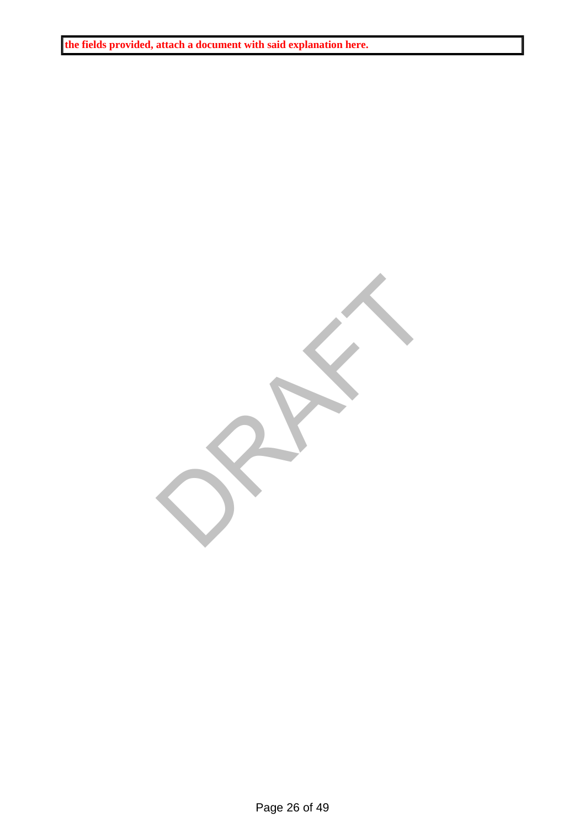RAFT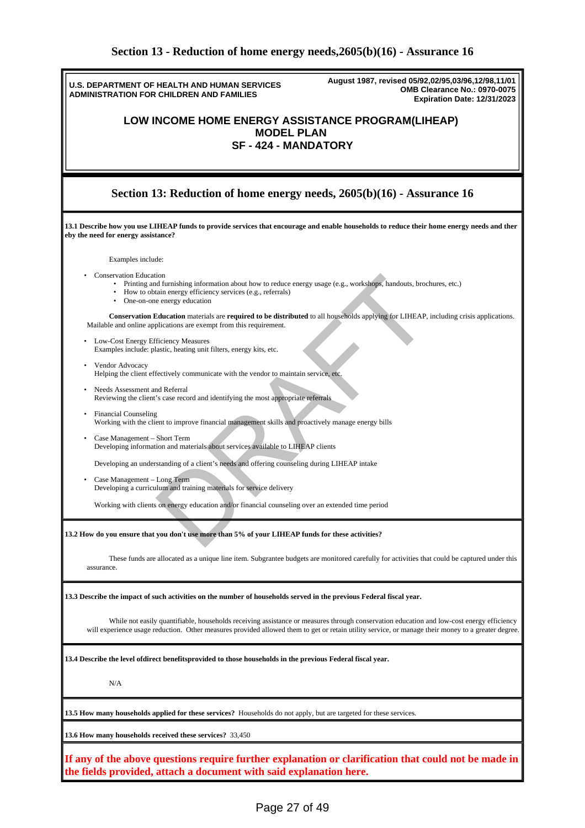| August 1987, revised 05/92,02/95,03/96,12/98,11/01<br>U.S. DEPARTMENT OF HEALTH AND HUMAN SERVICES<br><b>OMB Clearance No.: 0970-0075</b><br>ADMINISTRATION FOR CHILDREN AND FAMILIES<br>Expiration Date: 12/31/2023                                                                           |
|------------------------------------------------------------------------------------------------------------------------------------------------------------------------------------------------------------------------------------------------------------------------------------------------|
| LOW INCOME HOME ENERGY ASSISTANCE PROGRAM(LIHEAP)<br><b>MODEL PLAN</b><br><b>SF-424-MANDATORY</b>                                                                                                                                                                                              |
| Section 13: Reduction of home energy needs, 2605(b)(16) - Assurance 16                                                                                                                                                                                                                         |
| 13.1 Describe how you use LIHEAP funds to provide services that encourage and enable households to reduce their home energy needs and ther<br>eby the need for energy assistance?                                                                                                              |
| Examples include:                                                                                                                                                                                                                                                                              |
| <b>Conservation Education</b><br>• Printing and furnishing information about how to reduce energy usage (e.g., workshops, handouts, brochures, etc.)<br>How to obtain energy efficiency services (e.g., referrals)<br>One-on-one energy education                                              |
| Conservation Education materials are required to be distributed to all households applying for LIHEAP, including crisis applications.<br>Mailable and online applications are exempt from this requirement.                                                                                    |
| Low-Cost Energy Efficiency Measures<br>Examples include: plastic, heating unit filters, energy kits, etc.                                                                                                                                                                                      |
| Vendor Advocacy<br>Helping the client effectively communicate with the vendor to maintain service, etc.                                                                                                                                                                                        |
| Needs Assessment and Referral<br>Reviewing the client's case record and identifying the most appropriate referrals                                                                                                                                                                             |
| <b>Financial Counseling</b><br>Working with the client to improve financial management skills and proactively manage energy bills                                                                                                                                                              |
| Case Management – Short Term<br>Developing information and materials about services available to LIHEAP clients                                                                                                                                                                                |
| Developing an understanding of a client's needs and offering counseling during LIHEAP intake                                                                                                                                                                                                   |
| Case Management - Long Term<br>Developing a curriculum and training materials for service delivery                                                                                                                                                                                             |
| Working with clients on energy education and/or financial counseling over an extended time period                                                                                                                                                                                              |
| 13.2 How do you ensure that you don't use more than 5% of your LIHEAP funds for these activities?                                                                                                                                                                                              |
| These funds are allocated as a unique line item. Subgrantee budgets are monitored carefully for activities that could be captured under this<br>assurance.                                                                                                                                     |
| 13.3 Describe the impact of such activities on the number of households served in the previous Federal fiscal year.                                                                                                                                                                            |
| While not easily quantifiable, households receiving assistance or measures through conservation education and low-cost energy efficiency<br>will experience usage reduction. Other measures provided allowed them to get or retain utility service, or manage their money to a greater degree. |
| 13.4 Describe the level ofdirect benefitsprovided to those households in the previous Federal fiscal year.                                                                                                                                                                                     |
| N/A                                                                                                                                                                                                                                                                                            |
| 13.5 How many households applied for these services? Households do not apply, but are targeted for these services.                                                                                                                                                                             |
| 13.6 How many households received these services? 33,450                                                                                                                                                                                                                                       |
| If any of the above questions require further explanation or clarification that could not be made in                                                                                                                                                                                           |

<span id="page-26-0"></span>**Section 13 - Reduction of home energy needs,2605(b)(16) - Assurance 16**

**the fields provided, attach a document with said explanation here.**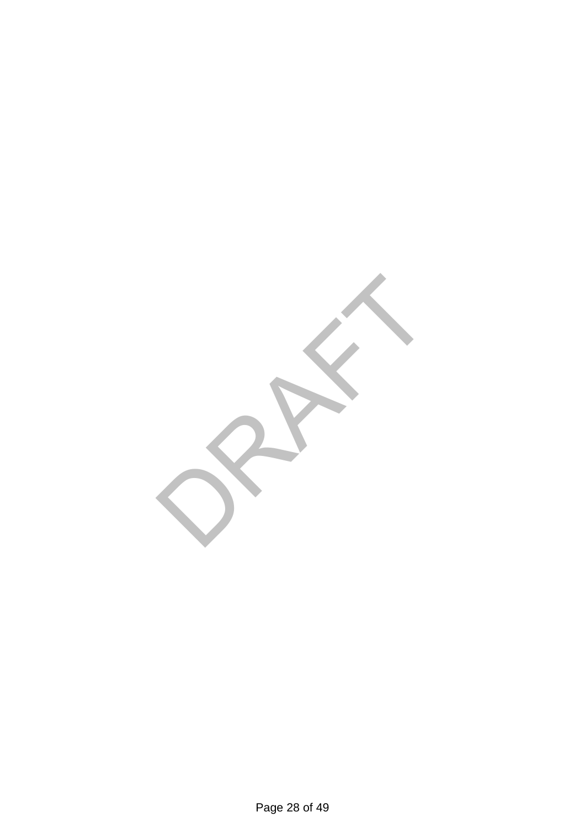RAFT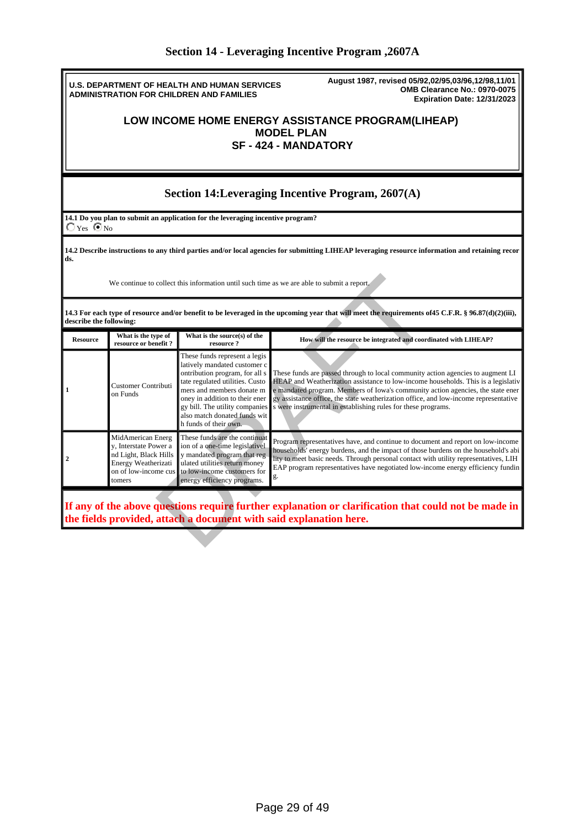<span id="page-28-0"></span>

|                                                                                                                                                                                                                                                      |                                                                                                                              | <b>U.S. DEPARTMENT OF HEALTH AND HUMAN SERVICES</b><br><b>ADMINISTRATION FOR CHILDREN AND FAMILIES</b>                                                                                                                                                                                       | August 1987, revised 05/92,02/95,03/96,12/98,11/01<br>OMB Clearance No.: 0970-0075<br><b>Expiration Date: 12/31/2023</b><br>LOW INCOME HOME ENERGY ASSISTANCE PROGRAM(LIHEAP)<br><b>MODEL PLAN</b><br><b>SF-424-MANDATORY</b>                                                                                                                                                                                    |  |  |  |
|------------------------------------------------------------------------------------------------------------------------------------------------------------------------------------------------------------------------------------------------------|------------------------------------------------------------------------------------------------------------------------------|----------------------------------------------------------------------------------------------------------------------------------------------------------------------------------------------------------------------------------------------------------------------------------------------|------------------------------------------------------------------------------------------------------------------------------------------------------------------------------------------------------------------------------------------------------------------------------------------------------------------------------------------------------------------------------------------------------------------|--|--|--|
| Section 14: Leveraging Incentive Program, 2607(A)                                                                                                                                                                                                    |                                                                                                                              |                                                                                                                                                                                                                                                                                              |                                                                                                                                                                                                                                                                                                                                                                                                                  |  |  |  |
| $\bigcirc$ Yes $\bigcirc$ No                                                                                                                                                                                                                         |                                                                                                                              | 14.1 Do you plan to submit an application for the leveraging incentive program?                                                                                                                                                                                                              |                                                                                                                                                                                                                                                                                                                                                                                                                  |  |  |  |
| 14.2 Describe instructions to any third parties and/or local agencies for submitting LIHEAP leveraging resource information and retaining recor<br>ds.<br>We continue to collect this information until such time as we are able to submit a report. |                                                                                                                              |                                                                                                                                                                                                                                                                                              |                                                                                                                                                                                                                                                                                                                                                                                                                  |  |  |  |
| 14.3 For each type of resource and/or benefit to be leveraged in the upcoming year that will meet the requirements of 45 C.F.R. § 96.87(d)(2)(iii),<br>describe the following:                                                                       |                                                                                                                              |                                                                                                                                                                                                                                                                                              |                                                                                                                                                                                                                                                                                                                                                                                                                  |  |  |  |
| <b>Resource</b>                                                                                                                                                                                                                                      | What is the type of<br>resource or benefit ?                                                                                 | What is the source(s) of the<br>resource?                                                                                                                                                                                                                                                    | How will the resource be integrated and coordinated with LIHEAP?                                                                                                                                                                                                                                                                                                                                                 |  |  |  |
| $\mathbf{1}$                                                                                                                                                                                                                                         | Customer Contributi<br>on Funds                                                                                              | These funds represent a legis<br>latively mandated customer c<br>ontribution program, for all s<br>tate regulated utilities. Custo<br>mers and members donate m<br>oney in addition to their ener<br>gy bill. The utility companies<br>also match donated funds wit<br>h funds of their own. | These funds are passed through to local community action agencies to augment LI<br>HEAP and Weatherization assistance to low-income households. This is a legislativ<br>e mandated program. Members of Iowa's community action agencies, the state ener<br>gy assistance office, the state weatherization office, and low-income representative<br>s were instrumental in establishing rules for these programs. |  |  |  |
| $\overline{\mathbf{c}}$                                                                                                                                                                                                                              | MidAmerican Energ<br>y, Interstate Power a<br>nd Light, Black Hills<br>Energy Weatherizati<br>on of low-income cus<br>tomers | These funds are the continuat<br>ion of a one-time legislativel<br>y mandated program that reg<br>ulated utilities return money<br>to low-income customers for<br>energy efficiency programs.                                                                                                | Program representatives have, and continue to document and report on low-income<br>households' energy burdens, and the impact of those burdens on the household's abi<br>lity to meet basic needs. Through personal contact with utility representatives, LIH<br>EAP program representatives have negotiated low-income energy efficiency fundin<br>g.                                                           |  |  |  |
| If any of the above questions require further explanation or clarification that could not be made in<br>the fields provided, attach a document with said explanation here.                                                                           |                                                                                                                              |                                                                                                                                                                                                                                                                                              |                                                                                                                                                                                                                                                                                                                                                                                                                  |  |  |  |
|                                                                                                                                                                                                                                                      |                                                                                                                              |                                                                                                                                                                                                                                                                                              |                                                                                                                                                                                                                                                                                                                                                                                                                  |  |  |  |

 $\overline{\mathbf{u}}$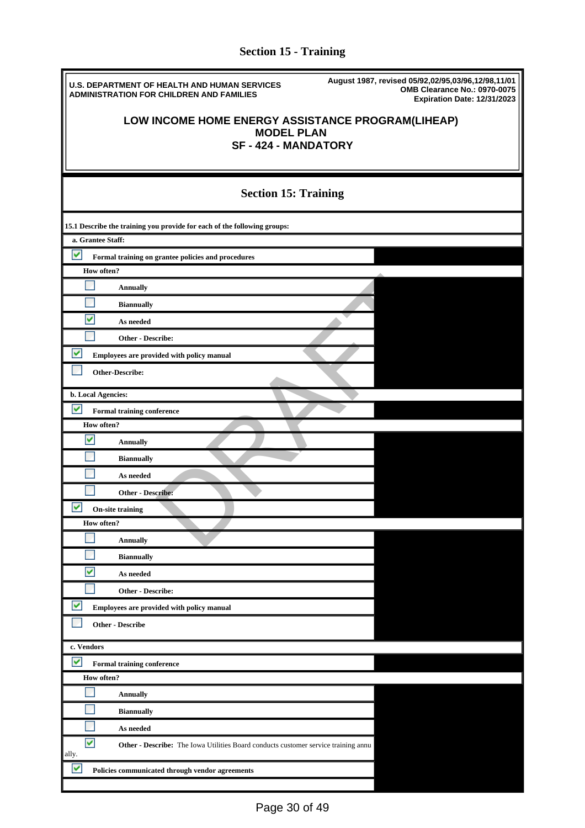**U.S. DEPARTMENT OF HEALTH AND HUMAN SERVICES ADMINISTRATION FOR CHILDREN AND FAMILIES August 1987, revised 05/92,02/95,03/96,12/98,11/01 OMB Clearance No.: 0970-0075 Expiration Date: 12/31/2023 LOW INCOME HOME ENERGY ASSISTANCE PROGRAM(LIHEAP) MODEL PLAN SF - 424 - MANDATORY Section 15: Training 15.1 Describe the training you provide for each of the following groups: a. Grantee Staff: Formal training on grantee policies and procedures How often? Annually Biannually As needed Other - Describe: Employees are provided with policy manual Other-Describe: b. Local Agencies: Formal training conference How often? Annually Biannually As needed Other - Describe: On-site training How often? Annually Biannually As needed Other - Describe: Employees are provided with policy manual Other - Describe c. Vendors Formal training conference How often? Annually Biannually As needed V Other - Describe:** The Iowa Utilities Board conducts customer service training annu ally. **Policies communicated through vendor agreements** eribe:<br>ided with policy manual<br>ference<br>cribe:

#### <span id="page-29-0"></span>**Section 15 - Training**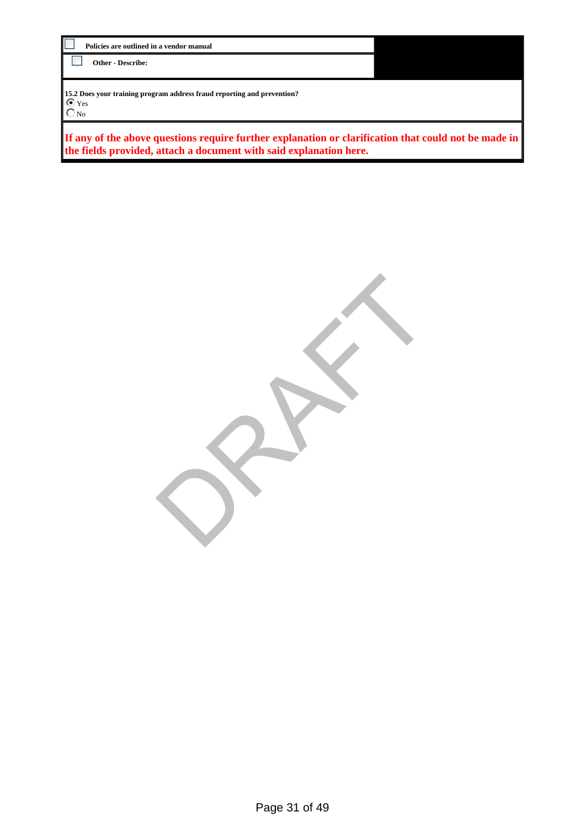|  |  |  | Policies are outlined in a vendor manual |  |  |  |  |  |
|--|--|--|------------------------------------------|--|--|--|--|--|
|--|--|--|------------------------------------------|--|--|--|--|--|

**Other - Describe:**

**15.2 Does your training program address fraud reporting and prevention?** Yes No

**If any of the above questions require further explanation or clarification that could not be made in the fields provided, attach a document with said explanation here.**

RAFT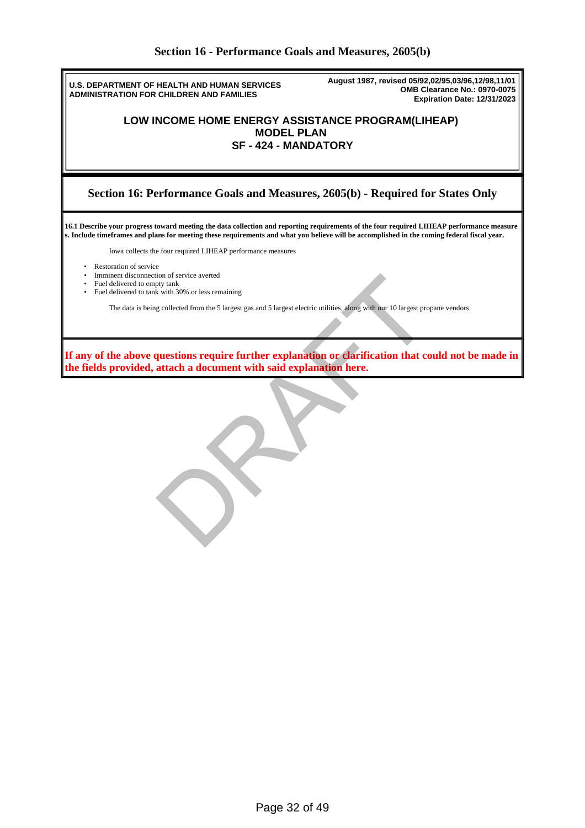<span id="page-31-0"></span>

| <b>U.S. DEPARTMENT OF HEALTH AND HUMAN SERVICES</b><br><b>ADMINISTRATION FOR CHILDREN AND FAMILIES</b>                                                                                                                                                                                   | August 1987, revised 05/92,02/95,03/96,12/98,11/01<br><b>OMB Clearance No.: 0970-0075</b><br>Expiration Date: 12/31/2023 |
|------------------------------------------------------------------------------------------------------------------------------------------------------------------------------------------------------------------------------------------------------------------------------------------|--------------------------------------------------------------------------------------------------------------------------|
| LOW INCOME HOME ENERGY ASSISTANCE PROGRAM(LIHEAP)<br><b>MODEL PLAN</b><br><b>SF-424-MANDATORY</b>                                                                                                                                                                                        |                                                                                                                          |
| Section 16: Performance Goals and Measures, 2605(b) - Required for States Only                                                                                                                                                                                                           |                                                                                                                          |
| 16.1 Describe your progress toward meeting the data collection and reporting requirements of the four required LIHEAP performance measure<br>s. Include timeframes and plans for meeting these requirements and what you believe will be accomplished in the coming federal fiscal year. |                                                                                                                          |
| Iowa collects the four required LIHEAP performance measures                                                                                                                                                                                                                              |                                                                                                                          |
| Restoration of service<br>Imminent disconnection of service averted<br>Fuel delivered to empty tank<br>Fuel delivered to tank with 30% or less remaining                                                                                                                                 |                                                                                                                          |
| The data is being collected from the 5 largest gas and 5 largest electric utilities, along with our 10 largest propane vendors.                                                                                                                                                          |                                                                                                                          |

 $\gamma$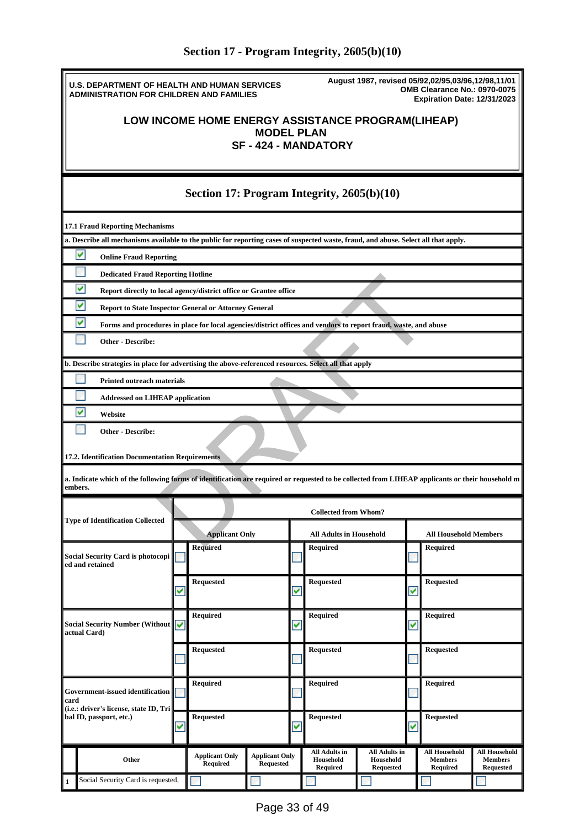<span id="page-32-0"></span>

|              | August 1987, revised 05/92,02/95,03/96,12/98,11/01<br>U.S. DEPARTMENT OF HEALTH AND HUMAN SERVICES<br><b>OMB Clearance No.: 0970-0075</b><br>ADMINISTRATION FOR CHILDREN AND FAMILIES<br>Expiration Date: 12/31/2023<br>LOW INCOME HOME ENERGY ASSISTANCE PROGRAM(LIHEAP)<br><b>MODEL PLAN</b><br><b>SF-424-MANDATORY</b> |   |                                            |                       |                  |                                   |                            |                  |                                        |                                 |
|--------------|---------------------------------------------------------------------------------------------------------------------------------------------------------------------------------------------------------------------------------------------------------------------------------------------------------------------------|---|--------------------------------------------|-----------------------|------------------|-----------------------------------|----------------------------|------------------|----------------------------------------|---------------------------------|
|              |                                                                                                                                                                                                                                                                                                                           |   | Section 17: Program Integrity, 2605(b)(10) |                       |                  |                                   |                            |                  |                                        |                                 |
|              | <b>17.1 Fraud Reporting Mechanisms</b>                                                                                                                                                                                                                                                                                    |   |                                            |                       |                  |                                   |                            |                  |                                        |                                 |
|              | a. Describe all mechanisms available to the public for reporting cases of suspected waste, fraud, and abuse. Select all that apply.                                                                                                                                                                                       |   |                                            |                       |                  |                                   |                            |                  |                                        |                                 |
|              | M<br><b>Online Fraud Reporting</b>                                                                                                                                                                                                                                                                                        |   |                                            |                       |                  |                                   |                            |                  |                                        |                                 |
|              | <b>Dedicated Fraud Reporting Hotline</b>                                                                                                                                                                                                                                                                                  |   |                                            |                       |                  |                                   |                            |                  |                                        |                                 |
|              | v<br>Report directly to local agency/district office or Grantee office                                                                                                                                                                                                                                                    |   |                                            |                       |                  |                                   |                            |                  |                                        |                                 |
|              | v<br><b>Report to State Inspector General or Attorney General</b>                                                                                                                                                                                                                                                         |   |                                            |                       |                  |                                   |                            |                  |                                        |                                 |
|              | v<br>Forms and procedures in place for local agencies/district offices and vendors to report fraud, waste, and abuse                                                                                                                                                                                                      |   |                                            |                       |                  |                                   |                            |                  |                                        |                                 |
|              | <b>Other - Describe:</b>                                                                                                                                                                                                                                                                                                  |   |                                            |                       |                  |                                   |                            |                  |                                        |                                 |
|              | b. Describe strategies in place for advertising the above-referenced resources. Select all that apply                                                                                                                                                                                                                     |   |                                            |                       |                  |                                   |                            |                  |                                        |                                 |
|              | <b>Printed outreach materials</b>                                                                                                                                                                                                                                                                                         |   |                                            |                       |                  |                                   |                            |                  |                                        |                                 |
|              | <b>Addressed on LIHEAP application</b>                                                                                                                                                                                                                                                                                    |   |                                            |                       |                  |                                   |                            |                  |                                        |                                 |
|              | Website                                                                                                                                                                                                                                                                                                                   |   |                                            |                       |                  |                                   |                            |                  |                                        |                                 |
|              | <b>Other - Describe:</b>                                                                                                                                                                                                                                                                                                  |   |                                            |                       |                  |                                   |                            |                  |                                        |                                 |
|              |                                                                                                                                                                                                                                                                                                                           |   |                                            |                       |                  |                                   |                            |                  |                                        |                                 |
|              | 17.2. Identification Documentation Requirements                                                                                                                                                                                                                                                                           |   |                                            |                       |                  |                                   |                            |                  |                                        |                                 |
| embers.      | a. Indicate which of the following forms of identification are required or requested to be collected from LIHEAP applicants or their household m                                                                                                                                                                          |   |                                            |                       |                  |                                   |                            |                  |                                        |                                 |
|              |                                                                                                                                                                                                                                                                                                                           |   |                                            |                       |                  | <b>Collected from Whom?</b>       |                            |                  |                                        |                                 |
|              | <b>Type of Identification Collected</b>                                                                                                                                                                                                                                                                                   |   |                                            |                       |                  |                                   |                            |                  |                                        |                                 |
|              |                                                                                                                                                                                                                                                                                                                           |   | <b>Applicant Only</b>                      |                       |                  | <b>All Adults in Household</b>    |                            |                  | <b>All Household Members</b>           |                                 |
|              | Social Security Card is photocopi                                                                                                                                                                                                                                                                                         |   | <b>Required</b>                            |                       |                  | <b>Required</b>                   |                            |                  | <b>Required</b>                        |                                 |
|              | ed and retained                                                                                                                                                                                                                                                                                                           |   |                                            |                       |                  |                                   |                            |                  |                                        |                                 |
|              |                                                                                                                                                                                                                                                                                                                           | V | <b>Requested</b>                           |                       | M                | <b>Requested</b>                  |                            | v                | <b>Requested</b>                       |                                 |
|              |                                                                                                                                                                                                                                                                                                                           |   |                                            |                       |                  |                                   |                            |                  |                                        |                                 |
|              | Social Security Number (Without                                                                                                                                                                                                                                                                                           |   | <b>Required</b>                            |                       | ⊻                | Required                          |                            | M                | <b>Required</b>                        |                                 |
|              | actual Card)                                                                                                                                                                                                                                                                                                              |   |                                            |                       |                  |                                   |                            |                  |                                        |                                 |
|              |                                                                                                                                                                                                                                                                                                                           |   | <b>Requested</b>                           |                       | <b>Requested</b> |                                   |                            | <b>Requested</b> |                                        |                                 |
|              |                                                                                                                                                                                                                                                                                                                           |   |                                            |                       |                  |                                   |                            |                  |                                        |                                 |
|              | Government-issued identification                                                                                                                                                                                                                                                                                          |   | <b>Required</b>                            |                       |                  | Required                          |                            |                  | Required                               |                                 |
| card         | (i.e.: driver's license, state ID, Tri                                                                                                                                                                                                                                                                                    |   |                                            |                       |                  |                                   |                            |                  |                                        |                                 |
|              | bal ID, passport, etc.)                                                                                                                                                                                                                                                                                                   |   | <b>Requested</b>                           |                       | <b>Requested</b> |                                   |                            | <b>Requested</b> |                                        |                                 |
|              |                                                                                                                                                                                                                                                                                                                           | M |                                            |                       | M                |                                   |                            | ⊽                |                                        |                                 |
|              | Other                                                                                                                                                                                                                                                                                                                     |   | <b>Applicant Only</b>                      | <b>Applicant Only</b> |                  | <b>All Adults in</b><br>Household | All Adults in<br>Household |                  | <b>All Household</b><br><b>Members</b> | All Household<br><b>Members</b> |
|              |                                                                                                                                                                                                                                                                                                                           |   | <b>Required</b>                            | <b>Requested</b>      |                  | <b>Required</b>                   | <b>Requested</b>           |                  | <b>Required</b>                        | <b>Requested</b>                |
| $\mathbf{1}$ | Social Security Card is requested,                                                                                                                                                                                                                                                                                        |   |                                            |                       |                  |                                   |                            |                  |                                        |                                 |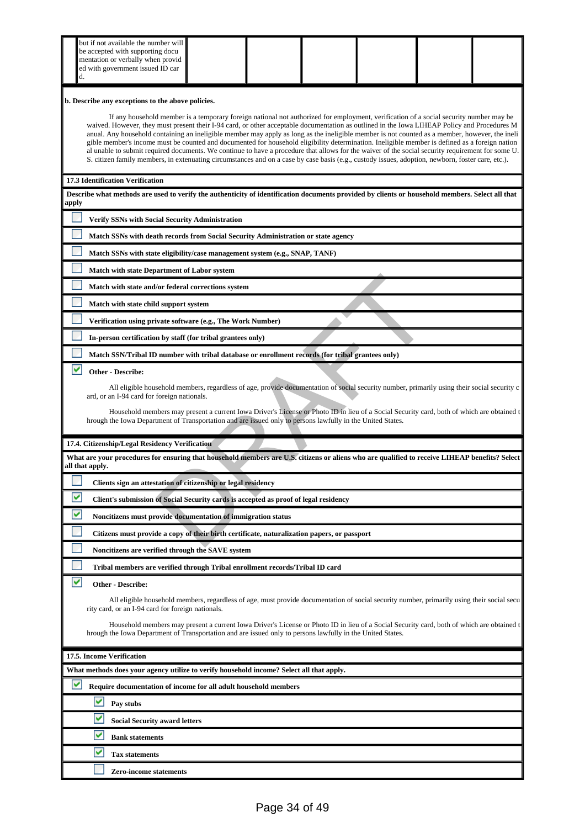|       | but if not available the number will<br>be accepted with supporting docu                                                                                                                                                                                                                               |  |  |  |
|-------|--------------------------------------------------------------------------------------------------------------------------------------------------------------------------------------------------------------------------------------------------------------------------------------------------------|--|--|--|
|       | mentation or verbally when provid                                                                                                                                                                                                                                                                      |  |  |  |
| d.    | ed with government issued ID car                                                                                                                                                                                                                                                                       |  |  |  |
|       |                                                                                                                                                                                                                                                                                                        |  |  |  |
|       | b. Describe any exceptions to the above policies.                                                                                                                                                                                                                                                      |  |  |  |
|       | If any household member is a temporary foreign national not authorized for employment, verification of a social security number may be                                                                                                                                                                 |  |  |  |
|       | waived. However, they must present their I-94 card, or other acceptable documentation as outlined in the Iowa LIHEAP Policy and Procedures M<br>anual. Any household containing an ineligible member may apply as long as the ineligible member is not counted as a member, however, the ineli         |  |  |  |
|       | gible member's income must be counted and documented for household eligibility determination. Ineligible member is defined as a foreign nation                                                                                                                                                         |  |  |  |
|       | al unable to submit required documents. We continue to have a procedure that allows for the waiver of the social security requirement for some U.<br>S. citizen family members, in extenuating circumstances and on a case by case basis (e.g., custody issues, adoption, newborn, foster care, etc.). |  |  |  |
|       |                                                                                                                                                                                                                                                                                                        |  |  |  |
|       | 17.3 Identification Verification                                                                                                                                                                                                                                                                       |  |  |  |
| apply | Describe what methods are used to verify the authenticity of identification documents provided by clients or household members. Select all that                                                                                                                                                        |  |  |  |
|       | <b>Verify SSNs with Social Security Administration</b>                                                                                                                                                                                                                                                 |  |  |  |
|       | Match SSNs with death records from Social Security Administration or state agency                                                                                                                                                                                                                      |  |  |  |
|       | Match SSNs with state eligibility/case management system (e.g., SNAP, TANF)                                                                                                                                                                                                                            |  |  |  |
|       | Match with state Department of Labor system                                                                                                                                                                                                                                                            |  |  |  |
|       | Match with state and/or federal corrections system                                                                                                                                                                                                                                                     |  |  |  |
|       | Match with state child support system                                                                                                                                                                                                                                                                  |  |  |  |
|       | Verification using private software (e.g., The Work Number)                                                                                                                                                                                                                                            |  |  |  |
|       | In-person certification by staff (for tribal grantees only)                                                                                                                                                                                                                                            |  |  |  |
|       | Match SSN/Tribal ID number with tribal database or enrollment records (for tribal grantees only)                                                                                                                                                                                                       |  |  |  |
| v     | Other - Describe:                                                                                                                                                                                                                                                                                      |  |  |  |
|       | All eligible household members, regardless of age, provide documentation of social security number, primarily using their social security c<br>ard, or an I-94 card for foreign nationals.                                                                                                             |  |  |  |
|       | Household members may present a current Iowa Driver's License or Photo ID in lieu of a Social Security card, both of which are obtained t<br>hrough the Iowa Department of Transportation and are issued only to persons lawfully in the United States.                                                |  |  |  |
|       | 17.4. Citizenship/Legal Residency Verification                                                                                                                                                                                                                                                         |  |  |  |
|       | What are your procedures for ensuring that household members are U.S. citizens or aliens who are qualified to receive LIHEAP benefits? Select<br>all that apply.                                                                                                                                       |  |  |  |
|       | Clients sign an attestation of citizenship or legal residency                                                                                                                                                                                                                                          |  |  |  |
| v     | Client's submission of Social Security cards is accepted as proof of legal residency                                                                                                                                                                                                                   |  |  |  |
| M     | Noncitizens must provide documentation of immigration status                                                                                                                                                                                                                                           |  |  |  |
|       | Citizens must provide a copy of their birth certificate, naturalization papers, or passport                                                                                                                                                                                                            |  |  |  |
|       |                                                                                                                                                                                                                                                                                                        |  |  |  |
|       | Noncitizens are verified through the SAVE system                                                                                                                                                                                                                                                       |  |  |  |
|       | Tribal members are verified through Tribal enrollment records/Tribal ID card                                                                                                                                                                                                                           |  |  |  |
| v     | Other - Describe:                                                                                                                                                                                                                                                                                      |  |  |  |
|       | All eligible household members, regardless of age, must provide documentation of social security number, primarily using their social secu<br>rity card, or an I-94 card for foreign nationals.                                                                                                        |  |  |  |
|       | Household members may present a current Iowa Driver's License or Photo ID in lieu of a Social Security card, both of which are obtained t<br>hrough the Iowa Department of Transportation and are issued only to persons lawfully in the United States.                                                |  |  |  |
|       | 17.5. Income Verification                                                                                                                                                                                                                                                                              |  |  |  |
|       | What methods does your agency utilize to verify household income? Select all that apply.                                                                                                                                                                                                               |  |  |  |
| v     | Require documentation of income for all adult household members                                                                                                                                                                                                                                        |  |  |  |
|       | v<br>Pay stubs                                                                                                                                                                                                                                                                                         |  |  |  |
|       | v<br><b>Social Security award letters</b>                                                                                                                                                                                                                                                              |  |  |  |
|       | v<br><b>Bank statements</b>                                                                                                                                                                                                                                                                            |  |  |  |
|       | v<br><b>Tax statements</b>                                                                                                                                                                                                                                                                             |  |  |  |
|       | Zero-income statements                                                                                                                                                                                                                                                                                 |  |  |  |
|       |                                                                                                                                                                                                                                                                                                        |  |  |  |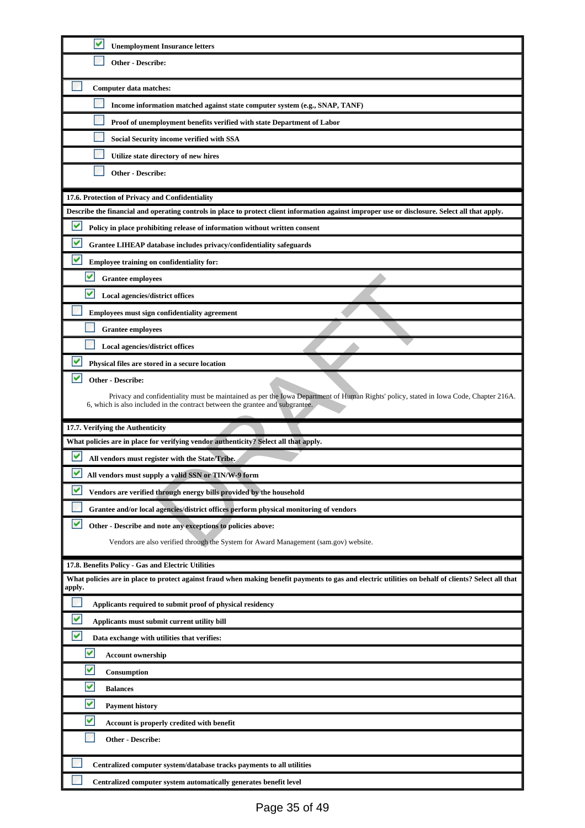| <b>Unemployment Insurance letters</b>                                                                                                                                                                                  |
|------------------------------------------------------------------------------------------------------------------------------------------------------------------------------------------------------------------------|
| <b>Other - Describe:</b>                                                                                                                                                                                               |
| <b>Computer data matches:</b>                                                                                                                                                                                          |
| Income information matched against state computer system (e.g., SNAP, TANF)                                                                                                                                            |
| Proof of unemployment benefits verified with state Department of Labor                                                                                                                                                 |
| Social Security income verified with SSA                                                                                                                                                                               |
| Utilize state directory of new hires                                                                                                                                                                                   |
| Other - Describe:                                                                                                                                                                                                      |
| 17.6. Protection of Privacy and Confidentiality                                                                                                                                                                        |
| Describe the financial and operating controls in place to protect client information against improper use or disclosure. Select all that apply.                                                                        |
| v<br>Policy in place prohibiting release of information without written consent                                                                                                                                        |
| v<br>Grantee LIHEAP database includes privacy/confidentiality safeguards                                                                                                                                               |
| ᢦ<br>Employee training on confidentiality for:                                                                                                                                                                         |
| ᢦ<br><b>Grantee employees</b>                                                                                                                                                                                          |
| v<br>Local agencies/district offices                                                                                                                                                                                   |
| Employees must sign confidentiality agreement                                                                                                                                                                          |
| <b>Grantee employees</b>                                                                                                                                                                                               |
| Local agencies/district offices                                                                                                                                                                                        |
| v<br>Physical files are stored in a secure location                                                                                                                                                                    |
| v<br>Other - Describe:                                                                                                                                                                                                 |
| Privacy and confidentiality must be maintained as per the Iowa Department of Human Rights' policy, stated in Iowa Code, Chapter 216A.<br>6, which is also included in the contract between the grantee and subgrantee. |
| 17.7. Verifying the Authenticity                                                                                                                                                                                       |
|                                                                                                                                                                                                                        |
| What policies are in place for verifying vendor authenticity? Select all that apply.                                                                                                                                   |
| v<br>All vendors must register with the State/Tribe.                                                                                                                                                                   |
| v<br>All vendors must supply a valid SSN or TIN/W-9 form                                                                                                                                                               |
| ᢦ<br>Vendors are verified through energy bills provided by the household                                                                                                                                               |
| Grantee and/or local agencies/district offices perform physical monitoring of vendors                                                                                                                                  |
| v<br>Other - Describe and note any exceptions to policies above:                                                                                                                                                       |
| Vendors are also verified through the System for Award Management (sam.gov) website.                                                                                                                                   |
| 17.8. Benefits Policy - Gas and Electric Utilities                                                                                                                                                                     |
| What policies are in place to protect against fraud when making benefit payments to gas and electric utilities on behalf of clients? Select all that                                                                   |
| apply.                                                                                                                                                                                                                 |
| Applicants required to submit proof of physical residency<br>v                                                                                                                                                         |
| Applicants must submit current utility bill<br>M                                                                                                                                                                       |
| Data exchange with utilities that verifies:<br>M                                                                                                                                                                       |
| <b>Account ownership</b><br>v                                                                                                                                                                                          |
| Consumption<br>v                                                                                                                                                                                                       |
| <b>Balances</b><br>⊻                                                                                                                                                                                                   |
| <b>Payment history</b><br>M                                                                                                                                                                                            |
| Account is properly credited with benefit<br>Other - Describe:                                                                                                                                                         |
|                                                                                                                                                                                                                        |
| Centralized computer system/database tracks payments to all utilities<br>Centralized computer system automatically generates benefit level                                                                             |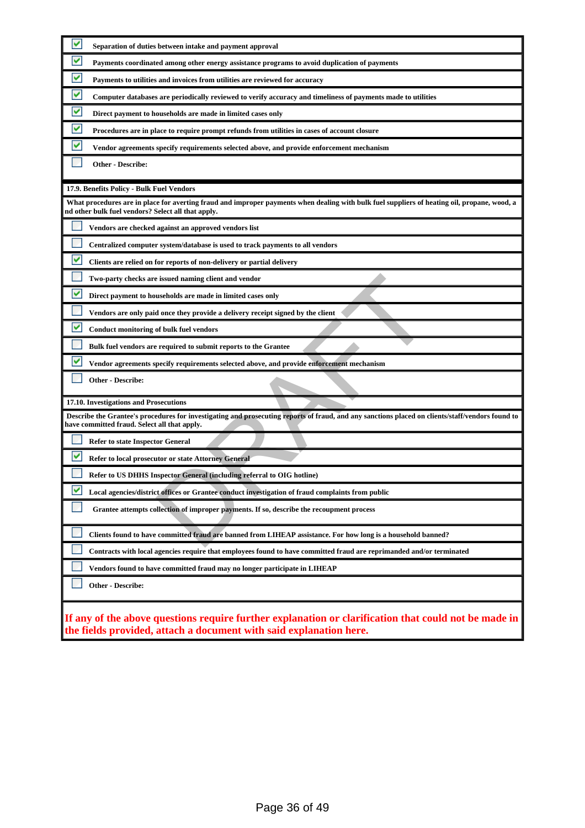| ᢦ<br>Payments coordinated among other energy assistance programs to avoid duplication of payments                                                                                                  |
|----------------------------------------------------------------------------------------------------------------------------------------------------------------------------------------------------|
| M<br>Payments to utilities and invoices from utilities are reviewed for accuracy                                                                                                                   |
| v<br>Computer databases are periodically reviewed to verify accuracy and timeliness of payments made to utilities                                                                                  |
| ⊻<br>Direct payment to households are made in limited cases only                                                                                                                                   |
| M<br>Procedures are in place to require prompt refunds from utilities in cases of account closure                                                                                                  |
| M<br>Vendor agreements specify requirements selected above, and provide enforcement mechanism                                                                                                      |
| Other - Describe:                                                                                                                                                                                  |
| 17.9. Benefits Policy - Bulk Fuel Vendors                                                                                                                                                          |
| What procedures are in place for averting fraud and improper payments when dealing with bulk fuel suppliers of heating oil, propane, wood, a<br>nd other bulk fuel vendors? Select all that apply. |
| Vendors are checked against an approved vendors list                                                                                                                                               |
| Centralized computer system/database is used to track payments to all vendors                                                                                                                      |
| ✓<br>Clients are relied on for reports of non-delivery or partial delivery                                                                                                                         |
| Two-party checks are issued naming client and vendor                                                                                                                                               |
| M<br>Direct payment to households are made in limited cases only                                                                                                                                   |
| Vendors are only paid once they provide a delivery receipt signed by the client                                                                                                                    |
| v<br>Conduct monitoring of bulk fuel vendors                                                                                                                                                       |
| Bulk fuel vendors are required to submit reports to the Grantee                                                                                                                                    |
| v<br>Vendor agreements specify requirements selected above, and provide enforcement mechanism                                                                                                      |
| Other - Describe:                                                                                                                                                                                  |
|                                                                                                                                                                                                    |
| 17.10. Investigations and Prosecutions                                                                                                                                                             |
| Describe the Grantee's procedures for investigating and prosecuting reports of fraud, and any sanctions placed on clients/staff/vendors found to<br>have committed fraud. Select all that apply.   |
| <b>Refer to state Inspector General</b>                                                                                                                                                            |
| v<br>Refer to local prosecutor or state Attorney General                                                                                                                                           |
| Refer to US DHHS Inspector General (including referral to OIG hotline)                                                                                                                             |
| ⊻<br>Local agencies/district offices or Grantee conduct investigation of fraud complaints from public                                                                                              |
| Grantee attempts collection of improper payments. If so, describe the recoupment process                                                                                                           |
| Clients found to have committed fraud are banned from LIHEAP assistance. For how long is a household banned?                                                                                       |
| Contracts with local agencies require that employees found to have committed fraud are reprimanded and/or terminated                                                                               |
| Vendors found to have committed fraud may no longer participate in LIHEAP                                                                                                                          |
| <b>Other - Describe:</b>                                                                                                                                                                           |

**the fields provided, attach a document with said explanation here.**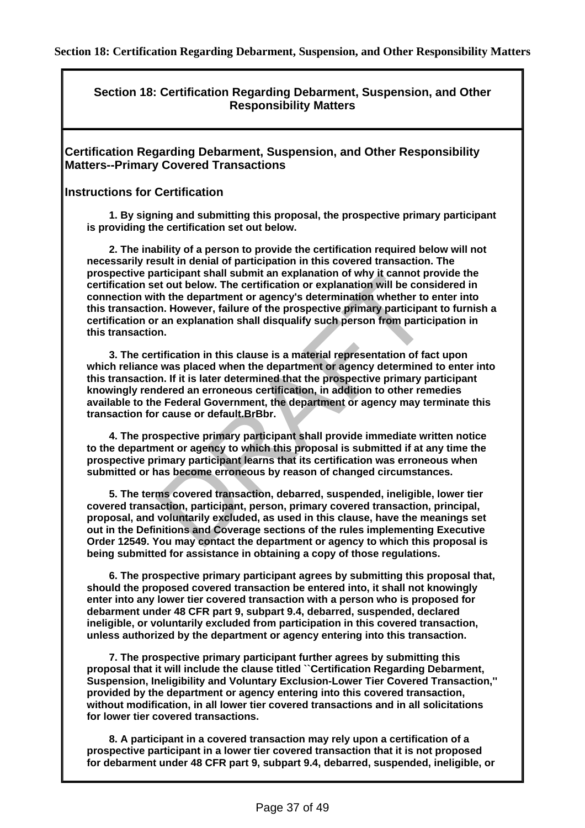#### <span id="page-36-0"></span>**Section 18: Certification Regarding Debarment, Suspension, and Other Responsibility Matters**

**Certification Regarding Debarment, Suspension, and Other Responsibility Matters--Primary Covered Transactions**

#### **Instructions for Certification**

**1. By signing and submitting this proposal, the prospective primary participant is providing the certification set out below.**

**2. The inability of a person to provide the certification required below will not necessarily result in denial of participation in this covered transaction. The prospective participant shall submit an explanation of why it cannot provide the certification set out below. The certification or explanation will be considered in connection with the department or agency's determination whether to enter into this transaction. However, failure of the prospective primary participant to furnish a certification or an explanation shall disqualify such person from participation in this transaction.**

**3. The certification in this clause is a material representation of fact upon which reliance was placed when the department or agency determined to enter into this transaction. If it is later determined that the prospective primary participant knowingly rendered an erroneous certification, in addition to other remedies available to the Federal Government, the department or agency may terminate this transaction for cause or default.BrBbr.** and with the department and submit and submit the department of with the department of the department or agency's determination will be consider the department or agency's determination whether to on. However, failure of t

**4. The prospective primary participant shall provide immediate written notice to the department or agency to which this proposal is submitted if at any time the prospective primary participant learns that its certification was erroneous when submitted or has become erroneous by reason of changed circumstances.**

**5. The terms covered transaction, debarred, suspended, ineligible, lower tier covered transaction, participant, person, primary covered transaction, principal, proposal, and voluntarily excluded, as used in this clause, have the meanings set out in the Definitions and Coverage sections of the rules implementing Executive Order 12549. You may contact the department or agency to which this proposal is being submitted for assistance in obtaining a copy of those regulations.**

**6. The prospective primary participant agrees by submitting this proposal that, should the proposed covered transaction be entered into, it shall not knowingly enter into any lower tier covered transaction with a person who is proposed for debarment under 48 CFR part 9, subpart 9.4, debarred, suspended, declared ineligible, or voluntarily excluded from participation in this covered transaction, unless authorized by the department or agency entering into this transaction.**

**7. The prospective primary participant further agrees by submitting this proposal that it will include the clause titled ``Certification Regarding Debarment, Suspension, Ineligibility and Voluntary Exclusion-Lower Tier Covered Transaction,'' provided by the department or agency entering into this covered transaction, without modification, in all lower tier covered transactions and in all solicitations for lower tier covered transactions.**

**8. A participant in a covered transaction may rely upon a certification of a prospective participant in a lower tier covered transaction that it is not proposed for debarment under 48 CFR part 9, subpart 9.4, debarred, suspended, ineligible, or**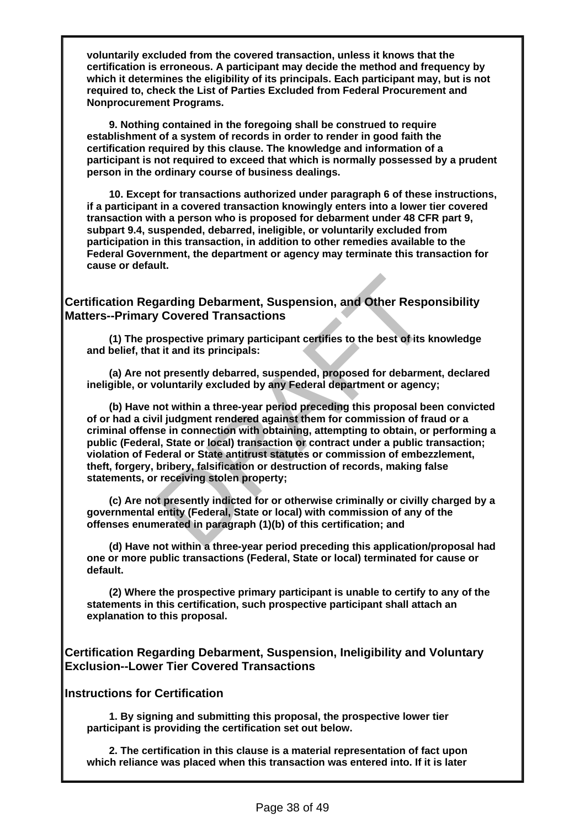**voluntarily excluded from the covered transaction, unless it knows that the certification is erroneous. A participant may decide the method and frequency by which it determines the eligibility of its principals. Each participant may, but is not required to, check the List of Parties Excluded from Federal Procurement and Nonprocurement Programs.**

**9. Nothing contained in the foregoing shall be construed to require establishment of a system of records in order to render in good faith the certification required by this clause. The knowledge and information of a participant is not required to exceed that which is normally possessed by a prudent person in the ordinary course of business dealings.**

**10. Except for transactions authorized under paragraph 6 of these instructions, if a participant in a covered transaction knowingly enters into a lower tier covered transaction with a person who is proposed for debarment under 48 CFR part 9, subpart 9.4, suspended, debarred, ineligible, or voluntarily excluded from participation in this transaction, in addition to other remedies available to the Federal Government, the department or agency may terminate this transaction for cause or default.**

## **Certification Regarding Debarment, Suspension, and Other Responsibility Matters--Primary Covered Transactions**

**(1) The prospective primary participant certifies to the best of its knowledge and belief, that it and its principals:**

**(a) Are not presently debarred, suspended, proposed for debarment, declared ineligible, or voluntarily excluded by any Federal department or agency;**

**(b) Have not within a three-year period preceding this proposal been convicted of or had a civil judgment rendered against them for commission of fraud or a criminal offense in connection with obtaining, attempting to obtain, or performing a public (Federal, State or local) transaction or contract under a public transaction; violation of Federal or State antitrust statutes or commission of embezzlement, theft, forgery, bribery, falsification or destruction of records, making false statements, or receiving stolen property;** garding Debarment, Suspension, and Other Respot of Covered Transactions<br>
sopective primary participant certifies to the best of its I<br>
it it and its principals:<br>
the presently debarred, suspended, proposed for debarme<br>
olu

**(c) Are not presently indicted for or otherwise criminally or civilly charged by a governmental entity (Federal, State or local) with commission of any of the offenses enumerated in paragraph (1)(b) of this certification; and**

**(d) Have not within a three-year period preceding this application/proposal had one or more public transactions (Federal, State or local) terminated for cause or default.**

**(2) Where the prospective primary participant is unable to certify to any of the statements in this certification, such prospective participant shall attach an explanation to this proposal.**

**Certification Regarding Debarment, Suspension, Ineligibility and Voluntary Exclusion--Lower Tier Covered Transactions**

## **Instructions for Certification**

**1. By signing and submitting this proposal, the prospective lower tier participant is providing the certification set out below.**

**2. The certification in this clause is a material representation of fact upon which reliance was placed when this transaction was entered into. If it is later**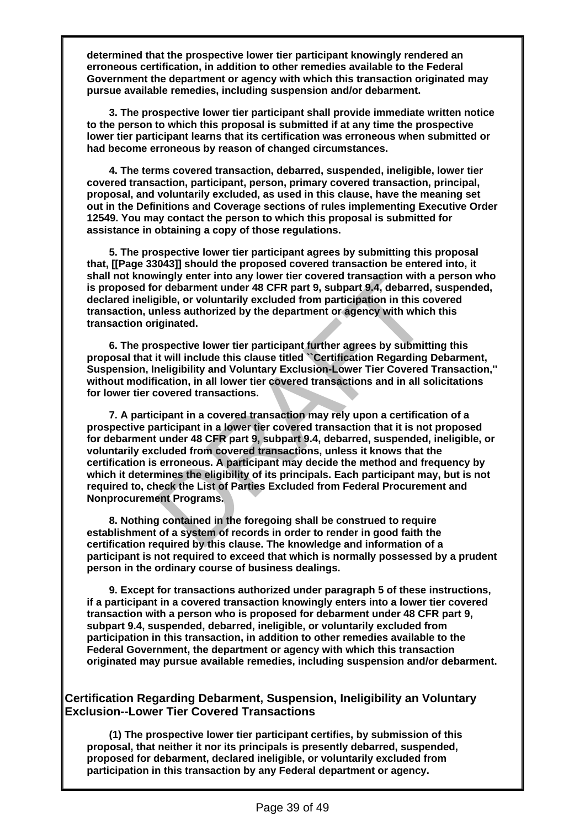**determined that the prospective lower tier participant knowingly rendered an erroneous certification, in addition to other remedies available to the Federal Government the department or agency with which this transaction originated may pursue available remedies, including suspension and/or debarment.**

**3. The prospective lower tier participant shall provide immediate written notice to the person to which this proposal is submitted if at any time the prospective lower tier participant learns that its certification was erroneous when submitted or had become erroneous by reason of changed circumstances.**

**4. The terms covered transaction, debarred, suspended, ineligible, lower tier covered transaction, participant, person, primary covered transaction, principal, proposal, and voluntarily excluded, as used in this clause, have the meaning set out in the Definitions and Coverage sections of rules implementing Executive Order 12549. You may contact the person to which this proposal is submitted for assistance in obtaining a copy of those regulations.**

**5. The prospective lower tier participant agrees by submitting this proposal that, [[Page 33043]] should the proposed covered transaction be entered into, it shall not knowingly enter into any lower tier covered transaction with a person who is proposed for debarment under 48 CFR part 9, subpart 9.4, debarred, suspended, declared ineligible, or voluntarily excluded from participation in this covered transaction, unless authorized by the department or agency with which this transaction originated.**

**6. The prospective lower tier participant further agrees by submitting this proposal that it will include this clause titled ``Certification Regarding Debarment, Suspension, Ineligibility and Voluntary Exclusion-Lower Tier Covered Transaction,'' without modification, in all lower tier covered transactions and in all solicitations for lower tier covered transactions.**

**7. A participant in a covered transaction may rely upon a certification of a prospective participant in a lower tier covered transaction that it is not proposed for debarment under 48 CFR part 9, subpart 9.4, debarred, suspended, ineligible, or voluntarily excluded from covered transactions, unless it knows that the certification is erroneous. A participant may decide the method and frequency by which it determines the eligibility of its principals. Each participant may, but is not required to, check the List of Parties Excluded from Federal Procurement and Nonprocurement Programs.** ringly enter into any lower tier covered transaction with a<br>r debarment under 48 CFR part 9, subpart 9.4, debarred,<br>r debarment under 48 CFR part 9, subpart 9.4, debarred,<br>pilele, or voluntarily excluded from participation

**8. Nothing contained in the foregoing shall be construed to require establishment of a system of records in order to render in good faith the certification required by this clause. The knowledge and information of a participant is not required to exceed that which is normally possessed by a prudent person in the ordinary course of business dealings.**

**9. Except for transactions authorized under paragraph 5 of these instructions, if a participant in a covered transaction knowingly enters into a lower tier covered transaction with a person who is proposed for debarment under 48 CFR part 9, subpart 9.4, suspended, debarred, ineligible, or voluntarily excluded from participation in this transaction, in addition to other remedies available to the Federal Government, the department or agency with which this transaction originated may pursue available remedies, including suspension and/or debarment.**

**Certification Regarding Debarment, Suspension, Ineligibility an Voluntary Exclusion--Lower Tier Covered Transactions**

**(1) The prospective lower tier participant certifies, by submission of this proposal, that neither it nor its principals is presently debarred, suspended, proposed for debarment, declared ineligible, or voluntarily excluded from participation in this transaction by any Federal department or agency.**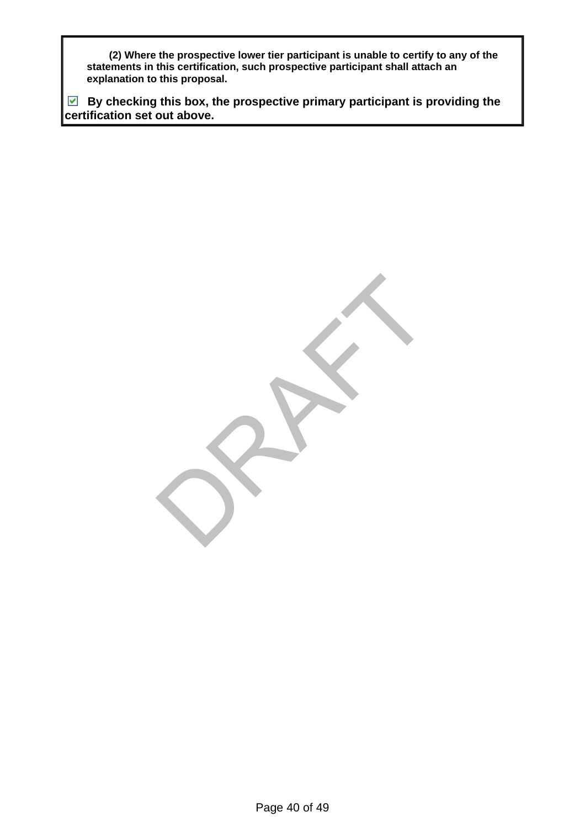**(2) Where the prospective lower tier participant is unable to certify to any of the statements in this certification, such prospective participant shall attach an explanation to this proposal.**

 **By checking this box, the prospective primary participant is providing the certification set out above.**

RAFT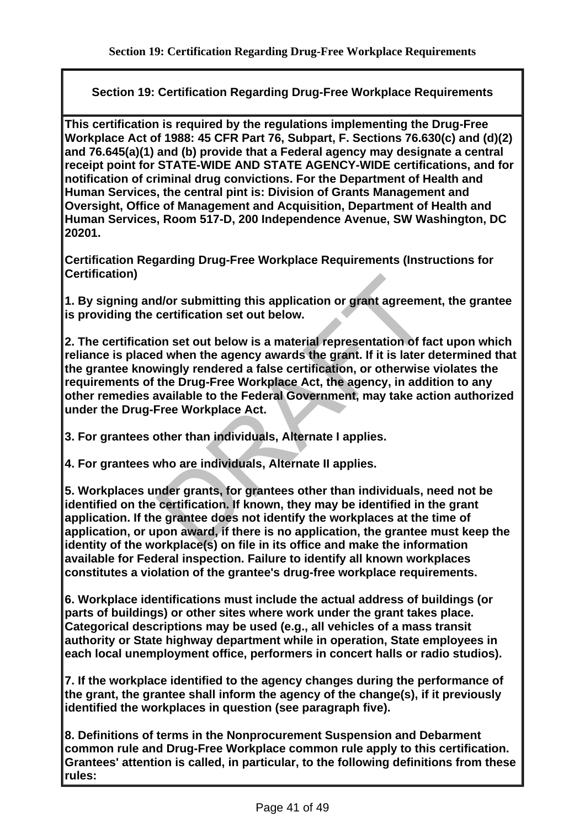<span id="page-40-0"></span>**Section 19: Certification Regarding Drug-Free Workplace Requirements**

**This certification is required by the regulations implementing the Drug-Free Workplace Act of 1988: 45 CFR Part 76, Subpart, F. Sections 76.630(c) and (d)(2) and 76.645(a)(1) and (b) provide that a Federal agency may designate a central receipt point for STATE-WIDE AND STATE AGENCY-WIDE certifications, and for notification of criminal drug convictions. For the Department of Health and Human Services, the central pint is: Division of Grants Management and Oversight, Office of Management and Acquisition, Department of Health and Human Services, Room 517-D, 200 Independence Avenue, SW Washington, DC 20201.**

**Certification Regarding Drug-Free Workplace Requirements (Instructions for Certification)**

**1. By signing and/or submitting this application or grant agreement, the grantee is providing the certification set out below.**

**2. The certification set out below is a material representation of fact upon which reliance is placed when the agency awards the grant. If it is later determined that the grantee knowingly rendered a false certification, or otherwise violates the requirements of the Drug-Free Workplace Act, the agency, in addition to any other remedies available to the Federal Government, may take action authorized under the Drug-Free Workplace Act.** d/or submitting this application or grant agreeme<br>certification set out below.<br>on set out below is a material representation of fa<br>d when the agency awards the grant. If it is later wingly rendered a false certification, o

**3. For grantees other than individuals, Alternate I applies.**

**4. For grantees who are individuals, Alternate II applies.**

**5. Workplaces under grants, for grantees other than individuals, need not be identified on the certification. If known, they may be identified in the grant application. If the grantee does not identify the workplaces at the time of application, or upon award, if there is no application, the grantee must keep the identity of the workplace(s) on file in its office and make the information available for Federal inspection. Failure to identify all known workplaces constitutes a violation of the grantee's drug-free workplace requirements.**

**6. Workplace identifications must include the actual address of buildings (or parts of buildings) or other sites where work under the grant takes place. Categorical descriptions may be used (e.g., all vehicles of a mass transit authority or State highway department while in operation, State employees in each local unemployment office, performers in concert halls or radio studios).**

**7. If the workplace identified to the agency changes during the performance of the grant, the grantee shall inform the agency of the change(s), if it previously identified the workplaces in question (see paragraph five).**

**8. Definitions of terms in the Nonprocurement Suspension and Debarment common rule and Drug-Free Workplace common rule apply to this certification. Grantees' attention is called, in particular, to the following definitions from these rules:**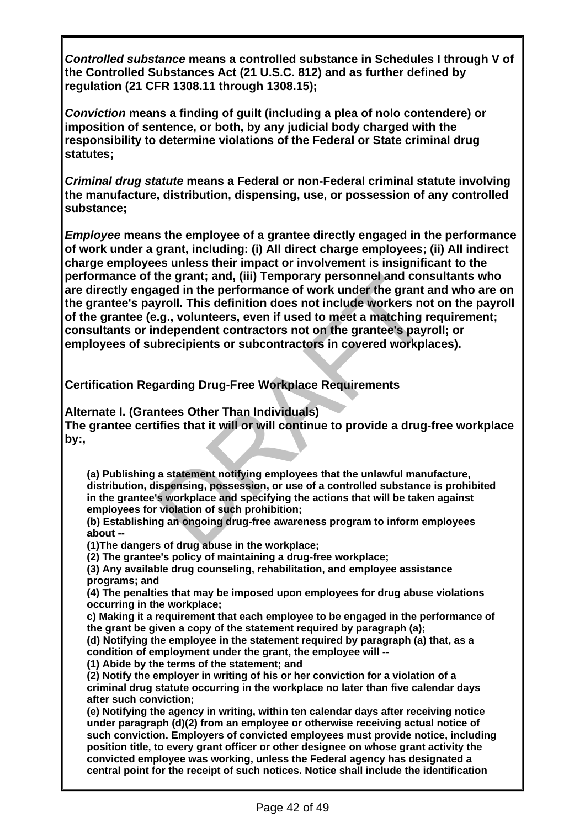**Controlled substance means a controlled substance in Schedules I through V of the Controlled Substances Act (21 U.S.C. 812) and as further defined by regulation (21 CFR 1308.11 through 1308.15);**

**Conviction means a finding of guilt (including a plea of nolo contendere) or imposition of sentence, or both, by any judicial body charged with the responsibility to determine violations of the Federal or State criminal drug statutes;**

**Criminal drug statute means a Federal or non-Federal criminal statute involving the manufacture, distribution, dispensing, use, or possession of any controlled substance;**

**Employee means the employee of a grantee directly engaged in the performance of work under a grant, including: (i) All direct charge employees; (ii) All indirect charge employees unless their impact or involvement is insignificant to the performance of the grant; and, (iii) Temporary personnel and consultants who are directly engaged in the performance of work under the grant and who are on the grantee's payroll. This definition does not include workers not on the payroll of the grantee (e.g., volunteers, even if used to meet a matching requirement; consultants or independent contractors not on the grantee's payroll; or employees of subrecipients or subcontractors in covered workplaces).** the grant; and, (III) Temporary personnel and consider the grant and consider the proformance of work under the grant and considered.<br>This definition does not include workers no<br>i.g., volunteers, even if used to meet a mat

**Certification Regarding Drug-Free Workplace Requirements**

**Alternate I. (Grantees Other Than Individuals)**

**The grantee certifies that it will or will continue to provide a drug-free workplace by:,**

**(a) Publishing a statement notifying employees that the unlawful manufacture, distribution, dispensing, possession, or use of a controlled substance is prohibited in the grantee's workplace and specifying the actions that will be taken against employees for violation of such prohibition;**

**(b) Establishing an ongoing drug-free awareness program to inform employees about --**

**(1)The dangers of drug abuse in the workplace;**

**(2) The grantee's policy of maintaining a drug-free workplace;**

**(3) Any available drug counseling, rehabilitation, and employee assistance programs; and**

**(4) The penalties that may be imposed upon employees for drug abuse violations occurring in the workplace;**

**c) Making it a requirement that each employee to be engaged in the performance of the grant be given a copy of the statement required by paragraph (a);**

**(d) Notifying the employee in the statement required by paragraph (a) that, as a condition of employment under the grant, the employee will --**

**(1) Abide by the terms of the statement; and**

**(2) Notify the employer in writing of his or her conviction for a violation of a criminal drug statute occurring in the workplace no later than five calendar days after such conviction;**

**(e) Notifying the agency in writing, within ten calendar days after receiving notice under paragraph (d)(2) from an employee or otherwise receiving actual notice of such conviction. Employers of convicted employees must provide notice, including position title, to every grant officer or other designee on whose grant activity the convicted employee was working, unless the Federal agency has designated a central point for the receipt of such notices. Notice shall include the identification**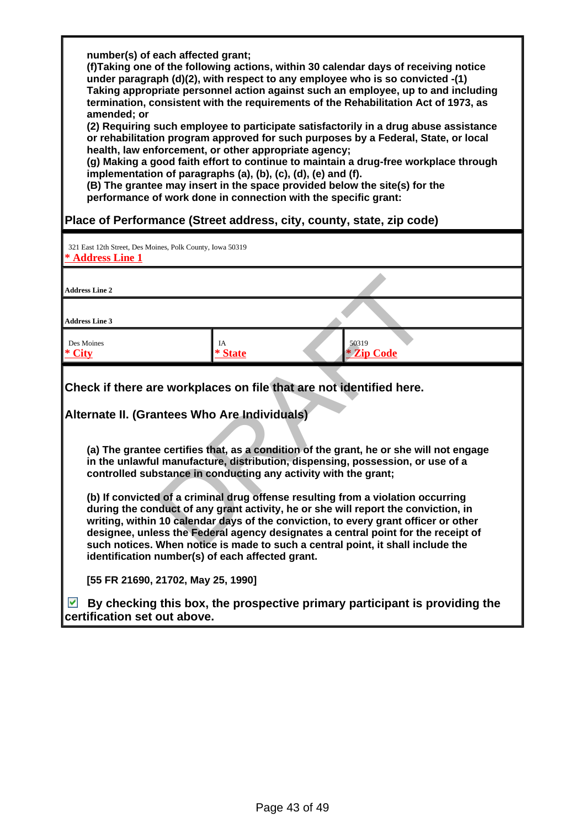**number(s) of each affected grant;**

**(f)Taking one of the following actions, within 30 calendar days of receiving notice under paragraph (d)(2), with respect to any employee who is so convicted -(1) Taking appropriate personnel action against such an employee, up to and including termination, consistent with the requirements of the Rehabilitation Act of 1973, as amended; or**

**(2) Requiring such employee to participate satisfactorily in a drug abuse assistance or rehabilitation program approved for such purposes by a Federal, State, or local health, law enforcement, or other appropriate agency;**

**(g) Making a good faith effort to continue to maintain a drug-free workplace through implementation of paragraphs (a), (b), (c), (d), (e) and (f).**

**(B) The grantee may insert in the space provided below the site(s) for the performance of work done in connection with the specific grant:**

**Place of Performance (Street address, city, county, state, zip code)**

| 321 East 12th Street, Des Moines, Polk County, Iowa 50319<br>* Address Line 1 |                                                                                                                                                                     |                                                                                                                                                                                                                                                                |  |  |  |
|-------------------------------------------------------------------------------|---------------------------------------------------------------------------------------------------------------------------------------------------------------------|----------------------------------------------------------------------------------------------------------------------------------------------------------------------------------------------------------------------------------------------------------------|--|--|--|
| <b>Address Line 2</b>                                                         |                                                                                                                                                                     |                                                                                                                                                                                                                                                                |  |  |  |
| <b>Address Line 3</b>                                                         |                                                                                                                                                                     |                                                                                                                                                                                                                                                                |  |  |  |
| Des Moines<br><u>* City</u>                                                   | <b>IA</b><br>* State                                                                                                                                                | 50319<br><u>* Zip Code</u>                                                                                                                                                                                                                                     |  |  |  |
| Check if there are workplaces on file that are not identified here.           |                                                                                                                                                                     |                                                                                                                                                                                                                                                                |  |  |  |
| Alternate II. (Grantees Who Are Individuals)                                  |                                                                                                                                                                     |                                                                                                                                                                                                                                                                |  |  |  |
|                                                                               | in the unlawful manufacture, distribution, dispensing, possession, or use of a<br>controlled substance in conducting any activity with the grant;                   | (a) The grantee certifies that, as a condition of the grant, he or she will not engage                                                                                                                                                                         |  |  |  |
| identification number(s) of each affected grant.                              | (b) If convicted of a criminal drug offense resulting from a violation occurring<br>such notices. When notice is made to such a central point, it shall include the | during the conduct of any grant activity, he or she will report the conviction, in<br>writing, within 10 calendar days of the conviction, to every grant officer or other<br>designee, unless the Federal agency designates a central point for the receipt of |  |  |  |
| [55 FR 21690, 21702, May 25, 1990]                                            |                                                                                                                                                                     |                                                                                                                                                                                                                                                                |  |  |  |
| $\blacktriangledown$<br>certification set out above.                          |                                                                                                                                                                     | By checking this box, the prospective primary participant is providing the                                                                                                                                                                                     |  |  |  |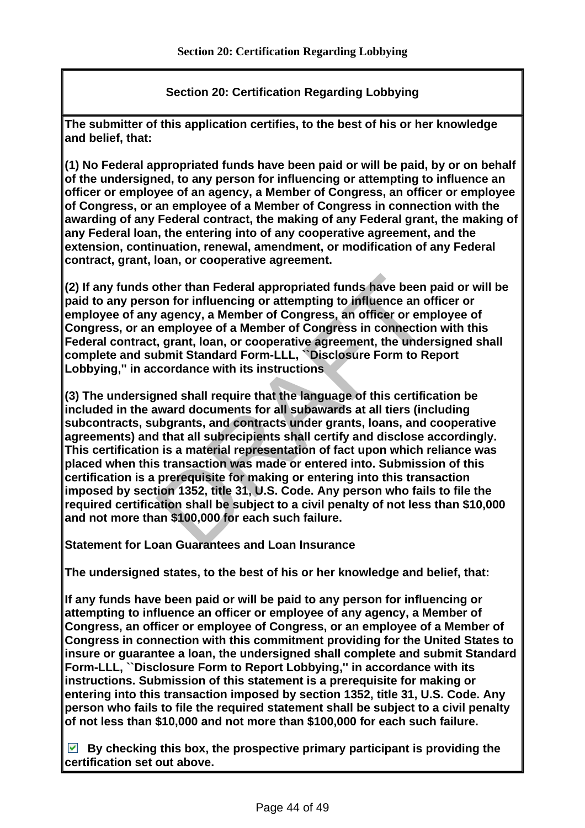<span id="page-43-0"></span>**Section 20: Certification Regarding Lobbying**

**The submitter of this application certifies, to the best of his or her knowledge and belief, that:** 

**(1) No Federal appropriated funds have been paid or will be paid, by or on behalf of the undersigned, to any person for influencing or attempting to influence an officer or employee of an agency, a Member of Congress, an officer or employee of Congress, or an employee of a Member of Congress in connection with the awarding of any Federal contract, the making of any Federal grant, the making of any Federal loan, the entering into of any cooperative agreement, and the extension, continuation, renewal, amendment, or modification of any Federal contract, grant, loan, or cooperative agreement.**

**(2) If any funds other than Federal appropriated funds have been paid or will be paid to any person for influencing or attempting to influence an officer or employee of any agency, a Member of Congress, an officer or employee of Congress, or an employee of a Member of Congress in connection with this Federal contract, grant, loan, or cooperative agreement, the undersigned shall complete and submit Standard Form-LLL, ``Disclosure Form to Report Lobbying,'' in accordance with its instructions** 

**(3) The undersigned shall require that the language of this certification be included in the award documents for all subawards at all tiers (including subcontracts, subgrants, and contracts under grants, loans, and cooperative agreements) and that all subrecipients shall certify and disclose accordingly. This certification is a material representation of fact upon which reliance was placed when this transaction was made or entered into. Submission of this certification is a prerequisite for making or entering into this transaction imposed by section 1352, title 31, U.S. Code. Any person who fails to file the required certification shall be subject to a civil penalty of not less than \$10,000 and not more than \$100,000 for each such failure.** other than Federal appropriated funds have been<br>on for influencing or attempting to influence an o<br>r agency, a Member of Congress, an officer or em<br>employee of a Member of Congress in connectio<br>c, grant, loan, or cooperati

**Statement for Loan Guarantees and Loan Insurance** 

**The undersigned states, to the best of his or her knowledge and belief, that:**

**If any funds have been paid or will be paid to any person for influencing or attempting to influence an officer or employee of any agency, a Member of Congress, an officer or employee of Congress, or an employee of a Member of Congress in connection with this commitment providing for the United States to insure or guarantee a loan, the undersigned shall complete and submit Standard Form-LLL, ``Disclosure Form to Report Lobbying,'' in accordance with its instructions. Submission of this statement is a prerequisite for making or entering into this transaction imposed by section 1352, title 31, U.S. Code. Any person who fails to file the required statement shall be subject to a civil penalty of not less than \$10,000 and not more than \$100,000 for each such failure.**

 **By checking this box, the prospective primary participant is providing the certification set out above.**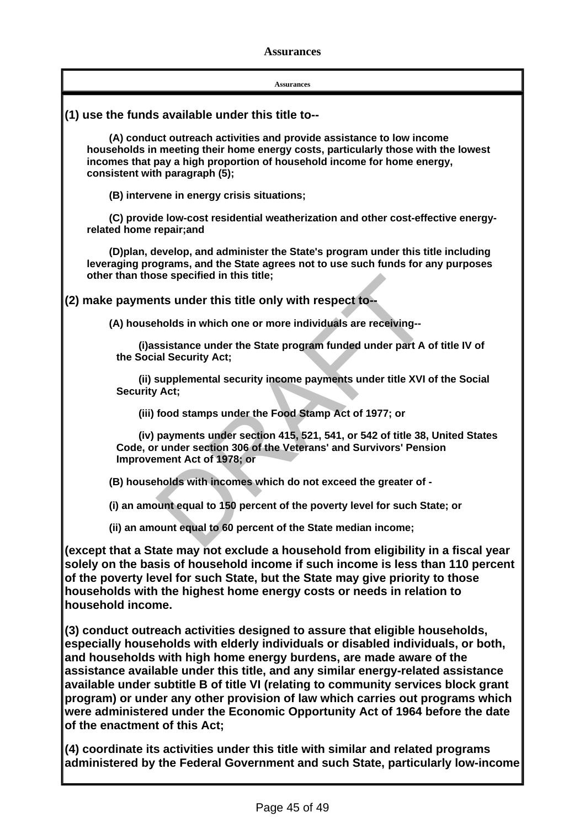<span id="page-44-0"></span>

| <b>Assurances</b>                                                                                                                                                                                                                                                                                                                                                                                                                                                                                                                                                                                                   |
|---------------------------------------------------------------------------------------------------------------------------------------------------------------------------------------------------------------------------------------------------------------------------------------------------------------------------------------------------------------------------------------------------------------------------------------------------------------------------------------------------------------------------------------------------------------------------------------------------------------------|
| (1) use the funds available under this title to--                                                                                                                                                                                                                                                                                                                                                                                                                                                                                                                                                                   |
| (A) conduct outreach activities and provide assistance to low income<br>households in meeting their home energy costs, particularly those with the lowest<br>incomes that pay a high proportion of household income for home energy,<br>consistent with paragraph (5);                                                                                                                                                                                                                                                                                                                                              |
| (B) intervene in energy crisis situations;                                                                                                                                                                                                                                                                                                                                                                                                                                                                                                                                                                          |
| (C) provide low-cost residential weatherization and other cost-effective energy-<br>related home repair;and                                                                                                                                                                                                                                                                                                                                                                                                                                                                                                         |
| (D)plan, develop, and administer the State's program under this title including<br>leveraging programs, and the State agrees not to use such funds for any purposes<br>other than those specified in this title;                                                                                                                                                                                                                                                                                                                                                                                                    |
| (2) make payments under this title only with respect to-                                                                                                                                                                                                                                                                                                                                                                                                                                                                                                                                                            |
| (A) households in which one or more individuals are receiving--                                                                                                                                                                                                                                                                                                                                                                                                                                                                                                                                                     |
| (i)assistance under the State program funded under part A of title IV of<br>the Social Security Act;                                                                                                                                                                                                                                                                                                                                                                                                                                                                                                                |
| (ii) supplemental security income payments under title XVI of the Social<br><b>Security Act;</b>                                                                                                                                                                                                                                                                                                                                                                                                                                                                                                                    |
| (iii) food stamps under the Food Stamp Act of 1977; or                                                                                                                                                                                                                                                                                                                                                                                                                                                                                                                                                              |
| (iv) payments under section 415, 521, 541, or 542 of title 38, United States<br>Code, or under section 306 of the Veterans' and Survivors' Pension<br>Improvement Act of 1978; or                                                                                                                                                                                                                                                                                                                                                                                                                                   |
| (B) households with incomes which do not exceed the greater of -                                                                                                                                                                                                                                                                                                                                                                                                                                                                                                                                                    |
| (i) an amount equal to 150 percent of the poverty level for such State; or                                                                                                                                                                                                                                                                                                                                                                                                                                                                                                                                          |
| (ii) an amount equal to 60 percent of the State median income;                                                                                                                                                                                                                                                                                                                                                                                                                                                                                                                                                      |
| (except that a State may not exclude a household from eligibility in a fiscal year<br>solely on the basis of household income if such income is less than 110 percent<br>of the poverty level for such State, but the State may give priority to those<br>households with the highest home energy costs or needs in relation to<br>household income.                                                                                                                                                                                                                                                                |
| (3) conduct outreach activities designed to assure that eligible households,<br>especially households with elderly individuals or disabled individuals, or both,<br>and households with high home energy burdens, are made aware of the<br>assistance available under this title, and any similar energy-related assistance<br>available under subtitle B of title VI (relating to community services block grant<br>program) or under any other provision of law which carries out programs which<br>were administered under the Economic Opportunity Act of 1964 before the date<br>of the enactment of this Act; |

**(4) coordinate its activities under this title with similar and related programs administered by the Federal Government and such State, particularly low-income**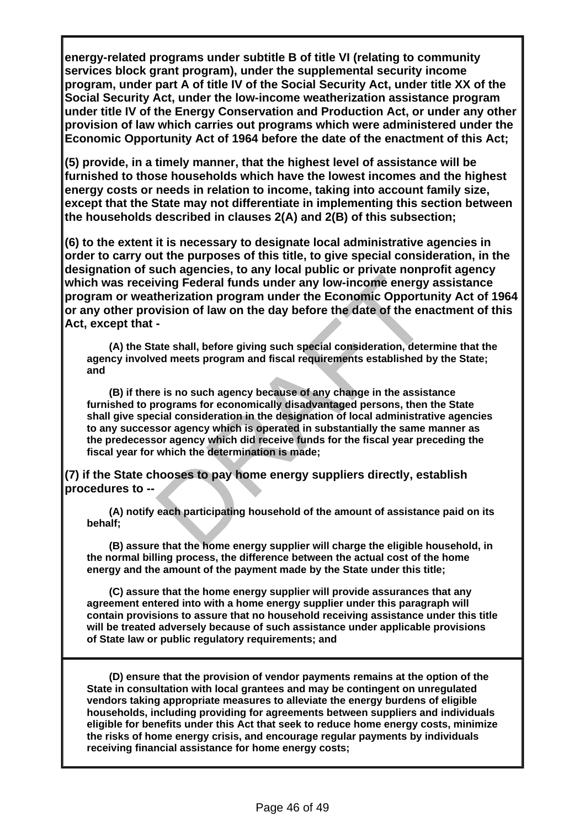**energy-related programs under subtitle B of title VI (relating to community services block grant program), under the supplemental security income program, under part A of title IV of the Social Security Act, under title XX of the Social Security Act, under the low-income weatherization assistance program under title IV of the Energy Conservation and Production Act, or under any other provision of law which carries out programs which were administered under the Economic Opportunity Act of 1964 before the date of the enactment of this Act;**

**(5) provide, in a timely manner, that the highest level of assistance will be furnished to those households which have the lowest incomes and the highest energy costs or needs in relation to income, taking into account family size, except that the State may not differentiate in implementing this section between the households described in clauses 2(A) and 2(B) of this subsection;**

**(6) to the extent it is necessary to designate local administrative agencies in order to carry out the purposes of this title, to give special consideration, in the designation of such agencies, to any local public or private nonprofit agency which was receiving Federal funds under any low-income energy assistance program or weatherization program under the Economic Opportunity Act of 1964 or any other provision of law on the day before the date of the enactment of this Act, except that -**

**(A) the State shall, before giving such special consideration, determine that the agency involved meets program and fiscal requirements established by the State; and**

**(B) if there is no such agency because of any change in the assistance furnished to programs for economically disadvantaged persons, then the State shall give special consideration in the designation of local administrative agencies to any successor agency which is operated in substantially the same manner as the predecessor agency which did receive funds for the fiscal year preceding the fiscal year for which the determination is made;** iving Federal funds under any low-income energy<br>therization program under the Economic Opporture vision of law on the day before the date of the ena-<br>tate shall, before giving such special consideration, deter<br>ate shall, b

**(7) if the State chooses to pay home energy suppliers directly, establish procedures to --**

**(A) notify each participating household of the amount of assistance paid on its behalf;**

**(B) assure that the home energy supplier will charge the eligible household, in the normal billing process, the difference between the actual cost of the home energy and the amount of the payment made by the State under this title;**

**(C) assure that the home energy supplier will provide assurances that any agreement entered into with a home energy supplier under this paragraph will contain provisions to assure that no household receiving assistance under this title will be treated adversely because of such assistance under applicable provisions of State law or public regulatory requirements; and**

**(D) ensure that the provision of vendor payments remains at the option of the State in consultation with local grantees and may be contingent on unregulated vendors taking appropriate measures to alleviate the energy burdens of eligible households, including providing for agreements between suppliers and individuals eligible for benefits under this Act that seek to reduce home energy costs, minimize the risks of home energy crisis, and encourage regular payments by individuals receiving financial assistance for home energy costs;**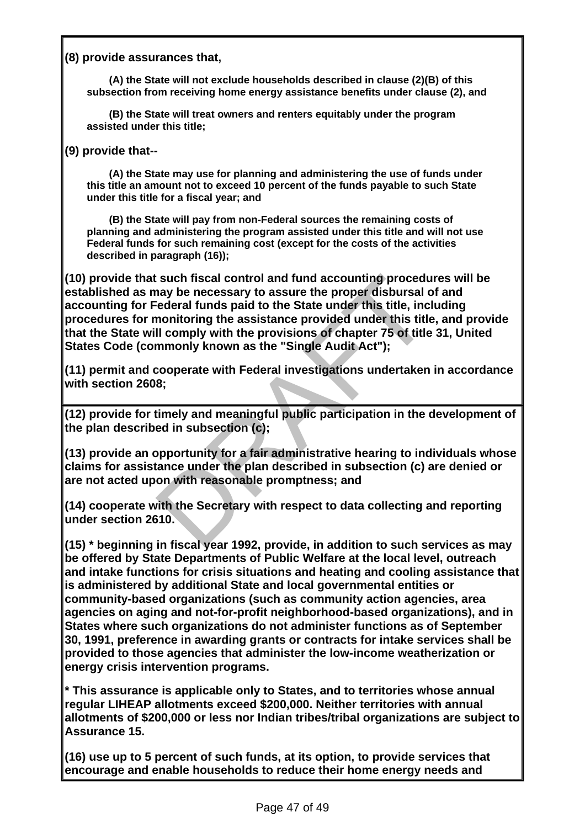**(8) provide assurances that,**

**(A) the State will not exclude households described in clause (2)(B) of this subsection from receiving home energy assistance benefits under clause (2), and**

**(B) the State will treat owners and renters equitably under the program assisted under this title;**

## **(9) provide that--**

**(A) the State may use for planning and administering the use of funds under this title an amount not to exceed 10 percent of the funds payable to such State under this title for a fiscal year; and**

**(B) the State will pay from non-Federal sources the remaining costs of planning and administering the program assisted under this title and will not use Federal funds for such remaining cost (except for the costs of the activities described in paragraph (16));**

**(10) provide that such fiscal control and fund accounting procedures will be established as may be necessary to assure the proper disbursal of and accounting for Federal funds paid to the State under this title, including procedures for monitoring the assistance provided under this title, and provide that the State will comply with the provisions of chapter 75 of title 31, United States Code (commonly known as the "Single Audit Act");** i such fiscal control and fund accounting procedual and the state under this title, incontitoring the assistance provided under this title, incontitoring the assistance provided under this title, incontitoring the assistan

**(11) permit and cooperate with Federal investigations undertaken in accordance with section 2608;**

**(12) provide for timely and meaningful public participation in the development of the plan described in subsection (c);**

**(13) provide an opportunity for a fair administrative hearing to individuals whose claims for assistance under the plan described in subsection (c) are denied or are not acted upon with reasonable promptness; and**

**(14) cooperate with the Secretary with respect to data collecting and reporting under section 2610.**

**(15) \* beginning in fiscal year 1992, provide, in addition to such services as may be offered by State Departments of Public Welfare at the local level, outreach and intake functions for crisis situations and heating and cooling assistance that is administered by additional State and local governmental entities or community-based organizations (such as community action agencies, area agencies on aging and not-for-profit neighborhood-based organizations), and in States where such organizations do not administer functions as of September 30, 1991, preference in awarding grants or contracts for intake services shall be provided to those agencies that administer the low-income weatherization or energy crisis intervention programs.**

**\* This assurance is applicable only to States, and to territories whose annual regular LIHEAP allotments exceed \$200,000. Neither territories with annual allotments of \$200,000 or less nor Indian tribes/tribal organizations are subject to Assurance 15.**

**(16) use up to 5 percent of such funds, at its option, to provide services that encourage and enable households to reduce their home energy needs and**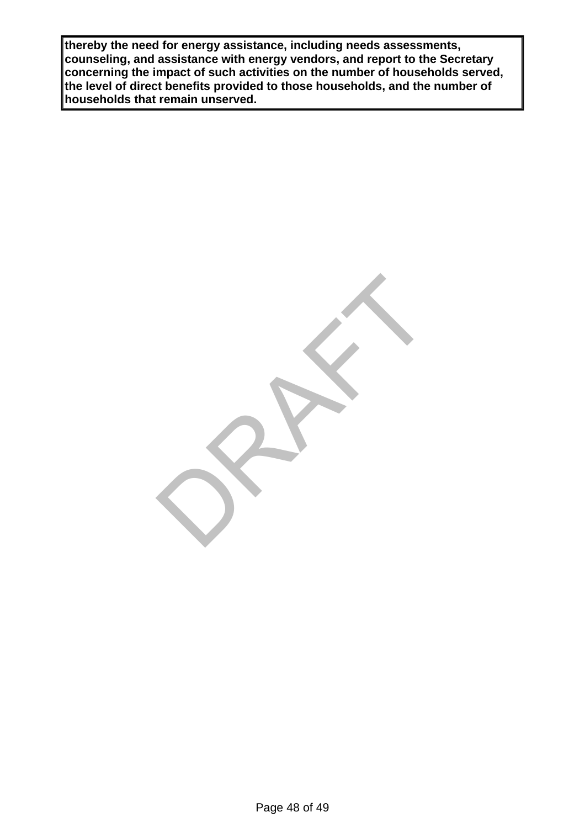**thereby the need for energy assistance, including needs assessments, counseling, and assistance with energy vendors, and report to the Secretary concerning the impact of such activities on the number of households served, the level of direct benefits provided to those households, and the number of households that remain unserved.**

RAFT